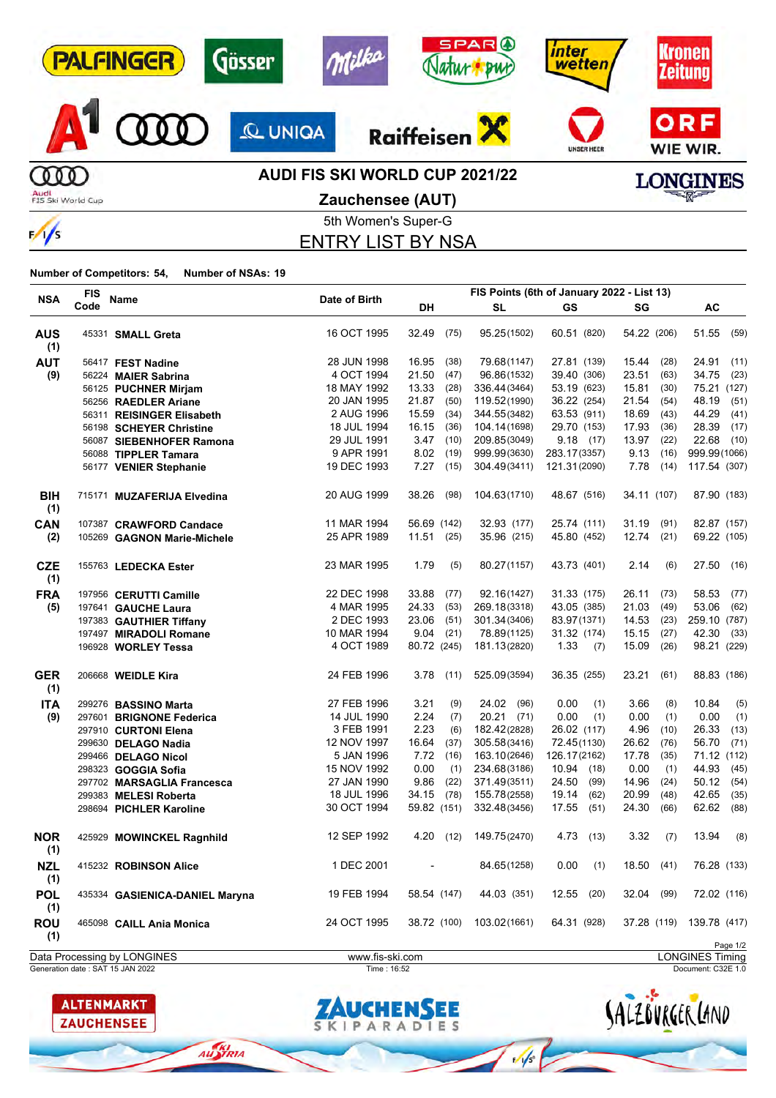| <b>PALFINGER</b>          | Gösser        | <b>SPARO</b><br>milka<br><b>BUD</b>                              | inter<br>wetten   | <b><i><u>ronen</u></i></b><br><b>Zeitung</b> |
|---------------------------|---------------|------------------------------------------------------------------|-------------------|----------------------------------------------|
|                           | <b>QUNIQA</b> | <b>Raiffeisen</b>                                                | <b>UNSER HEER</b> | ORF<br>WIE WIR.                              |
| Audi<br>FIS Ski World Cup |               | <b>AUDI FIS SKI WORLD CUP 2021/22</b><br><b>Zauchensee (AUT)</b> |                   | <b>LONGINES</b><br><b>RALLER</b>             |
| $\frac{1}{s}$             |               | 5th Women's Super-G<br><b>FNTRY LIST BY NSA</b>                  |                   |                                              |

ENTRY LIST BY NSA

#### **Number of Competitors: 54, Number of NSAs: 19**

| <b>NSA</b>        | <b>FIS</b> | Name                           | Date of Birth |             |      |              | FIS Points (6th of January 2022 - List 13) |               |               |
|-------------------|------------|--------------------------------|---------------|-------------|------|--------------|--------------------------------------------|---------------|---------------|
|                   | Code       |                                |               | DH          |      | <b>SL</b>    | GS                                         | SG            | AC            |
| <b>AUS</b><br>(1) |            | 45331 SMALL Greta              | 16 OCT 1995   | 32.49       | (75) | 95.25(1502)  | 60.51 (820)                                | 54.22 (206)   | 51.55<br>(59) |
| <b>AUT</b>        |            | 56417 FEST Nadine              | 28 JUN 1998   | 16.95       | (38) | 79.68(1147)  | 27.81 (139)                                | 15.44<br>(28) | 24.91<br>(11) |
| (9)               |            | 56224 MAIER Sabrina            | 4 OCT 1994    | 21.50       | (47) | 96.86(1532)  | 39.40 (306)                                | 23.51<br>(63) | 34.75<br>(23) |
|                   |            | 56125 PUCHNER Mirjam           | 18 MAY 1992   | 13.33       | (28) | 336.44(3464) | 53.19 (623)                                | 15.81<br>(30) | 75.21 (127)   |
|                   |            | 56256 RAEDLER Ariane           | 20 JAN 1995   | 21.87       | (50) | 119.52(1990) | 36.22 (254)                                | 21.54<br>(54) | 48.19<br>(51) |
|                   |            | 56311 REISINGER Elisabeth      | 2 AUG 1996    | 15.59       | (34) | 344.55(3482) | 63.53 (911)                                | 18.69<br>(43) | 44.29<br>(41) |
|                   |            | 56198 SCHEYER Christine        | 18 JUL 1994   | 16.15       | (36) | 104.14(1698) | 29.70 (153)                                | 17.93<br>(36) | 28.39<br>(17) |
|                   |            | 56087 SIEBENHOFER Ramona       | 29 JUL 1991   | 3.47        | (10) | 209.85(3049) | 9.18(17)                                   | 13.97<br>(22) | 22.68<br>(10) |
|                   |            | 56088 TIPPLER Tamara           | 9 APR 1991    | 8.02        | (19) | 999.99(3630) | 283.17(3357)                               | 9.13<br>(16)  | 999.99(1066)  |
|                   |            | 56177 VENIER Stephanie         | 19 DEC 1993   | 7.27        | (15) | 304.49(3411) | 121.31(2090)                               | 7.78<br>(14)  | 117.54 (307)  |
| BIH<br>(1)        |            | 715171 MUZAFERIJA Elvedina     | 20 AUG 1999   | 38.26       | (98) | 104.63(1710) | 48.67 (516)                                | 34.11 (107)   | 87.90 (183)   |
| <b>CAN</b>        |            | 107387 CRAWFORD Candace        | 11 MAR 1994   | 56.69 (142) |      | 32.93 (177)  | 25.74 (111)                                | 31.19<br>(91) | 82.87 (157)   |
| (2)               |            | 105269 GAGNON Marie-Michele    | 25 APR 1989   | 11.51(25)   |      | 35.96 (215)  | 45.80 (452)                                | 12.74<br>(21) | 69.22 (105)   |
| <b>CZE</b><br>(1) |            | 155763 LEDECKA Ester           | 23 MAR 1995   | 1.79        | (5)  | 80.27(1157)  | 43.73 (401)                                | 2.14<br>(6)   | 27.50 (16)    |
| <b>FRA</b>        |            | 197956 CERUTTI Camille         | 22 DEC 1998   | 33.88       | (77) | 92.16(1427)  | 31.33 (175)                                | 26.11<br>(73) | 58.53<br>(77) |
| (5)               |            | 197641 GAUCHE Laura            | 4 MAR 1995    | 24.33       | (53) | 269.18(3318) | 43.05 (385)                                | 21.03<br>(49) | 53.06<br>(62) |
|                   |            | 197383 GAUTHIER Tiffany        | 2 DEC 1993    | 23.06       | (51) | 301.34(3406) | 83.97(1371)                                | 14.53<br>(23) | 259.10 (787)  |
|                   |            | 197497 MIRADOLI Romane         | 10 MAR 1994   | 9.04        | (21) | 78.89(1125)  | 31.32 (174)                                | 15.15<br>(27) | 42.30<br>(33) |
|                   |            | 196928 WORLEY Tessa            | 4 OCT 1989    | 80.72 (245) |      | 181.13(2820) | 1.33<br>(7)                                | 15.09<br>(26) | 98.21 (229)   |
| <b>GER</b><br>(1) |            | 206668 WEIDLE Kira             | 24 FEB 1996   | 3.78        | (11) | 525.09(3594) | 36.35 (255)                                | 23.21<br>(61) | 88.83 (186)   |
| <b>ITA</b>        |            | 299276 BASSINO Marta           | 27 FEB 1996   | 3.21        | (9)  | 24.02 (96)   | 0.00<br>(1)                                | 3.66<br>(8)   | 10.84<br>(5)  |
| (9)               |            | 297601 BRIGNONE Federica       | 14 JUL 1990   | 2.24        | (7)  | $20.21$ (71) | 0.00<br>(1)                                | 0.00<br>(1)   | 0.00<br>(1)   |
|                   |            | 297910 CURTONI Elena           | 3 FEB 1991    | 2.23        | (6)  | 182.42(2828) | 26.02 (117)                                | 4.96<br>(10)  | 26.33<br>(13) |
|                   |            | 299630 DELAGO Nadia            | 12 NOV 1997   | 16.64       | (37) | 305.58(3416) | 72.45(1130)                                | 26.62<br>(76) | 56.70<br>(71) |
|                   |            | 299466 DELAGO Nicol            | 5 JAN 1996    | 7.72        | (16) | 163.10(2646) | 126.17(2162)                               | 17.78<br>(35) | 71.12 (112)   |
|                   |            | 298323 GOGGIA Sofia            | 15 NOV 1992   | 0.00        | (1)  | 234.68(3186) | 10.94 (18)                                 | 0.00<br>(1)   | 44.93<br>(45) |
|                   |            | 297702 MARSAGLIA Francesca     | 27 JAN 1990   | 9.86        | (22) | 371.49(3511) | 24.50<br>(99)                              | 14.96<br>(24) | 50.12<br>(54) |
|                   |            | 299383 MELESI Roberta          | 18 JUL 1996   | 34.15       | (78) | 155.78(2558) | 19.14<br>(62)                              | 20.99<br>(48) | 42.65<br>(35) |
|                   |            | 298694 PICHLER Karoline        | 30 OCT 1994   | 59.82 (151) |      | 332.48(3456) | 17.55<br>(51)                              | 24.30<br>(66) | 62.62<br>(88) |
| <b>NOR</b><br>(1) |            | 425929 MOWINCKEL Ragnhild      | 12 SEP 1992   | 4.20        | (12) | 149.75(2470) | 4.73<br>(13)                               | 3.32<br>(7)   | 13.94<br>(8)  |
| <b>NZL</b><br>(1) |            | 415232 ROBINSON Alice          | 1 DEC 2001    |             |      | 84.65(1258)  | 0.00<br>(1)                                | 18.50<br>(41) | 76.28 (133)   |
| <b>POL</b><br>(1) |            | 435334 GASIENICA-DANIEL Maryna | 19 FEB 1994   | 58.54 (147) |      | 44.03 (351)  | 12.55<br>(20)                              | 32.04<br>(99) | 72.02 (116)   |
| <b>ROU</b><br>(1) |            | 465098 CAILL Ania Monica       | 24 OCT 1995   | 38.72 (100) |      | 103.02(1661) | 64.31 (928)                                | 37.28 (119)   | 139.78 (417)  |
|                   |            |                                |               |             |      |              |                                            |               | Page 1/2      |

**ALTENMARKT** 

**ZAUCHENSEE** 

AUSTRIA



Generation date : SAT 15 JAN 2022 Time : 16:52 Document: C32E 1.0 Data Processing by LONGINES www.fis-ski.com LONGINES Timing

SALZOVRGER LAND

 $\frac{1}{\sqrt{2}}$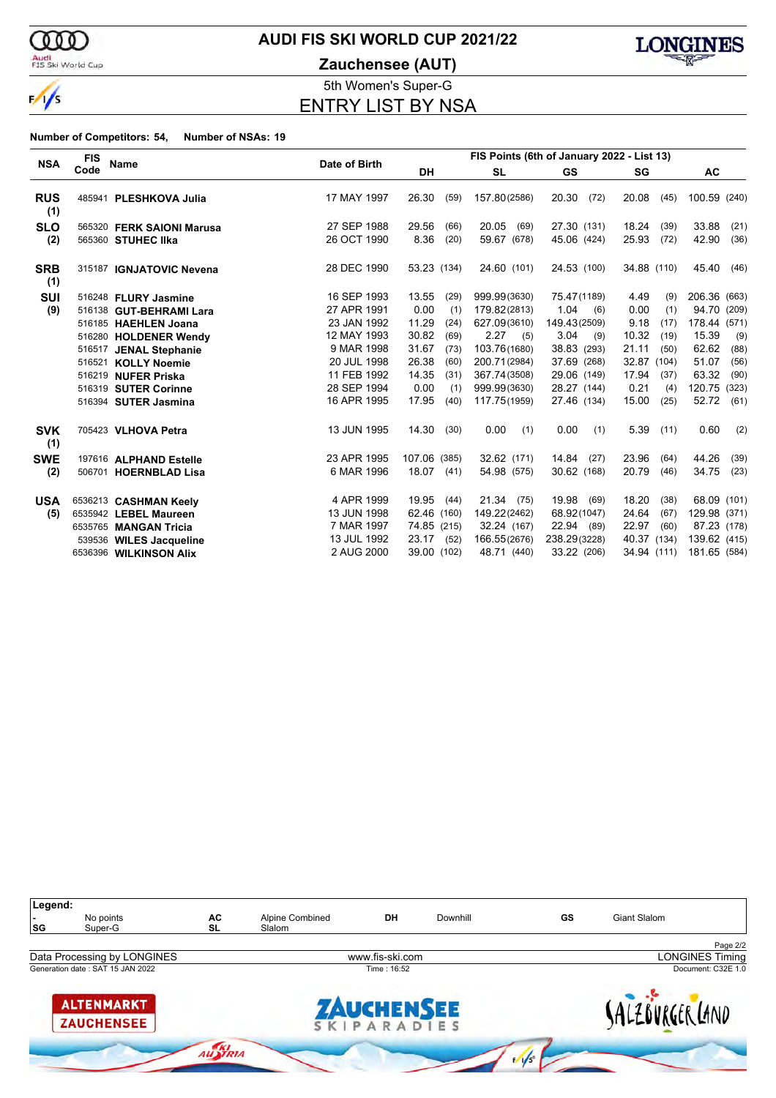

#### Audi<br>FIS Ski World Cup

# **AUDI FIS SKI WORLD CUP 2021/22**

**Zauchensee (AUT)**



5th Women's Super-G ENTRY LIST BY NSA

|                   | <b>FIS</b> |                           |               |              |      | FIS Points (6th of January 2022 - List 13) |               |             |      |              |       |
|-------------------|------------|---------------------------|---------------|--------------|------|--------------------------------------------|---------------|-------------|------|--------------|-------|
| <b>NSA</b>        | Code       | <b>Name</b>               | Date of Birth | <b>DH</b>    |      | <b>SL</b>                                  | GS            | SG          |      | <b>AC</b>    |       |
| <b>RUS</b><br>(1) |            | 485941 PLESHKOVA Julia    | 17 MAY 1997   | 26.30        | (59) | 157.80(2586)                               | 20.30<br>(72) | 20.08       | (45) | 100.59 (240) |       |
| <b>SLO</b>        |            | 565320 FERK SAIONI Marusa | 27 SEP 1988   | 29.56        | (66) | 20.05<br>(69)                              | 27.30 (131)   | 18.24       | (39) | 33.88        | (21)  |
| (2)               |            | 565360 STUHEC IIka        | 26 OCT 1990   | 8.36         | (20) | 59.67 (678)                                | 45.06 (424)   | 25.93       | (72) | 42.90        | (36)  |
| <b>SRB</b><br>(1) |            | 315187 IGNJATOVIC Nevena  | 28 DEC 1990   | 53.23 (134)  |      | 24.60 (101)                                | 24.53 (100)   | 34.88 (110) |      | 45.40        | (46)  |
| <b>SUI</b>        |            | 516248 FLURY Jasmine      | 16 SEP 1993   | 13.55        | (29) | 999.99(3630)                               | 75.47(1189)   | 4.49        | (9)  | 206.36 (663) |       |
| (9)               |            | 516138 GUT-BEHRAMI Lara   | 27 APR 1991   | 0.00         | (1)  | 179.82(2813)                               | 1.04<br>(6)   | 0.00        | (1)  | 94.70 (209)  |       |
|                   |            | 516185 HAEHLEN Joana      | 23 JAN 1992   | 11.29        | (24) | 627.09(3610)                               | 149.43(2509)  | 9.18        | (17) | 178.44 (571) |       |
|                   |            | 516280 HOLDENER Wendy     | 12 MAY 1993   | 30.82        | (69) | $2.27$ (5)                                 | 3.04<br>(9)   | 10.32       | (19) | 15.39        | (9)   |
|                   |            | 516517 JENAL Stephanie    | 9 MAR 1998    | 31.67        | (73) | 103.76(1680)                               | 38.83 (293)   | 21.11       | (50) | 62.62        | (88)  |
|                   |            | 516521 KOLLY Noemie       | 20 JUL 1998   | 26.38        | (60) | 200.71(2984)                               | 37.69 (268)   | 32.87 (104) |      | 51.07        | (56)  |
|                   |            | 516219 NUFER Priska       | 11 FEB 1992   | 14.35        | (31) | 367.74(3508)                               | 29.06 (149)   | 17.94       | (37) | 63.32        | (90)  |
|                   |            | 516319 SUTER Corinne      | 28 SEP 1994   | 0.00         | (1)  | 999.99(3630)                               | 28.27 (144)   | 0.21        | (4)  | 120.75       | (323) |
|                   |            | 516394 SUTER Jasmina      | 16 APR 1995   | 17.95        | (40) | 117.75(1959)                               | 27.46 (134)   | 15.00       | (25) | 52.72        | (61)  |
| <b>SVK</b><br>(1) |            | 705423 VLHOVA Petra       | 13 JUN 1995   | 14.30        | (30) | 0.00<br>(1)                                | 0.00<br>(1)   | 5.39        | (11) | 0.60         | (2)   |
| <b>SWE</b>        |            | 197616 ALPHAND Estelle    | 23 APR 1995   | 107.06 (385) |      | 32.62 (171)                                | 14.84<br>(27) | 23.96       | (64) | 44.26        | (39)  |
| (2)               |            | 506701 HOERNBLAD Lisa     | 6 MAR 1996    | 18.07 (41)   |      | 54.98 (575)                                | 30.62 (168)   | 20.79       | (46) | 34.75        | (23)  |
| <b>USA</b>        |            | 6536213 CASHMAN Keely     | 4 APR 1999    | 19.95        | (44) | 21.34 (75)                                 | 19.98<br>(69) | 18.20       | (38) | 68.09 (101)  |       |
| (5)               |            | 6535942 LEBEL Maureen     | 13 JUN 1998   | 62.46 (160)  |      | 149.22(2462)                               | 68.92(1047)   | 24.64       | (67) | 129.98 (371) |       |
|                   |            | 6535765 MANGAN Tricia     | 7 MAR 1997    | 74.85 (215)  |      | 32.24 (167)                                | 22.94 (89)    | 22.97       | (60) | 87.23 (178)  |       |
|                   |            | 539536 WILES Jacqueline   | 13 JUL 1992   | 23.17 (52)   |      | 166.55(2676)                               | 238.29(3228)  | 40.37 (134) |      | 139.62 (415) |       |
|                   |            | 6536396 WILKINSON Alix    | 2 AUG 2000    | 39.00 (102)  |      | 48.71 (440)                                | 33.22 (206)   | 34.94 (111) |      | 181.65 (584) |       |

| Legend:<br>SG | No points<br>Super-G                   | AC<br><b>SL</b> | Alpine Combined<br>Slalom | DH                        | Downhill | GS         | Giant Slalom           |
|---------------|----------------------------------------|-----------------|---------------------------|---------------------------|----------|------------|------------------------|
|               |                                        |                 |                           |                           |          |            | Page 2/2               |
|               | Data Processing by LONGINES            |                 |                           | www.fis-ski.com           |          |            | <b>LONGINES Timing</b> |
|               | Generation date: SAT 15 JAN 2022       |                 |                           | Time: 16:52               |          |            | Document: C32E 1.0     |
|               | <b>ALTENMARKT</b><br><b>ZAUCHENSEE</b> |                 |                           | ZAUCHENSEE<br>SKIPARADIES |          |            | ALZOVRGER LAND         |
|               |                                        | AUSTRIA         |                           |                           |          | $\sqrt{s}$ |                        |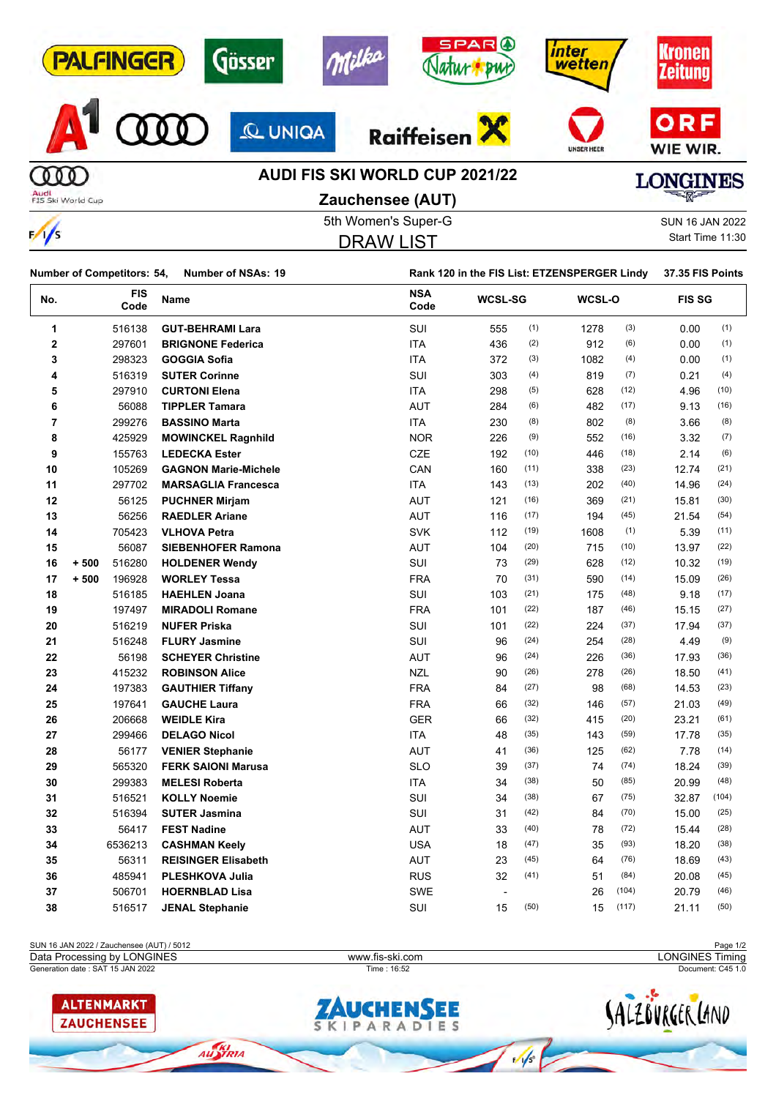| <b>PALFINGER</b>          | Gösser         | <b>SPAR</b> <sup>O</sup><br>Milka<br><b>BWC</b> | inter<br>wetten   | <b>(ronen</b><br><b>Zeitung</b> |
|---------------------------|----------------|-------------------------------------------------|-------------------|---------------------------------|
|                           | <b>Q UNIQA</b> | <b>Raiffeisen</b>                               | <b>UNSER HEER</b> | ORF<br>WIE WIR.                 |
|                           |                | <b>AUDI FIS SKI WORLD CUP 2021/22</b>           |                   | <b>LONGINES</b>                 |
| Audi<br>FIS Ski World Cup |                | <b>Zauchensee (AUT)</b><br>5th Women's Super-G  |                   | <b>SUN 16 JAN 2022</b>          |

|--|--|--|--|--|

DRAW LIST

Start Time 11:30

|                         | Number of Competitors: 54, |             | <b>Number of NSAs: 19</b>   |                    | Rank 120 in the FIS List: ETZENSPERGER Lindy |      |        |       | 37.35 FIS Points |       |
|-------------------------|----------------------------|-------------|-----------------------------|--------------------|----------------------------------------------|------|--------|-------|------------------|-------|
| No.                     |                            | FIS<br>Code | Name                        | <b>NSA</b><br>Code | <b>WCSL-SG</b>                               |      | WCSL-O |       | <b>FIS SG</b>    |       |
| 1                       |                            | 516138      | <b>GUT-BEHRAMI Lara</b>     | SUI                | 555                                          | (1)  | 1278   | (3)   | 0.00             | (1)   |
| $\overline{\mathbf{2}}$ |                            | 297601      | <b>BRIGNONE Federica</b>    | <b>ITA</b>         | 436                                          | (2)  | 912    | (6)   | 0.00             | (1)   |
| 3                       |                            | 298323      | <b>GOGGIA Sofia</b>         | <b>ITA</b>         | 372                                          | (3)  | 1082   | (4)   | 0.00             | (1)   |
| 4                       |                            | 516319      | <b>SUTER Corinne</b>        | SUI                | 303                                          | (4)  | 819    | (7)   | 0.21             | (4)   |
| 5                       |                            | 297910      | <b>CURTONI Elena</b>        | <b>ITA</b>         | 298                                          | (5)  | 628    | (12)  | 4.96             | (10)  |
| 6                       |                            | 56088       | <b>TIPPLER Tamara</b>       | <b>AUT</b>         | 284                                          | (6)  | 482    | (17)  | 9.13             | (16)  |
| $\overline{\mathbf{r}}$ |                            | 299276      | <b>BASSINO Marta</b>        | <b>ITA</b>         | 230                                          | (8)  | 802    | (8)   | 3.66             | (8)   |
| 8                       |                            | 425929      | <b>MOWINCKEL Ragnhild</b>   | <b>NOR</b>         | 226                                          | (9)  | 552    | (16)  | 3.32             | (7)   |
| 9                       |                            | 155763      | <b>LEDECKA Ester</b>        | <b>CZE</b>         | 192                                          | (10) | 446    | (18)  | 2.14             | (6)   |
| 10                      |                            | 105269      | <b>GAGNON Marie-Michele</b> | CAN                | 160                                          | (11) | 338    | (23)  | 12.74            | (21)  |
| 11                      |                            | 297702      | <b>MARSAGLIA Francesca</b>  | <b>ITA</b>         | 143                                          | (13) | 202    | (40)  | 14.96            | (24)  |
| 12                      |                            | 56125       | <b>PUCHNER Mirjam</b>       | <b>AUT</b>         | 121                                          | (16) | 369    | (21)  | 15.81            | (30)  |
| 13                      |                            | 56256       | <b>RAEDLER Ariane</b>       | <b>AUT</b>         | 116                                          | (17) | 194    | (45)  | 21.54            | (54)  |
| 14                      |                            | 705423      | <b>VLHOVA Petra</b>         | <b>SVK</b>         | 112                                          | (19) | 1608   | (1)   | 5.39             | (11)  |
| 15                      |                            | 56087       | <b>SIEBENHOFER Ramona</b>   | <b>AUT</b>         | 104                                          | (20) | 715    | (10)  | 13.97            | (22)  |
| 16                      | $+500$                     | 516280      | <b>HOLDENER Wendy</b>       | SUI                | 73                                           | (29) | 628    | (12)  | 10.32            | (19)  |
| 17                      | $+500$                     | 196928      | <b>WORLEY Tessa</b>         | <b>FRA</b>         | 70                                           | (31) | 590    | (14)  | 15.09            | (26)  |
| 18                      |                            | 516185      | <b>HAEHLEN Joana</b>        | SUI                | 103                                          | (21) | 175    | (48)  | 9.18             | (17)  |
| 19                      |                            | 197497      | <b>MIRADOLI Romane</b>      | <b>FRA</b>         | 101                                          | (22) | 187    | (46)  | 15.15            | (27)  |
| 20                      |                            | 516219      | <b>NUFER Priska</b>         | SUI                | 101                                          | (22) | 224    | (37)  | 17.94            | (37)  |
| 21                      |                            | 516248      | <b>FLURY Jasmine</b>        | SUI                | 96                                           | (24) | 254    | (28)  | 4.49             | (9)   |
| 22                      |                            | 56198       | <b>SCHEYER Christine</b>    | <b>AUT</b>         | 96                                           | (24) | 226    | (36)  | 17.93            | (36)  |
| 23                      |                            | 415232      | <b>ROBINSON Alice</b>       | <b>NZL</b>         | 90                                           | (26) | 278    | (26)  | 18.50            | (41)  |
| 24                      |                            | 197383      | <b>GAUTHIER Tiffany</b>     | <b>FRA</b>         | 84                                           | (27) | 98     | (68)  | 14.53            | (23)  |
| 25                      |                            | 197641      | <b>GAUCHE Laura</b>         | <b>FRA</b>         | 66                                           | (32) | 146    | (57)  | 21.03            | (49)  |
| 26                      |                            | 206668      | <b>WEIDLE Kira</b>          | <b>GER</b>         | 66                                           | (32) | 415    | (20)  | 23.21            | (61)  |
| 27                      |                            | 299466      | <b>DELAGO Nicol</b>         | <b>ITA</b>         | 48                                           | (35) | 143    | (59)  | 17.78            | (35)  |
| 28                      |                            | 56177       | <b>VENIER Stephanie</b>     | <b>AUT</b>         | 41                                           | (36) | 125    | (62)  | 7.78             | (14)  |
| 29                      |                            | 565320      | <b>FERK SAIONI Marusa</b>   | <b>SLO</b>         | 39                                           | (37) | 74     | (74)  | 18.24            | (39)  |
| 30                      |                            | 299383      | <b>MELESI Roberta</b>       | <b>ITA</b>         | 34                                           | (38) | 50     | (85)  | 20.99            | (48)  |
| 31                      |                            | 516521      | <b>KOLLY Noemie</b>         | SUI                | 34                                           | (38) | 67     | (75)  | 32.87            | (104) |
| 32                      |                            | 516394      | <b>SUTER Jasmina</b>        | SUI                | 31                                           | (42) | 84     | (70)  | 15.00            | (25)  |
| 33                      |                            | 56417       | <b>FEST Nadine</b>          | <b>AUT</b>         | 33                                           | (40) | 78     | (72)  | 15.44            | (28)  |
| 34                      |                            | 6536213     | <b>CASHMAN Keely</b>        | <b>USA</b>         | 18                                           | (47) | 35     | (93)  | 18.20            | (38)  |
| 35                      |                            | 56311       | <b>REISINGER Elisabeth</b>  | AUT                | 23                                           | (45) | 64     | (76)  | 18.69            | (43)  |
| 36                      |                            | 485941      | <b>PLESHKOVA Julia</b>      | <b>RUS</b>         | 32                                           | (41) | 51     | (84)  | 20.08            | (45)  |
| 37                      |                            | 506701      | <b>HOERNBLAD Lisa</b>       | <b>SWE</b>         |                                              |      | 26     | (104) | 20.79            | (46)  |
| 38                      |                            | 516517      | <b>JENAL Stephanie</b>      | SUI                | 15                                           | (50) | 15     | (117) | 21.11            | (50)  |
|                         |                            |             |                             |                    |                                              |      |        |       |                  |       |

| SUN 16 JAN 2022 / Zauchensee (AUT) / 5012 |                   | Page 1/2               |
|-------------------------------------------|-------------------|------------------------|
| Data Processing by LONGINES               | www.fis-ski.com   | <b>LONGINES Timing</b> |
| Generation date: SAT 15 JAN 2022          | Time: 16:52       | Document: C45 1.0      |
| <b>ALTENMARKT</b>                         | <b>ZAUCHENSEE</b> |                        |
| <b>ZAUCHENSEE</b>                         | SKIPARADIES       | :K LAND                |

AUSTRIA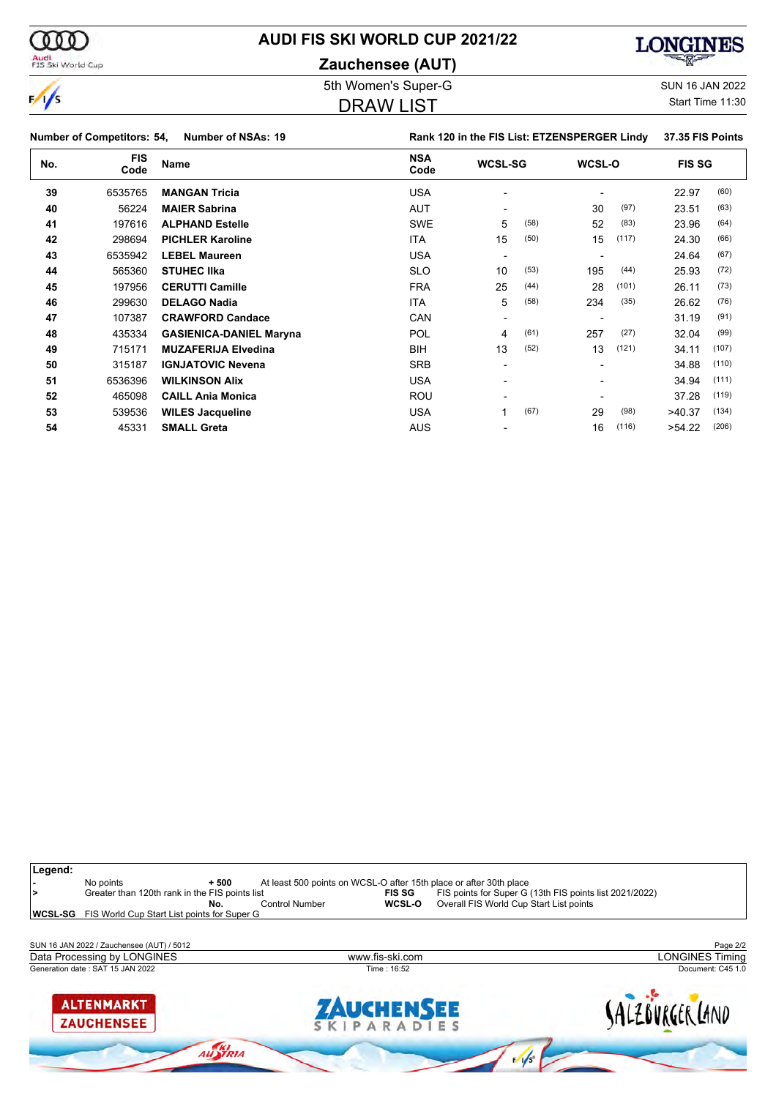

**Zauchensee (AUT)**



 $\frac{1}{\sqrt{2}}$ 

000

Audi<br>FIS Ski World Cup

## 5th Women's Super-G Super-G SUN 16 JAN 2022

#### DRAW LIST

Start Time 11:30

|     | <b>Number of Competitors: 54,</b> | <b>Number of NSAs: 19</b>      |                    | Rank 120 in the FIS List: ETZENSPERGER Lindy |      |        |       | 37.35 FIS Points |       |
|-----|-----------------------------------|--------------------------------|--------------------|----------------------------------------------|------|--------|-------|------------------|-------|
| No. | <b>FIS</b><br>Code                | <b>Name</b>                    | <b>NSA</b><br>Code | <b>WCSL-SG</b>                               |      | WCSL-O |       | <b>FIS SG</b>    |       |
| 39  | 6535765                           | <b>MANGAN Tricia</b>           | <b>USA</b>         |                                              |      |        |       | 22.97            | (60)  |
| 40  | 56224                             | <b>MAIER Sabrina</b>           | AUT                |                                              |      | 30     | (97)  | 23.51            | (63)  |
| 41  | 197616                            | <b>ALPHAND Estelle</b>         | <b>SWE</b>         | 5                                            | (58) | 52     | (83)  | 23.96            | (64)  |
| 42  | 298694                            | <b>PICHLER Karoline</b>        | ITA                | 15                                           | (50) | 15     | (117) | 24.30            | (66)  |
| 43  | 6535942                           | <b>LEBEL Maureen</b>           | <b>USA</b>         |                                              |      |        |       | 24.64            | (67)  |
| 44  | 565360                            | <b>STUHEC IIka</b>             | <b>SLO</b>         | 10                                           | (53) | 195    | (44)  | 25.93            | (72)  |
| 45  | 197956                            | <b>CERUTTI Camille</b>         | <b>FRA</b>         | 25                                           | (44) | 28     | (101) | 26.11            | (73)  |
| 46  | 299630                            | <b>DELAGO Nadia</b>            | <b>ITA</b>         | 5                                            | (58) | 234    | (35)  | 26.62            | (76)  |
| 47  | 107387                            | <b>CRAWFORD Candace</b>        | CAN                | $\overline{\phantom{a}}$                     |      |        |       | 31.19            | (91)  |
| 48  | 435334                            | <b>GASIENICA-DANIEL Maryna</b> | <b>POL</b>         | 4                                            | (61) | 257    | (27)  | 32.04            | (99)  |
| 49  | 715171                            | <b>MUZAFERIJA Elvedina</b>     | BIH                | 13                                           | (52) | 13     | (121) | 34.11            | (107) |
| 50  | 315187                            | <b>IGNJATOVIC Nevena</b>       | <b>SRB</b>         | $\overline{\phantom{0}}$                     |      |        |       | 34.88            | (110) |
| 51  | 6536396                           | <b>WILKINSON Alix</b>          | <b>USA</b>         |                                              |      |        |       | 34.94            | (111) |
| 52  | 465098                            | <b>CAILL Ania Monica</b>       | <b>ROU</b>         |                                              |      |        |       | 37.28            | (119) |
| 53  | 539536                            | <b>WILES Jacqueline</b>        | USA                | 1                                            | (67) | 29     | (98)  | >40.37           | (134) |
| 54  | 45331                             | <b>SMALL Greta</b>             | AUS                |                                              |      | 16     | (116) | >54.22           | (206) |



AUSTRIA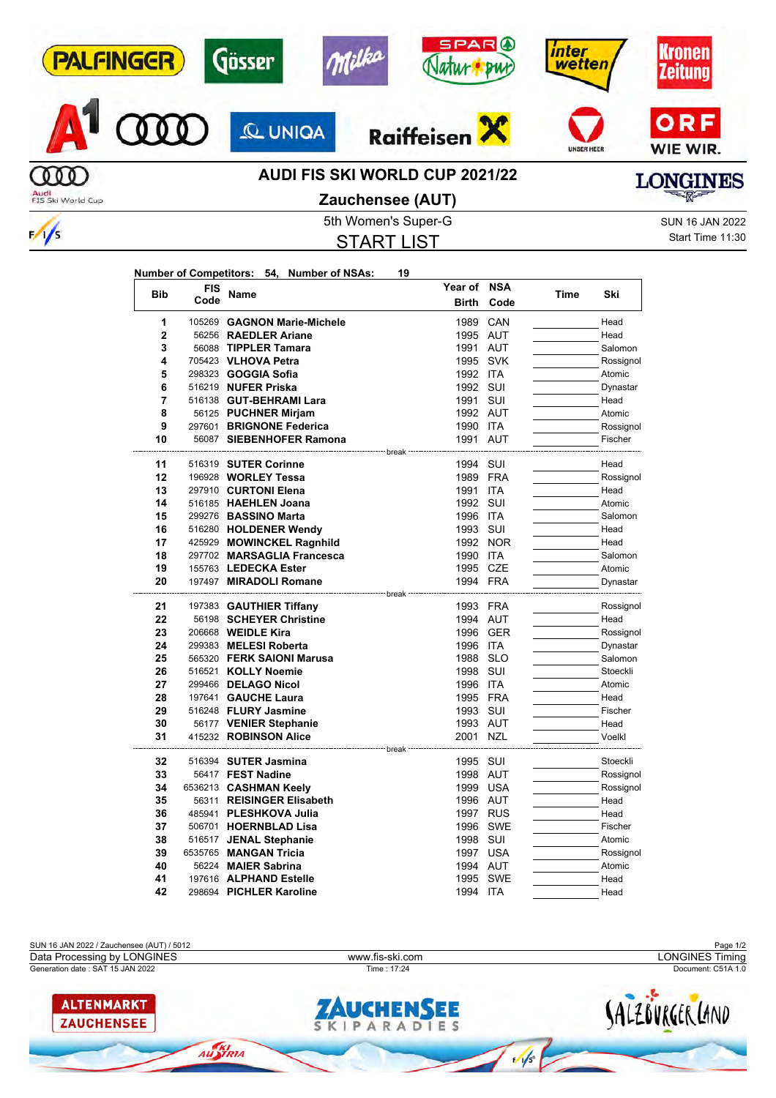| <b>PALFINGER</b>          | Gösser         | <b>SPARO</b><br>h<br><b>DWC</b>                           | nter<br>wetten    |                                         |
|---------------------------|----------------|-----------------------------------------------------------|-------------------|-----------------------------------------|
|                           | <b>Q UNIGA</b> | <b>Raiffeisen</b>                                         | <b>UNSER HEER</b> | ORF<br>WIE WIR.                         |
| Audi<br>FIS Ski World Cup |                | <b>AUDI FIS SKI WORLD CUP 2021/22</b><br>Zauchensee (AUT) |                   | <b>LONGINES</b><br><b>THAT AND POST</b> |

# **Zauchensee (AUT)**

5th Women's Super-G Super-G SUN 16 JAN 2022 START LIST

**Number of Competitors: 54, Number of NSAs: 19**

 $\frac{1}{\sqrt{2}}$ 

Start Time 11:30

| <b>Bib</b>     | <b>FIS</b> | <b>Name</b>                                        | Year of              | <b>NSA</b> | Time | Ski                   |
|----------------|------------|----------------------------------------------------|----------------------|------------|------|-----------------------|
|                | Code       |                                                    | <b>Birth</b>         | Code       |      |                       |
| 1              | 105269     | <b>GAGNON Marie-Michele</b>                        | 1989                 | CAN        |      | Head                  |
| $\overline{2}$ |            | 56256 RAEDLER Ariane                               | 1995 AUT             |            |      | Head                  |
| 3              |            | 56088 TIPPLER Tamara                               | 1991                 | <b>AUT</b> |      | Salomon               |
| 4              |            | 705423 VLHOVA Petra                                | 1995                 | <b>SVK</b> |      | Rossignol             |
| 5              |            | 298323 <b>GOGGIA Sofia</b>                         | 1992 ITA             |            |      | Atomic                |
| 6              |            | 516219 NUFER Priska                                | 1992                 | SUI        |      | Dynastar              |
| 7              |            | 516138 GUT-BEHRAMI Lara                            | 1991                 | SUI        |      | Head                  |
| 8              |            | 56125 PUCHNER Mirjam                               | 1992 AUT             |            |      | Atomic                |
| 9              |            | 297601 BRIGNONE Federica                           | 1990                 | <b>ITA</b> |      | Rossignol             |
| 10             |            | 56087 SIEBENHOFER Ramona                           | 1991                 | AUT        |      | Fischer               |
| 11             |            | 516319 SUTER Corinne                               | break<br>1994        | SUI        |      | Head                  |
| 12             |            | 196928 WORLEY Tessa                                | 1989                 | <b>FRA</b> |      | Rossignol             |
| 13             |            | 297910 CURTONI Elena                               | 1991                 | <b>ITA</b> |      | Head                  |
| 14             |            | 516185 HAEHLEN Joana                               | 1992                 | SUI        |      | Atomic                |
| 15             |            | 299276 BASSINO Marta                               | 1996 ITA             |            |      | Salomon               |
| 16             |            | 516280 HOLDENER Wendy                              | 1993                 | SUI        |      | Head                  |
| 17             |            | 425929 MOWINCKEL Ragnhild                          | 1992                 | <b>NOR</b> |      | Head                  |
| 18             |            | 297702 MARSAGLIA Francesca                         | 1990                 | ITA        |      | Salomon               |
| 19             |            | 155763 LEDECKA Ester                               | 1995 CZE             |            |      | Atomic                |
| 20             |            | 197497 MIRADOLI Romane                             | 1994 FRA             |            |      | Dynastar              |
|                |            |                                                    | break                |            |      |                       |
| 21<br>22       |            | 197383 GAUTHIER Tiffany<br>56198 SCHEYER Christine | 1993 FRA<br>1994     | AUT        |      | Rossignol<br>Head     |
| 23             |            | 206668 <b>WEIDLE Kira</b>                          | 1996                 | <b>GER</b> |      | Rossignol             |
| 24             |            | 299383 MELESI Roberta                              | 1996                 | ITA        |      | Dynastar              |
| 25             |            | 565320 FERK SAIONI Marusa                          | 1988                 | <b>SLO</b> |      | Salomon               |
| 26             |            | 516521 KOLLY Noemie                                | 1998                 | SUI        |      | Stoeckli              |
| 27             |            | 299466 DELAGO Nicol                                | 1996                 | <b>ITA</b> |      | Atomic                |
| 28             |            | 197641 GAUCHE Laura                                | 1995 FRA             |            |      | Head                  |
| 29             |            | 516248 FLURY Jasmine                               | 1993                 | SUI        |      | Fischer               |
| 30             |            | 56177 VENIER Stephanie                             | 1993 AUT             |            |      | Head                  |
| 31             |            | 415232 ROBINSON Alice                              | 2001                 | <b>NZL</b> |      | Voelkl                |
|                |            |                                                    | -------------- break |            |      |                       |
| 32<br>33       |            | 516394 SUTER Jasmina<br>56417 FEST Nadine          | 1995<br>1998 AUT     | SUI        |      | Stoeckli<br>Rossignol |
| 34             |            | 6536213 CASHMAN Keely                              | 1999 USA             |            |      | Rossignol             |
| 35             |            | 56311 REISINGER Elisabeth                          | 1996 AUT             |            |      | Head                  |
| 36             |            | 485941 PLESHKOVA Julia                             | 1997 RUS             |            |      | Head                  |
| 37             |            | 506701 HOERNBLAD Lisa                              | 1996                 | <b>SWE</b> |      | Fischer               |
| 38             |            | 516517 JENAL Stephanie                             | 1998                 | SUI        |      | Atomic                |
| 39             |            | 6535765 MANGAN Tricia                              | 1997 USA             |            |      | Rossignol             |
| 40             |            | 56224 MAIER Sabrina                                | 1994 AUT             |            |      | Atomic                |
| 41             |            | 197616 ALPHAND Estelle                             | 1995                 | <b>SWE</b> |      | Head                  |
| 42             |            | 298694 PICHLER Karoline                            | 1994 ITA             |            |      | Head                  |

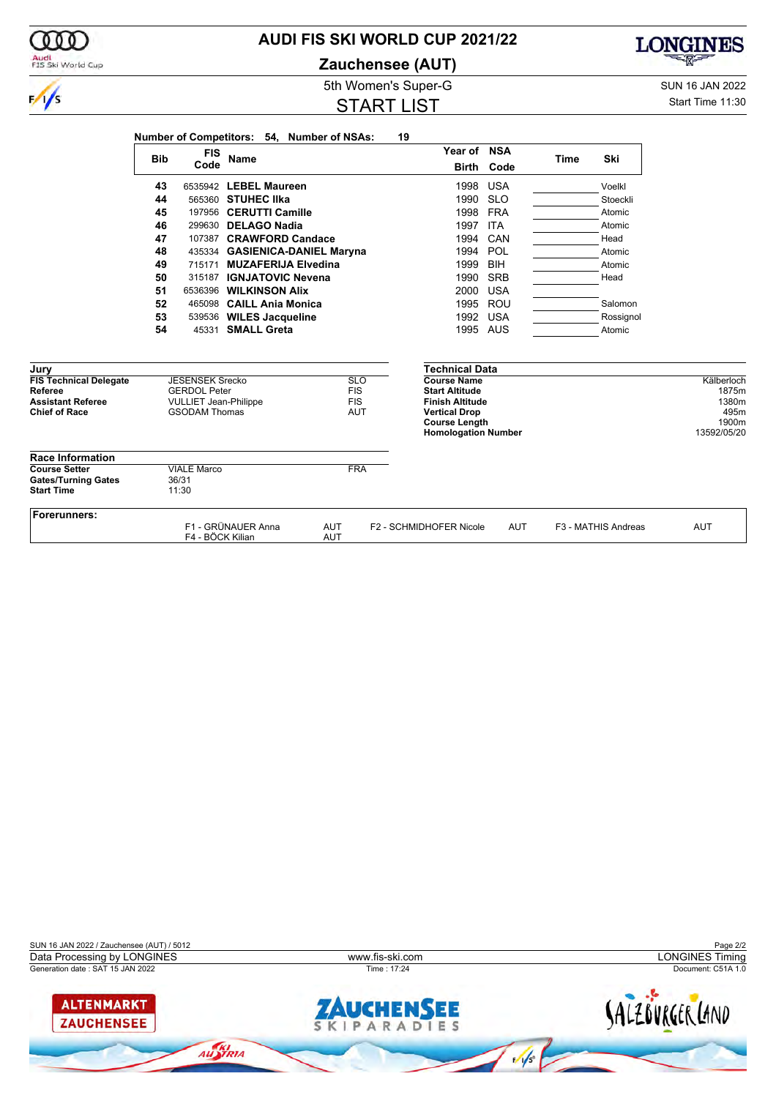|                                                                                                      | <b>Bib</b> | <b>FIS</b>                                                                                            | Name                           |                          |                          | Year of NSA                                                                                                                                    |                   | <b>Time</b> | Ski                 |                                               |
|------------------------------------------------------------------------------------------------------|------------|-------------------------------------------------------------------------------------------------------|--------------------------------|--------------------------|--------------------------|------------------------------------------------------------------------------------------------------------------------------------------------|-------------------|-------------|---------------------|-----------------------------------------------|
|                                                                                                      |            | Code                                                                                                  |                                |                          |                          |                                                                                                                                                | <b>Birth Code</b> |             |                     |                                               |
|                                                                                                      | 43         |                                                                                                       | 6535942 LEBEL Maureen          |                          |                          | 1998                                                                                                                                           | <b>USA</b>        |             | Voelkl              |                                               |
|                                                                                                      | 44         |                                                                                                       | 565360 STUHEC IIka             |                          |                          | 1990                                                                                                                                           | <b>SLO</b>        |             | Stoeckli            |                                               |
|                                                                                                      | 45         |                                                                                                       | 197956 CERUTTI Camille         |                          |                          | 1998                                                                                                                                           | <b>FRA</b>        |             | Atomic              |                                               |
|                                                                                                      | 46         |                                                                                                       | 299630 DELAGO Nadia            |                          |                          | 1997                                                                                                                                           | <b>ITA</b>        |             | Atomic              |                                               |
|                                                                                                      | 47         |                                                                                                       | 107387 CRAWFORD Candace        |                          |                          | 1994                                                                                                                                           | CAN               |             | Head                |                                               |
|                                                                                                      | 48         |                                                                                                       | 435334 GASIENICA-DANIEL Maryna |                          |                          | 1994                                                                                                                                           | POL               |             | Atomic              |                                               |
|                                                                                                      | 49         |                                                                                                       | 715171 MUZAFERIJA Elvedina     |                          |                          | 1999                                                                                                                                           | <b>BIH</b>        |             | Atomic              |                                               |
|                                                                                                      | 50         |                                                                                                       | 315187 IGNJATOVIC Nevena       |                          |                          | 1990                                                                                                                                           | <b>SRB</b>        |             | Head                |                                               |
|                                                                                                      | 51         |                                                                                                       | 6536396 WILKINSON Alix         |                          |                          | 2000                                                                                                                                           | <b>USA</b>        |             |                     |                                               |
|                                                                                                      | 52         |                                                                                                       | 465098 CAILL Ania Monica       |                          |                          | 1995 ROU                                                                                                                                       |                   |             | Salomon             |                                               |
|                                                                                                      | 53         |                                                                                                       | 539536 WILES Jacqueline        |                          |                          | 1992                                                                                                                                           | <b>USA</b>        |             | Rossignol           |                                               |
|                                                                                                      | 54         | 45331                                                                                                 | <b>SMALL Greta</b>             |                          |                          | 1995 AUS                                                                                                                                       |                   |             | Atomic              |                                               |
| Jury<br><b>FIS Technical Delegate</b><br>Referee<br><b>Assistant Referee</b><br><b>Chief of Race</b> |            | <b>JESENSEK Srecko</b><br><b>GERDOL Peter</b><br><b>VULLIET Jean-Philippe</b><br><b>GSODAM Thomas</b> |                                | <b>FIS</b><br><b>FIS</b> | <b>SLO</b><br><b>AUT</b> | <b>Technical Data</b><br><b>Course Name</b><br><b>Start Altitude</b><br><b>Finish Altitude</b><br><b>Vertical Drop</b><br><b>Course Length</b> |                   |             |                     | Kälberloch<br>1875m<br>1380m<br>495m<br>1900m |
| <b>Race Information</b>                                                                              |            |                                                                                                       |                                |                          |                          | <b>Homologation Number</b>                                                                                                                     |                   |             |                     | 13592/05/20                                   |
| <b>Course Setter</b><br><b>Gates/Turning Gates</b><br><b>Start Time</b>                              |            | <b>VIALE Marco</b><br>36/31<br>11:30                                                                  |                                |                          | <b>FRA</b>               |                                                                                                                                                |                   |             |                     |                                               |
| Forerunners:                                                                                         |            | F4 - BÖCK Kilian                                                                                      | F1 - GRÜNAUER Anna             | <b>AUT</b><br><b>AUT</b> |                          | F2 - SCHMIDHOFER Nicole                                                                                                                        | <b>AUT</b>        |             | F3 - MATHIS Andreas | <b>AUT</b>                                    |





**AUDI FIS SKI WORLD CUP 2021/22 Zauchensee (AUT)**

## START LIST

5th Women's Super-G Super-G SUN 16 JAN 2022

**LONGINES** 

溷

Start Time 11:30



 $\frac{1}{s}$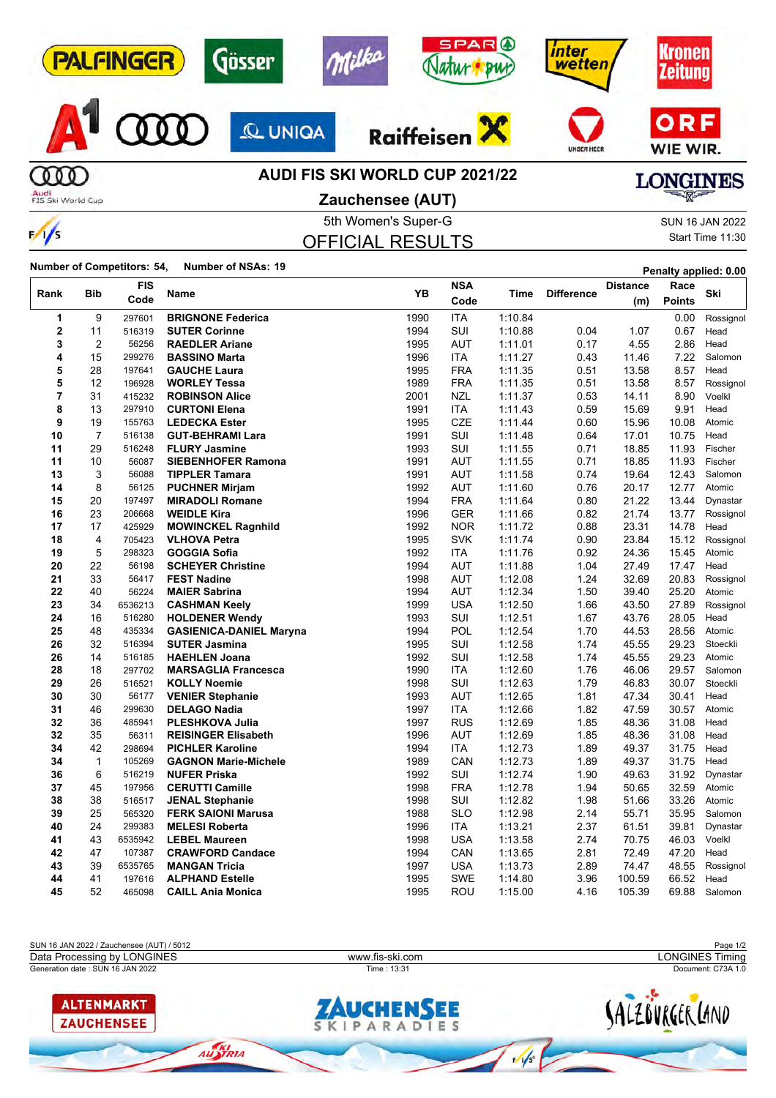| <b>PALFINGER</b>          | Gösser         | <b>SPARO</b><br>milka<br><b>But</b>   | inter<br>wetten   | <b>ronen</b><br><b>Zeitung</b> |
|---------------------------|----------------|---------------------------------------|-------------------|--------------------------------|
|                           | <b>Q UNIQA</b> | Raiffeisen                            | <b>UNSER HEER</b> | ORF<br>WIE WIR.                |
|                           |                | <b>AUDI FIS SKI WORLD CUP 2021/22</b> |                   | <b>LONGINES</b>                |
| Audi<br>FIS Ski World Cup |                | Zauchensee (AUT)                      |                   |                                |
|                           |                | 5th Women's Super-G                   |                   | <b>SUN 16 JAN 2022</b>         |
| $\frac{1}{s}$             |                | <b>OFFICIAL RESULTS</b>               |                   | Start Time 11:30               |

OFFICIAL RESULTS

Start Time 11:30

**Number of Competitors: 54, Number of NSAs: 19 Penalty applied: 0.00**

| Rank           | <b>FIS</b><br><b>Bib</b><br>Name |         | YB                             | <b>NSA</b> | Time       | <b>Difference</b> | <b>Distance</b> | Race   | Ski           |           |
|----------------|----------------------------------|---------|--------------------------------|------------|------------|-------------------|-----------------|--------|---------------|-----------|
|                |                                  | Code    |                                |            | Code       |                   |                 | (m)    | <b>Points</b> |           |
| 1              | 9                                | 297601  | <b>BRIGNONE Federica</b>       | 1990       | <b>ITA</b> | 1:10.84           |                 |        | 0.00          | Rossignol |
| $\overline{2}$ | 11                               | 516319  | <b>SUTER Corinne</b>           | 1994       | SUI        | 1:10.88           | 0.04            | 1.07   | 0.67          | Head      |
| 3              | 2                                | 56256   | <b>RAEDLER Ariane</b>          | 1995       | <b>AUT</b> | 1:11.01           | 0.17            | 4.55   | 2.86          | Head      |
| 4              | 15                               | 299276  | <b>BASSINO Marta</b>           | 1996       | ITA        | 1:11.27           | 0.43            | 11.46  | 7.22          | Salomon   |
| 5              | 28                               | 197641  | <b>GAUCHE Laura</b>            | 1995       | <b>FRA</b> | 1:11.35           | 0.51            | 13.58  | 8.57          | Head      |
| 5              | 12                               | 196928  | <b>WORLEY Tessa</b>            | 1989       | <b>FRA</b> | 1:11.35           | 0.51            | 13.58  | 8.57          | Rossignol |
| 7              | 31                               | 415232  | <b>ROBINSON Alice</b>          | 2001       | <b>NZL</b> | 1:11.37           | 0.53            | 14.11  | 8.90          | Voelkl    |
| 8              | 13                               | 297910  | <b>CURTONI Elena</b>           | 1991       | ITA        | 1:11.43           | 0.59            | 15.69  | 9.91          | Head      |
| 9              | 19                               | 155763  | <b>LEDECKA Ester</b>           | 1995       | <b>CZE</b> | 1:11.44           | 0.60            | 15.96  | 10.08         | Atomic    |
| 10             | 7                                | 516138  | <b>GUT-BEHRAMI Lara</b>        | 1991       | SUI        | 1:11.48           | 0.64            | 17.01  | 10.75         | Head      |
| 11             | 29                               | 516248  | <b>FLURY Jasmine</b>           | 1993       | SUI        | 1:11.55           | 0.71            | 18.85  | 11.93         | Fischer   |
| 11             | 10                               | 56087   | <b>SIEBENHOFER Ramona</b>      | 1991       | AUT        | 1:11.55           | 0.71            | 18.85  | 11.93         | Fischer   |
| 13             | 3                                | 56088   | <b>TIPPLER Tamara</b>          | 1991       | <b>AUT</b> | 1:11.58           | 0.74            | 19.64  | 12.43         | Salomon   |
| 14             | 8                                | 56125   | <b>PUCHNER Mirjam</b>          | 1992       | <b>AUT</b> | 1:11.60           | 0.76            | 20.17  | 12.77         | Atomic    |
| 15             | 20                               | 197497  | <b>MIRADOLI Romane</b>         | 1994       | <b>FRA</b> | 1:11.64           | 0.80            | 21.22  | 13.44         | Dynastar  |
| 16             | 23                               | 206668  | <b>WEIDLE Kira</b>             | 1996       | <b>GER</b> | 1:11.66           | 0.82            | 21.74  | 13.77         | Rossignol |
| 17             | 17                               | 425929  | <b>MOWINCKEL Ragnhild</b>      | 1992       | <b>NOR</b> | 1:11.72           | 0.88            | 23.31  | 14.78         | Head      |
| 18             | $\overline{4}$                   | 705423  | <b>VLHOVA Petra</b>            | 1995       | <b>SVK</b> | 1:11.74           | 0.90            | 23.84  | 15.12         | Rossignol |
| 19             | 5                                | 298323  | GOGGIA Sofia                   | 1992       | ITA        | 1:11.76           | 0.92            | 24.36  | 15.45         | Atomic    |
| 20             | 22                               | 56198   | <b>SCHEYER Christine</b>       | 1994       | <b>AUT</b> | 1:11.88           | 1.04            | 27.49  | 17.47         | Head      |
| 21             | 33                               | 56417   | <b>FEST Nadine</b>             | 1998       | <b>AUT</b> | 1:12.08           | 1.24            | 32.69  | 20.83         | Rossignol |
| 22             | 40                               | 56224   | <b>MAIER Sabrina</b>           | 1994       | <b>AUT</b> | 1:12.34           | 1.50            | 39.40  | 25.20         | Atomic    |
| 23             | 34                               | 6536213 | <b>CASHMAN Keely</b>           | 1999       | <b>USA</b> | 1:12.50           | 1.66            | 43.50  | 27.89         | Rossignol |
| 24             | 16                               | 516280  | <b>HOLDENER Wendy</b>          | 1993       | SUI        | 1:12.51           | 1.67            | 43.76  | 28.05         | Head      |
| 25             | 48                               | 435334  | <b>GASIENICA-DANIEL Maryna</b> | 1994       | POL        | 1:12.54           | 1.70            | 44.53  | 28.56         | Atomic    |
| 26             | 32                               | 516394  | <b>SUTER Jasmina</b>           | 1995       | SUI        | 1:12.58           | 1.74            | 45.55  | 29.23         | Stoeckli  |
| 26             | 14                               | 516185  | <b>HAEHLEN Joana</b>           | 1992       | SUI        | 1:12.58           | 1.74            | 45.55  | 29.23         | Atomic    |
| 28             | 18                               | 297702  | <b>MARSAGLIA Francesca</b>     | 1990       | <b>ITA</b> | 1:12.60           | 1.76            | 46.06  | 29.57         | Salomon   |
| 29             | 26                               | 516521  | <b>KOLLY Noemie</b>            | 1998       | SUI        | 1:12.63           | 1.79            | 46.83  | 30.07         | Stoeckli  |
| 30             | 30                               | 56177   | <b>VENIER Stephanie</b>        | 1993       | <b>AUT</b> | 1:12.65           | 1.81            | 47.34  | 30.41         | Head      |
| 31             | 46                               | 299630  | <b>DELAGO Nadia</b>            | 1997       | <b>ITA</b> | 1:12.66           | 1.82            | 47.59  | 30.57         | Atomic    |
| 32             | 36                               | 485941  | <b>PLESHKOVA Julia</b>         | 1997       | <b>RUS</b> | 1:12.69           | 1.85            | 48.36  | 31.08         | Head      |
| 32             | 35                               | 56311   | <b>REISINGER Elisabeth</b>     | 1996       | AUT        | 1:12.69           | 1.85            | 48.36  | 31.08         | Head      |
| 34             | 42                               | 298694  | <b>PICHLER Karoline</b>        | 1994       | <b>ITA</b> | 1:12.73           | 1.89            | 49.37  | 31.75         | Head      |
| 34             | $\mathbf{1}$                     | 105269  | <b>GAGNON Marie-Michele</b>    | 1989       | CAN        | 1:12.73           | 1.89            | 49.37  | 31.75         | Head      |
| 36             | 6                                | 516219  | <b>NUFER Priska</b>            | 1992       | SUI        | 1:12.74           | 1.90            | 49.63  | 31.92         | Dynastar  |
| 37             | 45                               | 197956  | <b>CERUTTI Camille</b>         | 1998       | <b>FRA</b> | 1:12.78           | 1.94            | 50.65  | 32.59         | Atomic    |
| 38             | 38                               | 516517  | <b>JENAL Stephanie</b>         | 1998       | SUI        | 1:12.82           | 1.98            | 51.66  | 33.26         | Atomic    |
| 39             | 25                               | 565320  | <b>FERK SAIONI Marusa</b>      | 1988       | <b>SLO</b> | 1:12.98           | 2.14            | 55.71  | 35.95         | Salomon   |
| 40             | 24                               | 299383  | <b>MELESI Roberta</b>          | 1996       | ITA        | 1:13.21           | 2.37            | 61.51  | 39.81         | Dynastar  |
| 41             | 43                               | 6535942 | <b>LEBEL Maureen</b>           | 1998       | <b>USA</b> | 1:13.58           | 2.74            | 70.75  | 46.03         | Voelkl    |
| 42             | 47                               | 107387  | <b>CRAWFORD Candace</b>        | 1994       | CAN        | 1:13.65           | 2.81            | 72.49  | 47.20         | Head      |
| 43             | 39                               | 6535765 | <b>MANGAN Tricia</b>           | 1997       | <b>USA</b> | 1:13.73           | 2.89            | 74.47  | 48.55         | Rossignol |
| 44             | 41                               | 197616  | <b>ALPHAND Estelle</b>         | 1995       | <b>SWE</b> | 1:14.80           | 3.96            | 100.59 | 66.52         | Head      |
| 45             | 52                               | 465098  | <b>CAILL Ania Monica</b>       | 1995       | ROU        | 1:15.00           | 4.16            | 105.39 | 69.88         | Salomon   |

SUN 16 JAN 2022 / Zauchensee (AUT) / 5012 Page 1/2 Data Processing by LONGINES www.fis-ski.com LONGINES TimingGeneration date : SUN 16 JAN 2022 Time : 13:31 Document: C73A 1.0 **ALTENMARKT** SALZOVRGER LAND **AUCHENSEE ZAUCHENSEE**  $\overline{\mathsf{s}}$ AUSTRIA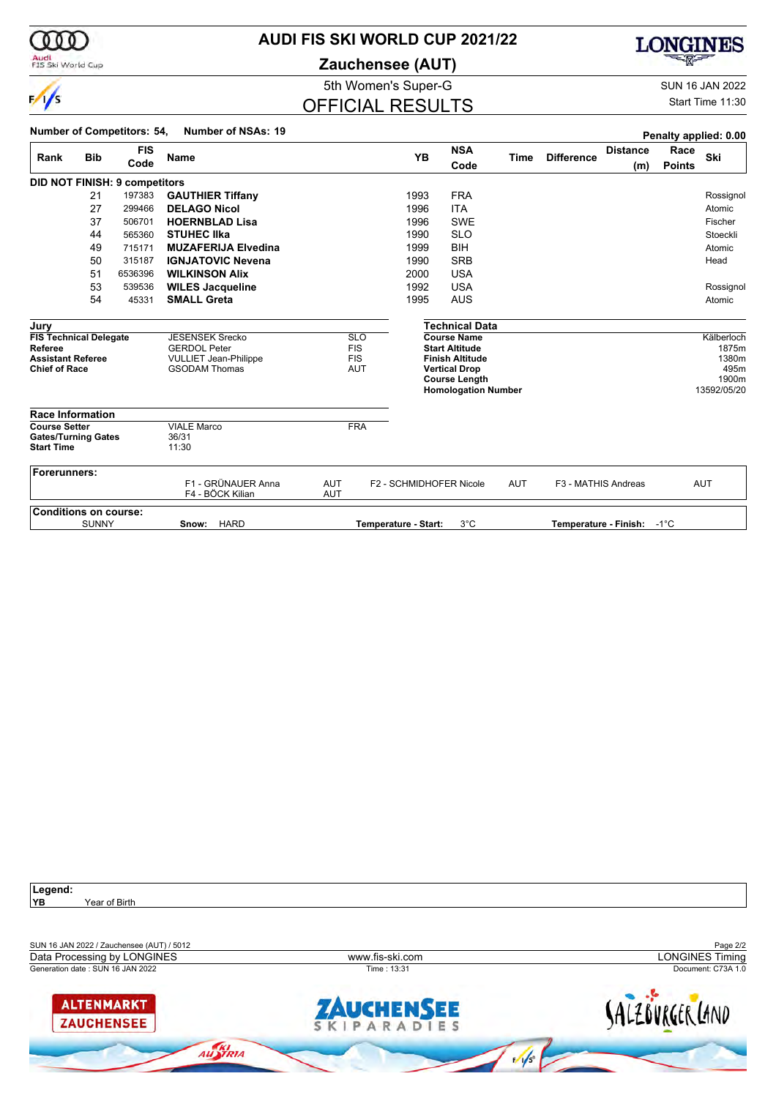

#### **AUDI FIS SKI WORLD CUP 2021/22**

**Zauchensee (AUT)**



5th Women's Super-G Super-G SUN 16 JAN 2022

## OFFICIAL RESULTS

Start Time 11:30

|                                                                         |              | <b>Number of Competitors: 54,</b> | <b>Number of NSAs: 19</b>                                                     |                                                      |                         |                                                                            |            |                     |                            |                       | Penalty applied: 0.00        |
|-------------------------------------------------------------------------|--------------|-----------------------------------|-------------------------------------------------------------------------------|------------------------------------------------------|-------------------------|----------------------------------------------------------------------------|------------|---------------------|----------------------------|-----------------------|------------------------------|
| Rank                                                                    | <b>Bib</b>   | <b>FIS</b><br>Code                | Name                                                                          |                                                      | <b>YB</b>               | <b>NSA</b><br>Code                                                         | Time       | <b>Difference</b>   | <b>Distance</b><br>(m)     | Race<br><b>Points</b> | Ski                          |
|                                                                         |              | DID NOT FINISH: 9 competitors     |                                                                               |                                                      |                         |                                                                            |            |                     |                            |                       |                              |
|                                                                         | 21           | 197383                            | <b>GAUTHIER Tiffany</b>                                                       |                                                      | 1993                    | <b>FRA</b>                                                                 |            |                     |                            |                       | Rossignol                    |
|                                                                         | 27           | 299466                            | <b>DELAGO Nicol</b>                                                           |                                                      | 1996                    | <b>ITA</b>                                                                 |            |                     |                            |                       | Atomic                       |
|                                                                         | 37           | 506701                            | <b>HOERNBLAD Lisa</b>                                                         |                                                      | 1996                    | <b>SWE</b>                                                                 |            |                     |                            |                       | Fischer                      |
|                                                                         | 44           | 565360                            | <b>STUHEC IIka</b>                                                            |                                                      | 1990                    | <b>SLO</b>                                                                 |            |                     |                            |                       | Stoeckli                     |
|                                                                         | 49           | 715171                            | <b>MUZAFERIJA Elvedina</b>                                                    |                                                      | 1999                    | <b>BIH</b>                                                                 |            |                     |                            |                       | Atomic                       |
|                                                                         | 50           | 315187                            | <b>IGNJATOVIC Nevena</b>                                                      |                                                      | 1990                    | <b>SRB</b>                                                                 |            |                     |                            |                       | Head                         |
|                                                                         | 51           | 6536396                           | <b>WILKINSON Alix</b>                                                         |                                                      | 2000                    | <b>USA</b>                                                                 |            |                     |                            |                       |                              |
|                                                                         | 53           | 539536                            | <b>WILES Jacqueline</b>                                                       |                                                      | 1992                    | <b>USA</b>                                                                 |            |                     |                            |                       | Rossignol                    |
|                                                                         | 54           | 45331                             | <b>SMALL Greta</b>                                                            |                                                      | 1995                    | <b>AUS</b>                                                                 |            |                     |                            |                       | Atomic                       |
|                                                                         |              |                                   |                                                                               |                                                      |                         |                                                                            |            |                     |                            |                       |                              |
| Jury                                                                    |              |                                   |                                                                               |                                                      |                         | <b>Technical Data</b>                                                      |            |                     |                            |                       |                              |
| <b>FIS Technical Delegate</b><br>Referee<br><b>Assistant Referee</b>    |              |                                   | <b>JESENSEK Srecko</b><br><b>GERDOL Peter</b><br><b>VULLIET Jean-Philippe</b> | <b>SLO</b><br><b>FIS</b><br><b>FIS</b><br><b>AUT</b> |                         | <b>Course Name</b><br><b>Start Altitude</b><br><b>Finish Altitude</b>      |            |                     |                            |                       | Kälberloch<br>1875m<br>1380m |
| <b>Chief of Race</b>                                                    |              |                                   | <b>GSODAM Thomas</b>                                                          |                                                      |                         | <b>Vertical Drop</b><br><b>Course Length</b><br><b>Homologation Number</b> |            |                     |                            |                       | 495m<br>1900m<br>13592/05/20 |
| <b>Race Information</b>                                                 |              |                                   |                                                                               |                                                      |                         |                                                                            |            |                     |                            |                       |                              |
| <b>Course Setter</b><br><b>Gates/Turning Gates</b><br><b>Start Time</b> |              |                                   | <b>VIALE Marco</b><br>36/31<br>11:30                                          | <b>FRA</b>                                           |                         |                                                                            |            |                     |                            |                       |                              |
| Forerunners:                                                            |              |                                   | F1 - GRÜNAUER Anna<br>F4 - BÖCK Kilian                                        | <b>AUT</b><br><b>AUT</b>                             | F2 - SCHMIDHOFER Nicole |                                                                            | <b>AUT</b> | F3 - MATHIS Andreas |                            |                       | <b>AUT</b>                   |
| <b>Conditions on course:</b>                                            |              |                                   |                                                                               |                                                      |                         |                                                                            |            |                     |                            |                       |                              |
|                                                                         | <b>SUNNY</b> |                                   | <b>HARD</b><br>Snow:                                                          |                                                      | Temperature - Start:    | $3^{\circ}$ C                                                              |            |                     | Temperature - Finish: -1°C |                       |                              |

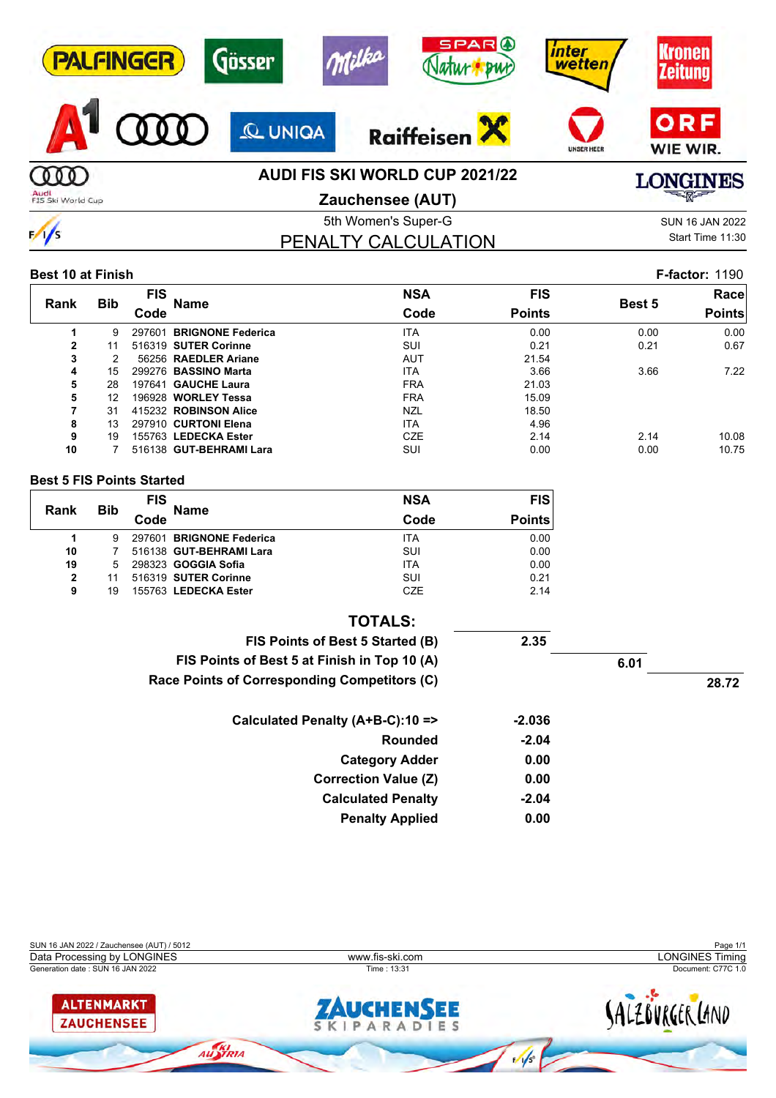| <b>PALFINGER</b>          | Gösser         | <b>SPAR</b> O<br>Milka<br><b>BWC</b>                      | inter<br><b>wetten</b> | ronen<br><b>Zeitung</b>                  |
|---------------------------|----------------|-----------------------------------------------------------|------------------------|------------------------------------------|
|                           | <b>Q UNIGA</b> | <b>Raiffeisen</b>                                         | <b>UNSER HEER</b>      | ORF<br>WIE WIR.                          |
| Audi<br>FIS Ski World Cup |                | AUDI FIS SKI WORLD CUP 2021/22<br><b>Zauchensee (AUT)</b> |                        | <b>LONGINES</b><br>$\equiv$ and $\equiv$ |
|                           |                |                                                           |                        |                                          |

 $\sqrt{}$ 

## 5th Women's Super-G Super-G SUN 16 JAN 2022 PENALTY CALCULATION

Start Time 11:30

#### **Best 10 at Finish F-factor:** 1190

|                |            | <b>FIS</b> |                          | <b>NSA</b> | <b>FIS</b>    |               | Race          |
|----------------|------------|------------|--------------------------|------------|---------------|---------------|---------------|
| Rank           | <b>Bib</b> | Code       | <b>Name</b>              | Code       | <b>Points</b> | <b>Best 5</b> | <b>Points</b> |
|                | 9          | 297601     | <b>BRIGNONE Federica</b> | <b>ITA</b> | 0.00          | 0.00          | 0.00          |
| $\overline{2}$ | 11         |            | 516319 SUTER Corinne     | <b>SUI</b> | 0.21          | 0.21          | 0.67          |
| 3              |            |            | 56256 RAEDLER Ariane     | <b>AUT</b> | 21.54         |               |               |
| 4              | 15         |            | 299276 BASSINO Marta     | <b>ITA</b> | 3.66          | 3.66          | 7.22          |
| 5              | 28         |            | 197641 GAUCHE Laura      | <b>FRA</b> | 21.03         |               |               |
| 5              | 12         |            | 196928 WORLEY Tessa      | <b>FRA</b> | 15.09         |               |               |
| 7              | 31         |            | 415232 ROBINSON Alice    | <b>NZL</b> | 18.50         |               |               |
| 8              | 13         |            | 297910 CURTONI Elena     | <b>ITA</b> | 4.96          |               |               |
| 9              | 19         |            | 155763 LEDECKA Ester     | <b>CZE</b> | 2.14          | 2.14          | 10.08         |
| 10             |            |            | 516138 GUT-BEHRAMI Lara  | SUI        | 0.00          | 0.00          | 10.75         |

#### **Best 5 FIS Points Started**

|              | <b>Bib</b> | <b>FIS</b> |                          | <b>NSA</b> | <b>FIS</b>    |
|--------------|------------|------------|--------------------------|------------|---------------|
| Rank         |            | Code       | <b>Name</b>              | Code       | <b>Points</b> |
|              | 9          |            | 297601 BRIGNONE Federica | <b>ITA</b> | 0.00          |
| 10           |            |            | 516138 GUT-BEHRAMI Lara  | SUI        | 0.00          |
| 19           | 5          |            | 298323 GOGGIA Sofia      | <b>ITA</b> | 0.00          |
| $\mathbf{2}$ |            |            | 516319 SUTER Corinne     | SUI        | 0.21          |
| 9            | 19         |            | 155763 LEDECKA Ester     | <b>CZE</b> | 2.14          |

| <b>TOTALS:</b>                               |         |      |       |
|----------------------------------------------|---------|------|-------|
| FIS Points of Best 5 Started (B)             | 2.35    |      |       |
| FIS Points of Best 5 at Finish in Top 10 (A) |         | 6.01 |       |
| Race Points of Corresponding Competitors (C) |         |      | 28.72 |
| Calculated Penalty (A+B-C):10 =>             | -2.036  |      |       |
| <b>Rounded</b>                               | $-2.04$ |      |       |
| <b>Category Adder</b>                        | 0.00    |      |       |
| <b>Correction Value (Z)</b>                  | 0.00    |      |       |
| <b>Calculated Penalty</b>                    | $-2.04$ |      |       |
| <b>Penalty Applied</b>                       | 0.00    |      |       |

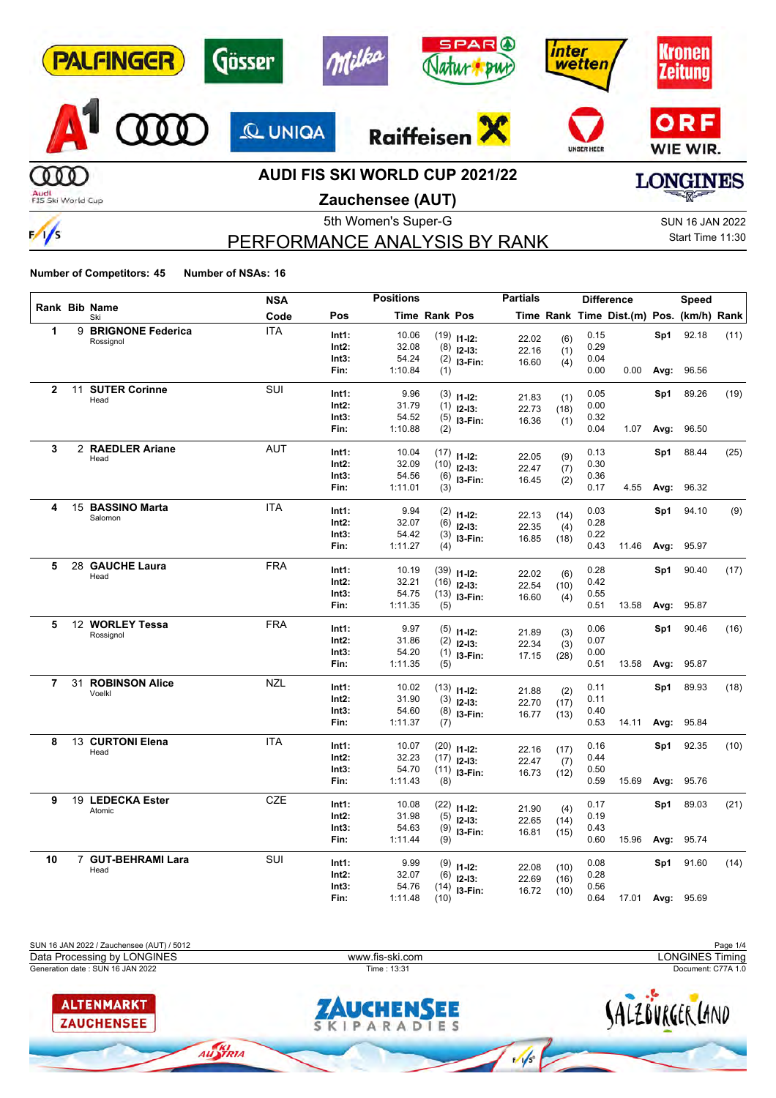|                | <b>SPAR</b> <sup>O</sup><br><b>BWC</b> | ınter<br>wetten                                                           |                                     |
|----------------|----------------------------------------|---------------------------------------------------------------------------|-------------------------------------|
| <b>Q UNIQA</b> | Raiffeisen                             | <b>UNSER HEER</b>                                                         | ORF<br>WIE WIR.                     |
|                |                                        |                                                                           | <b>GINES</b><br><b>RAY AND POST</b> |
|                | Gösser                                 | $-19/20$<br><b>AUDI FIS SKI WORLD CUP 2021/22</b><br>$72$ uchansaa (ALIT) |                                     |

**Zauchensee (AUT)**

# PERFORMANCE ANALYSIS BY RANK

5th Women's Super-G Super-G SUN 16 JAN 2022 Start Time 11:30

**Number of Competitors: 45 Number of NSAs: 16**

 $\frac{1}{s}$ 

|                |                             | <b>NSA</b> |               | <b>Positions</b> |               |                               | <b>Partials</b> |      |              | <b>Difference</b>                        |           | Speed            |      |
|----------------|-----------------------------|------------|---------------|------------------|---------------|-------------------------------|-----------------|------|--------------|------------------------------------------|-----------|------------------|------|
|                | Rank Bib Name<br>Ski        | Code       | Pos           |                  | Time Rank Pos |                               |                 |      |              | Time Rank Time Dist.(m) Pos. (km/h) Rank |           |                  |      |
| 1              | 9 BRIGNONE Federica         | <b>ITA</b> | Int1:         | 10.06            |               | $(19)$ 11-12:                 | 22.02           | (6)  | 0.15         |                                          | Sp1       | 92.18            | (11) |
|                | Rossignol                   |            | Int2:         | 32.08            |               | $(8)$ 12-13:                  | 22.16           | (1)  | 0.29         |                                          |           |                  |      |
|                |                             |            | Int3:         | 54.24            |               | $(2)$ 13-Fin:                 | 16.60           | (4)  | 0.04         |                                          |           |                  |      |
|                |                             |            | Fin:          | 1:10.84          | (1)           |                               |                 |      | 0.00         | 0.00                                     | Avg:      | 96.56            |      |
| $\overline{2}$ | 11 SUTER Corinne            | SUI        | Int1:         | 9.96             |               |                               |                 |      | 0.05         |                                          | Sp1       | 89.26            | (19) |
|                | Head                        |            | $Int2$ :      | 31.79            |               | $(3)$ 11-12:<br>$(1)$ 12-13:  | 21.83           | (1)  | 0.00         |                                          |           |                  |      |
|                |                             |            | Int3:         | 54.52            |               | $(5)$ 13-Fin:                 | 22.73           | (18) | 0.32         |                                          |           |                  |      |
|                |                             |            | Fin:          | 1:10.88          | (2)           |                               | 16.36           | (1)  | 0.04         | 1.07                                     | Avg:      | 96.50            |      |
| 3              | 2 RAEDLER Ariane            | <b>AUT</b> | Int1:         | 10.04            |               |                               |                 |      | 0.13         |                                          | Sp1       | 88.44            | (25) |
|                | Head                        |            | Int2:         | 32.09            |               | $(17)$ 11-12:                 | 22.05           | (9)  | 0.30         |                                          |           |                  |      |
|                |                             |            | Int3:         | 54.56            |               | $(10)$ 12-13:                 | 22.47           | (7)  | 0.36         |                                          |           |                  |      |
|                |                             |            | Fin:          | 1:11.01          | (3)           | $(6)$ 13-Fin:                 | 16.45           | (2)  | 0.17         |                                          | 4.55 Avg: | 96.32            |      |
|                |                             |            |               |                  |               |                               |                 |      |              |                                          |           |                  |      |
| 4              | 15 BASSINO Marta<br>Salomon | <b>ITA</b> | Int1:         | 9.94             |               | $(2)$ 11-12:                  | 22.13           | (14) | 0.03         |                                          | Sp1       | 94.10            | (9)  |
|                |                             |            | $Int2$ :      | 32.07            |               | $(6)$ 12-13:                  | 22.35           | (4)  | 0.28         |                                          |           |                  |      |
|                |                             |            | Int3:         | 54.42            |               | $(3)$ 13-Fin:                 | 16.85           | (18) | 0.22         |                                          |           |                  |      |
|                |                             |            | Fin:          | 1:11.27          | (4)           |                               |                 |      | 0.43         | 11.46                                    | Avg:      | 95.97            |      |
| 5              | 28 GAUCHE Laura             | <b>FRA</b> | Int1:         | 10.19            |               | $(39)$ 11-12:                 | 22.02           | (6)  | 0.28         |                                          | Sp1       | 90.40            | (17) |
|                | Head                        |            | Int2:         | 32.21            |               | $(16)$ 12-13:                 | 22.54           | (10) | 0.42         |                                          |           |                  |      |
|                |                             |            | Int3:         | 54.75            |               | $(13)$ 13-Fin:                | 16.60           | (4)  | 0.55         |                                          |           |                  |      |
|                |                             |            | Fin:          | 1:11.35          | (5)           |                               |                 |      | 0.51         | 13.58                                    | Avg:      | 95.87            |      |
| 5              | 12 WORLEY Tessa             | <b>FRA</b> | Int1:         | 9.97             |               | $(5)$ 11-12:                  |                 |      | 0.06         |                                          | Sp1       | 90.46            | (16) |
|                | Rossignol                   |            | $Int2$ :      | 31.86            |               | $(2)$ 12-13:                  | 21.89           | (3)  | 0.07         |                                          |           |                  |      |
|                |                             |            | Int3:         | 54.20            |               | $(1)$ 13-Fin:                 | 22.34           | (3)  | 0.00         |                                          |           |                  |      |
|                |                             |            | Fin:          | 1:11.35          | (5)           |                               | 17.15           | (28) | 0.51         | 13.58                                    | Avg:      | 95.87            |      |
| $\overline{7}$ | 31 ROBINSON Alice           | <b>NZL</b> | Int1:         | 10.02            |               |                               |                 |      | 0.11         |                                          | Sp1       | 89.93            | (18) |
|                | Voelkl                      |            | $Int2$ :      | 31.90            |               | $(13)$ 11-12:                 | 21.88           | (2)  | 0.11         |                                          |           |                  |      |
|                |                             |            | Int3:         | 54.60            |               | $(3)$ 12-13:<br>$(8)$ 13-Fin: | 22.70           | (17) | 0.40         |                                          |           |                  |      |
|                |                             |            | Fin:          | 1:11.37          | (7)           |                               | 16.77           | (13) | 0.53         | 14.11                                    | Avg:      | 95.84            |      |
| 8              | 13 CURTONI Elena            | <b>ITA</b> | Int1:         | 10.07            |               |                               |                 |      | 0.16         |                                          | Sp1       | 92.35            | (10) |
|                | Head                        |            | Int2:         | 32.23            |               | $(20)$ 11-12:                 | 22.16           | (17) | 0.44         |                                          |           |                  |      |
|                |                             |            | Int3:         | 54.70            |               | $(17)$ 12-13:                 | 22.47           | (7)  | 0.50         |                                          |           |                  |      |
|                |                             |            | Fin:          | 1:11.43          | (8)           | $(11)$ 13-Fin:                | 16.73           | (12) | 0.59         | 15.69                                    | Avg:      | 95.76            |      |
| 9              | 19 LEDECKA Ester            | <b>CZE</b> |               |                  |               |                               |                 |      |              |                                          |           |                  |      |
|                | Atomic                      |            | Int1:         | 10.08            |               | $(22)$ 11-12:                 | 21.90           | (4)  | 0.17         |                                          | Sp1       | 89.03            | (21) |
|                |                             |            | $Int2$ :      | 31.98            |               | $(5)$ 12-13:                  | 22.65           | (14) | 0.19         |                                          |           |                  |      |
|                |                             |            | Int3:<br>Fin: | 54.63<br>1:11.44 | (9)           | $(9)$ 13-Fin:                 | 16.81           | (15) | 0.43<br>0.60 | 15.96                                    | Avg:      | 95.74            |      |
| 10             | 7 GUT-BEHRAMI Lara          | SUI        |               |                  |               |                               |                 |      |              |                                          |           |                  |      |
|                | Head                        |            | Int1:         | 9.99             |               | $(9)$ 11-12:                  | 22.08           | (10) | 0.08         |                                          | Sp1       | 91.60            | (14) |
|                |                             |            | $Int2$ :      | 32.07            |               | $(6)$ 12-13:                  | 22.69           | (16) | 0.28         |                                          |           |                  |      |
|                |                             |            | Int3:         | 54.76            |               | $(14)$ 13-Fin:                | 16.72           | (10) | 0.56         |                                          |           |                  |      |
|                |                             |            | Fin:          | 1:11.48          | (10)          |                               |                 |      | 0.64         |                                          |           | 17.01 Avg: 95.69 |      |

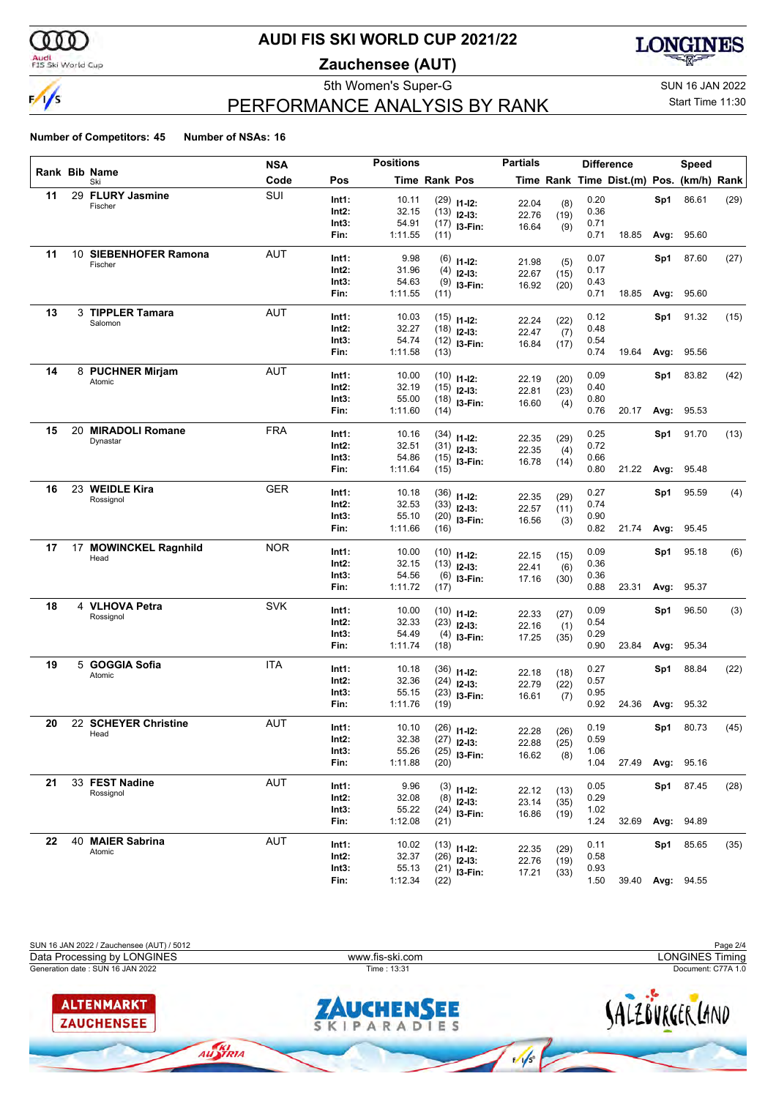

#### Audi<br>FIS Ski World Cup

## **AUDI FIS SKI WORLD CUP 2021/22**

**Zauchensee (AUT)**



# PERFORMANCE ANALYSIS BY RANK

5th Women's Super-G Super-G SUN 16 JAN 2022 Start Time 11:30

|    |    |                             | <b>NSA</b> |                | <b>Positions</b> |               |                                | <b>Partials</b> |             |              | <b>Difference</b>                        |      | Speed            |      |
|----|----|-----------------------------|------------|----------------|------------------|---------------|--------------------------------|-----------------|-------------|--------------|------------------------------------------|------|------------------|------|
|    |    | Rank Bib Name<br>Ski        | Code       | Pos            |                  | Time Rank Pos |                                |                 |             |              | Time Rank Time Dist.(m) Pos. (km/h) Rank |      |                  |      |
| 11 |    | 29 FLURY Jasmine            | SUI        | Int1:          | 10.11            |               | $(29)$ 11-12:                  | 22.04           | (8)         | 0.20         |                                          | Sp1  | 86.61            | (29) |
|    |    | Fischer                     |            | Int2:          | 32.15            |               | $(13)$ 12-13:                  | 22.76           | (19)        | 0.36         |                                          |      |                  |      |
|    |    |                             |            | Int3:          | 54.91            |               | $(17)$ 13-Fin:                 | 16.64           | (9)         | 0.71         |                                          |      |                  |      |
|    |    |                             |            | Fin:           | 1:11.55          | (11)          |                                |                 |             | 0.71         | 18.85                                    | Avg: | 95.60            |      |
| 11 |    | 10 SIEBENHOFER Ramona       | <b>AUT</b> | Int1:          | 9.98             |               | $(6)$ 11-12:                   |                 |             | 0.07         |                                          | Sp1  | 87.60            | (27) |
|    |    | Fischer                     |            | Int2:          | 31.96            |               | $(4)$ 12-13:                   | 21.98           | (5)         | 0.17         |                                          |      |                  |      |
|    |    |                             |            | Int3:          | 54.63            |               | $(9)$ 13-Fin:                  | 22.67<br>16.92  | (15)        | 0.43         |                                          |      |                  |      |
|    |    |                             |            | Fin:           | 1:11.55          | (11)          |                                |                 | (20)        | 0.71         | 18.85                                    | Avg: | 95.60            |      |
| 13 |    | 3 TIPPLER Tamara            | <b>AUT</b> | Int1:          | 10.03            |               |                                |                 |             | 0.12         |                                          | Sp1  | 91.32            | (15) |
|    |    | Salomon                     |            | Int2:          | 32.27            |               | $(15)$ 11-12:<br>$(18)$ 12-13: | 22.24           | (22)        | 0.48         |                                          |      |                  |      |
|    |    |                             |            | Int3:          | 54.74            |               | $(12)$ 13-Fin:                 | 22.47           | (7)         | 0.54         |                                          |      |                  |      |
|    |    |                             |            | Fin:           | 1:11.58          | (13)          |                                | 16.84           | (17)        | 0.74         | 19.64                                    | Avg: | 95.56            |      |
| 14 |    | 8 PUCHNER Mirjam            | AUT        |                |                  |               |                                |                 |             |              |                                          |      |                  |      |
|    |    | Atomic                      |            | Int1:<br>Int2: | 10.00<br>32.19   |               | $(10)$ 11-12:                  | 22.19           | (20)        | 0.09<br>0.40 |                                          | Sp1  | 83.82            | (42) |
|    |    |                             |            | Int3:          | 55.00            |               | $(15)$ 12-13:                  | 22.81           | (23)        | 0.80         |                                          |      |                  |      |
|    |    |                             |            | Fin:           | 1:11.60          | (14)          | $(18)$ 13-Fin:                 | 16.60           | (4)         | 0.76         | 20.17                                    | Avg: | 95.53            |      |
|    | 20 | <b>MIRADOLI Romane</b>      | <b>FRA</b> |                |                  |               |                                |                 |             |              |                                          |      |                  |      |
| 15 |    | Dynastar                    |            | Int1:          | 10.16            |               | $(34)$ 11-12:                  | 22.35           | (29)        | 0.25         |                                          | Sp1  | 91.70            | (13) |
|    |    |                             |            | Int2:          | 32.51            |               | $(31)$ 12-13:                  | 22.35           | (4)         | 0.72         |                                          |      |                  |      |
|    |    |                             |            | Int3:          | 54.86            |               | $(15)$ 13-Fin:                 | 16.78           | (14)        | 0.66         |                                          |      |                  |      |
|    |    |                             |            | Fin:           | 1:11.64          | (15)          |                                |                 |             | 0.80         | 21.22                                    | Avg: | 95.48            |      |
| 16 |    | 23 WEIDLE Kira              | <b>GER</b> | Int1:          | 10.18            |               | $(36)$ 11-12:                  | 22.35           | (29)        | 0.27         |                                          | Sp1  | 95.59            | (4)  |
|    |    | Rossignol                   |            | Int2:          | 32.53            |               | $(33)$ 12-13:                  | 22.57           | (11)        | 0.74         |                                          |      |                  |      |
|    |    |                             |            | Int3:          | 55.10            |               | $(20)$ 13-Fin:                 | 16.56           | (3)         | 0.90         |                                          |      |                  |      |
|    |    |                             |            | Fin:           | 1:11.66          | (16)          |                                |                 |             | 0.82         | 21.74                                    | Avg: | 95.45            |      |
| 17 |    | 17 MOWINCKEL Ragnhild       | <b>NOR</b> | Int1:          | 10.00            |               | $(10)$ 11-12:                  |                 |             | 0.09         |                                          | Sp1  | 95.18            | (6)  |
|    |    | Head                        |            | Int2:          | 32.15            |               | $(13)$ 12-13:                  | 22.15           | (15)        | 0.36         |                                          |      |                  |      |
|    |    |                             |            | Int3:          | 54.56            |               | $(6)$ 13-Fin:                  | 22.41<br>17.16  | (6)<br>(30) | 0.36         |                                          |      |                  |      |
|    |    |                             |            | Fin:           | 1:11.72          | (17)          |                                |                 |             | 0.88         | 23.31                                    | Avg: | 95.37            |      |
| 18 |    | 4 VLHOVA Petra              | <b>SVK</b> | Int1:          | 10.00            |               |                                |                 |             | 0.09         |                                          | Sp1  | 96.50            | (3)  |
|    |    | Rossignol                   |            | Int2:          | 32.33            |               | $(10)$ 11-12:                  | 22.33           | (27)        | 0.54         |                                          |      |                  |      |
|    |    |                             |            | Int3:          | 54.49            |               | $(23)$ 12-13:<br>$(4)$ 13-Fin: | 22.16           | (1)         | 0.29         |                                          |      |                  |      |
|    |    |                             |            | Fin:           | 1:11.74          | (18)          |                                | 17.25           | (35)        | 0.90         | 23.84                                    | Avg: | 95.34            |      |
| 19 |    | 5 GOGGIA Sofia              | <b>ITA</b> |                |                  |               |                                |                 |             |              |                                          |      |                  |      |
|    |    | Atomic                      |            | Int1:<br>Int2: | 10.18<br>32.36   |               | $(36)$ 11-12:                  | 22.18           | (18)        | 0.27<br>0.57 |                                          | Sp1  | 88.84            | (22) |
|    |    |                             |            | Int3:          | 55.15            |               | $(24)$ 12-13:                  | 22.79           | (22)        | 0.95         |                                          |      |                  |      |
|    |    |                             |            | Fin:           | 1:11.76          | (19)          | $(23)$ 13-Fin:                 | 16.61           | (7)         | 0.92         | 24.36                                    | Avg: | 95.32            |      |
| 20 |    | 22 SCHEYER Christine        | <b>AUT</b> |                |                  |               |                                |                 |             |              |                                          |      |                  |      |
|    |    | Head                        |            | Int1:          | 10.10            |               | $(26)$ 11-12:                  | 22.28           | (26)        | 0.19         |                                          | Sp1  | 80.73            | (45) |
|    |    |                             |            | Int2:          | 32.38<br>55.26   |               | $(27)$ 12-13:                  | 22.88           | (25)        | 0.59         |                                          |      |                  |      |
|    |    |                             |            | Int3:<br>Fin:  | 1:11.88          | (20)          | $(25)$ 13-Fin:                 | 16.62           | (8)         | 1.06<br>1.04 |                                          |      | 27.49 Avg: 95.16 |      |
|    |    |                             |            |                |                  |               |                                |                 |             |              |                                          |      |                  |      |
| 21 |    | 33 FEST Nadine<br>Rossignol | AUT        | Int1:          | 9.96             |               | $(3)$ 11-12:                   | 22.12           | (13)        | 0.05         |                                          | Sp1  | 87.45            | (28) |
|    |    |                             |            | $Int2$ :       | 32.08            |               | $(8)$ 12-13:                   | 23.14           | (35)        | 0.29         |                                          |      |                  |      |
|    |    |                             |            | Int3:<br>Fin:  | 55.22<br>1:12.08 | (21)          | $(24)$ 13-Fin:                 | 16.86           | (19)        | 1.02<br>1.24 | 32.69                                    | Avg: | 94.89            |      |
|    |    |                             |            |                |                  |               |                                |                 |             |              |                                          |      |                  |      |
| 22 |    | 40 MAIER Sabrina<br>Atomic  | AUT        | Int1:          | 10.02            |               | $(13)$ 11-12:                  | 22.35           | (29)        | 0.11         |                                          | Sp1  | 85.65            | (35) |
|    |    |                             |            | $Int2$ :       | 32.37            |               | $(26)$ 12-13:                  | 22.76           | (19)        | 0.58         |                                          |      |                  |      |
|    |    |                             |            | Int3:          | 55.13            |               | $(21)$ 13-Fin:                 | 17.21           | (33)        | 0.93         |                                          |      |                  |      |
|    |    |                             |            | Fin:           | 1:12.34          | (22)          |                                |                 |             | 1.50         |                                          |      | 39.40 Avg: 94.55 |      |

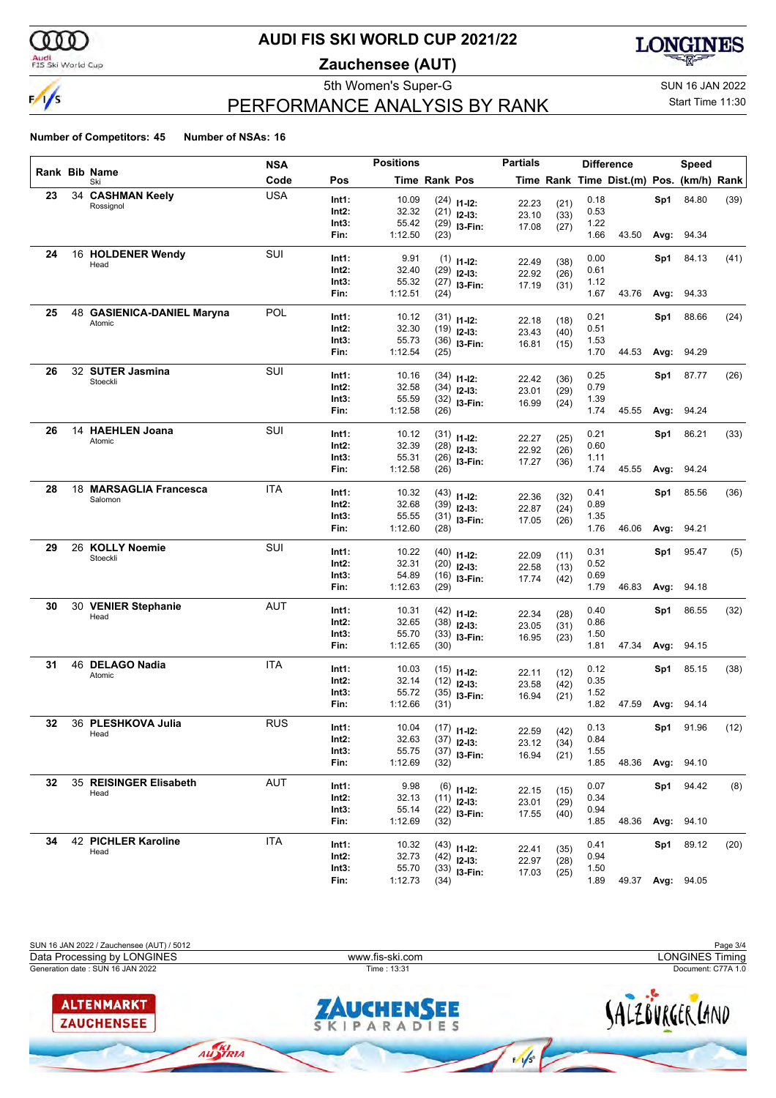

#### Audi<br>FIS Ski World Cup

## **AUDI FIS SKI WORLD CUP 2021/22**

**Zauchensee (AUT)**



# PERFORMANCE ANALYSIS BY RANK

#### 5th Women's Super-G Super-G SUN 16 JAN 2022 Start Time 11:30

|    |                              | <b>NSA</b> |       | <b>Positions</b> |                      |                                | <b>Partials</b> |      |              | <b>Difference</b>                        |      | Speed |      |
|----|------------------------------|------------|-------|------------------|----------------------|--------------------------------|-----------------|------|--------------|------------------------------------------|------|-------|------|
|    | <b>Rank Bib Name</b><br>Ski  | Code       | Pos   |                  | <b>Time Rank Pos</b> |                                |                 |      |              | Time Rank Time Dist.(m) Pos. (km/h) Rank |      |       |      |
| 23 | 34 CASHMAN Keely             | <b>USA</b> | Int1: | 10.09            |                      |                                |                 |      | 0.18         |                                          | Sp1  | 84.80 | (39) |
|    | Rossignol                    |            | Int2: | 32.32            |                      | $(24)$ 11-12:<br>$(21)$ 12-13: | 22.23           | (21) | 0.53         |                                          |      |       |      |
|    |                              |            | Int3: | 55.42            | (29)                 |                                | 23.10           | (33) | 1.22         |                                          |      |       |      |
|    |                              |            | Fin:  | 1:12.50          | (23)                 | I3-Fin:                        | 17.08           | (27) | 1.66         | 43.50                                    | Avg: | 94.34 |      |
|    |                              |            |       |                  |                      |                                |                 |      |              |                                          |      |       |      |
| 24 | 16 HOLDENER Wendy<br>Head    | SUI        | Int1: | 9.91             | (1)                  | $11 - 12$ :                    | 22.49           | (38) | 0.00         |                                          | Sp1  | 84.13 | (41) |
|    |                              |            | Int2: | 32.40            | (29)                 | $12-13:$                       | 22.92           | (26) | 0.61         |                                          |      |       |      |
|    |                              |            | Int3: | 55.32            | (27)                 | I3-Fin:                        | 17.19           | (31) | 1.12         |                                          |      |       |      |
|    |                              |            | Fin:  | 1:12.51          | (24)                 |                                |                 |      | 1.67         | 43.76                                    | Avg: | 94.33 |      |
| 25 | 48 GASIENICA-DANIEL Maryna   | <b>POL</b> | Int1: | 10.12            | (31)                 |                                |                 |      | 0.21         |                                          | Sp1  | 88.66 | (24) |
|    | Atomic                       |            | Int2: | 32.30            | (19)                 | $11 - 12$ :                    | 22.18           | (18) | 0.51         |                                          |      |       |      |
|    |                              |            | Int3: | 55.73            | (36)                 | $12-13:$                       | 23.43           | (40) | 1.53         |                                          |      |       |      |
|    |                              |            | Fin:  | 1:12.54          | (25)                 | $13-Fin:$                      | 16.81           | (15) | 1.70         | 44.53                                    | Avg: | 94.29 |      |
|    |                              |            |       |                  |                      |                                |                 |      |              |                                          |      |       |      |
| 26 | 32 SUTER Jasmina<br>Stoeckli | SUI        | Int1: | 10.16            | (34)                 | $11 - 12$ :                    | 22.42           | (36) | 0.25         |                                          | Sp1  | 87.77 | (26) |
|    |                              |            | Int2: | 32.58            | (34)                 | $12-13:$                       | 23.01           | (29) | 0.79         |                                          |      |       |      |
|    |                              |            | Int3: | 55.59            | (32)                 | I3-Fin:                        | 16.99           | (24) | 1.39         |                                          |      |       |      |
|    |                              |            | Fin:  | 1:12.58          | (26)                 |                                |                 |      | 1.74         | 45.55                                    | Avg: | 94.24 |      |
| 26 | 14 HAEHLEN Joana             | SUI        | Int1: | 10.12            |                      |                                |                 |      | 0.21         |                                          |      | 86.21 | (33) |
|    | Atomic                       |            | Int2: | 32.39            |                      | $(31)$ 11-12:                  | 22.27           | (25) | 0.60         |                                          | Sp1  |       |      |
|    |                              |            | Int3: | 55.31            | (28)                 | $12-13:$                       | 22.92           | (26) |              |                                          |      |       |      |
|    |                              |            | Fin:  | 1:12.58          | (26)                 | I3-Fin:                        | 17.27           | (36) | 1.11<br>1.74 | 45.55                                    |      | 94.24 |      |
|    |                              |            |       |                  | (26)                 |                                |                 |      |              |                                          | Avg: |       |      |
| 28 | 18 MARSAGLIA Francesca       | <b>ITA</b> | Int1: | 10.32            | (43)                 | $11 - 12$ :                    | 22.36           | (32) | 0.41         |                                          | Sp1  | 85.56 | (36) |
|    | Salomon                      |            | Int2: | 32.68            | (39)                 | $12-13:$                       | 22.87           | (24) | 0.89         |                                          |      |       |      |
|    |                              |            | Int3: | 55.55            | (31)                 | I3-Fin:                        | 17.05           | (26) | 1.35         |                                          |      |       |      |
|    |                              |            | Fin:  | 1:12.60          | (28)                 |                                |                 |      | 1.76         | 46.06                                    | Avg: | 94.21 |      |
| 29 | 26 KOLLY Noemie              | SUI        |       |                  |                      |                                |                 |      |              |                                          |      |       |      |
|    | Stoeckli                     |            | Int1: | 10.22            | (40)                 | $11 - 12$ :                    | 22.09           | (11) | 0.31         |                                          | Sp1  | 95.47 | (5)  |
|    |                              |            | Int2: | 32.31            | (20)                 | $12-13:$                       | 22.58           | (13) | 0.52         |                                          |      |       |      |
|    |                              |            | Int3: | 54.89            | (16)                 | I3-Fin:                        | 17.74           | (42) | 0.69         |                                          |      |       |      |
|    |                              |            | Fin:  | 1:12.63          | (29)                 |                                |                 |      | 1.79         | 46.83                                    | Avg: | 94.18 |      |
| 30 | 30 VENIER Stephanie          | <b>AUT</b> | Int1: | 10.31            | (42)                 | $11 - 12$ :                    | 22.34           | (28) | 0.40         |                                          | Sp1  | 86.55 | (32) |
|    | Head                         |            | Int2: | 32.65            | (38)                 | $12-13:$                       | 23.05           | (31) | 0.86         |                                          |      |       |      |
|    |                              |            | Int3: | 55.70            | (33)                 | I3-Fin:                        | 16.95           | (23) | 1.50         |                                          |      |       |      |
|    |                              |            | Fin:  | 1:12.65          | (30)                 |                                |                 |      | 1.81         | 47.34                                    | Avg: | 94.15 |      |
| 31 | 46 DELAGO Nadia              | ITA        |       |                  |                      |                                |                 |      |              |                                          |      |       |      |
|    | Atomic                       |            | Int1: | 10.03            |                      | $(15)$ 11-12:                  | 22.11           | (12) | 0.12         |                                          | Sp1  | 85.15 | (38) |
|    |                              |            | Int2: | 32.14            | (12)                 | $12-13:$                       | 23.58           | (42) | 0.35         |                                          |      |       |      |
|    |                              |            | Int3: | 55.72            | (35)                 | I3-Fin:                        | 16.94           | (21) | 1.52<br>1.82 |                                          |      |       |      |
|    |                              |            | Fin:  | 1:12.66          | (31)                 |                                |                 |      |              | 47.59                                    | Avg: | 94.14 |      |
| 32 | 36 PLESHKOVA Julia           | <b>RUS</b> | Int1: | 10.04            |                      | $(17)$ is in.                  | 22.50           | (40) | 0.13         |                                          | Sp1  | 91.96 | (12) |

| JZ. | <b>JU FLEJHNUVA JUHA</b><br>Head | טטרו       | Int1:<br>Int2:<br>Int3:<br>Fin: | 10.04<br>32.63<br>55.75<br>1:12.69 | $(17)$ 11-12:<br>$(37)$ 12-13:<br>$(37)$ 13-Fin:<br>(32) | 22.59<br>23.12<br>16.94 | (42)<br>(34)<br>(21) | 0.13<br>0.84<br>1.55<br>1.85 | 48.36 | Sp1<br>Avg: | 91.96<br>94.10 | (12) |
|-----|----------------------------------|------------|---------------------------------|------------------------------------|----------------------------------------------------------|-------------------------|----------------------|------------------------------|-------|-------------|----------------|------|
| 32  | 35 REISINGER Elisabeth<br>Head   | <b>AUT</b> | Int1:<br>Int2:<br>Int3:<br>Fin: | 9.98<br>32.13<br>55.14<br>1:12.69  | $(6)$ 11-12:<br>$(11)$ 12-13:<br>$(22)$ 13-Fin:<br>(32)  | 22.15<br>23.01<br>17.55 | (15)<br>(29)<br>(40) | 0.07<br>0.34<br>0.94<br>.85  | 48.36 | Sp1<br>Avg: | 94.42<br>94.10 | (8)  |
| 34  | 42 PICHLER Karoline<br>Head      | ITA        | Int1:<br>Int2:<br>Int3:<br>Fin: | 10.32<br>32.73<br>55.70<br>1:12.73 | $(43)$ 11-12:<br>$(42)$ 12-13:<br>$(33)$ 13-Fin:<br>(34) | 22.41<br>22.97<br>17.03 | (35)<br>(28)<br>(25) | 0.41<br>0.94<br>1.50<br>1.89 | 49.37 | Sp1<br>Avg: | 89.12<br>94.05 | (20) |

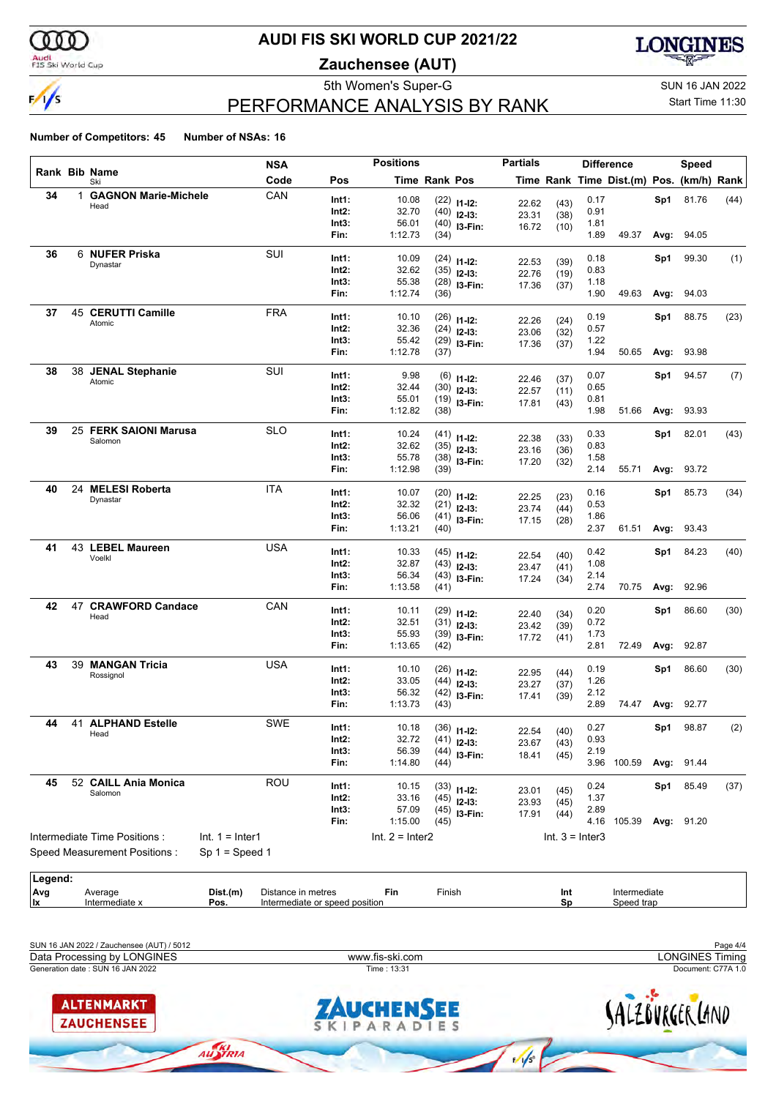

#### Audi<br>FIS Ski World Cup

## **AUDI FIS SKI WORLD CUP 2021/22**

**Zauchensee (AUT)**



# PERFORMANCE ANALYSIS BY RANK

5th Women's Super-G Super-G SUN 16 JAN 2022 Start Time 11:30

#### **Number of Competitors: 45 Number of NSAs: 16**

|         |    |                              |                   | <b>NSA</b>         |                                | <b>Positions</b>  |                      |                                | <b>Partials</b> |                   |      | <b>Difference</b>                        |      | Speed             |      |
|---------|----|------------------------------|-------------------|--------------------|--------------------------------|-------------------|----------------------|--------------------------------|-----------------|-------------------|------|------------------------------------------|------|-------------------|------|
|         |    | Rank Bib Name<br>Ski         |                   | Code               | Pos                            |                   | <b>Time Rank Pos</b> |                                |                 |                   |      | Time Rank Time Dist.(m) Pos. (km/h) Rank |      |                   |      |
| 34      |    | 1 GAGNON Marie-Michele       |                   | CAN                | Int1:                          | 10.08             |                      | $(22)$ 11-12:                  | 22.62           | (43)              | 0.17 |                                          | Sp1  | 81.76             | (44) |
|         |    | Head                         |                   |                    | Int2:                          | 32.70             |                      | $(40)$ 12-13:                  | 23.31           | (38)              | 0.91 |                                          |      |                   |      |
|         |    |                              |                   |                    | Int3:                          | 56.01             |                      | $(40)$ 13-Fin:                 | 16.72           | (10)              | 1.81 |                                          |      |                   |      |
|         |    |                              |                   |                    | Fin:                           | 1:12.73           | (34)                 |                                |                 |                   | 1.89 | 49.37                                    | Avg: | 94.05             |      |
| 36      |    | 6 NUFER Priska               |                   | SUI                | Int1:                          | 10.09             |                      | $(24)$ 11-12:                  |                 |                   | 0.18 |                                          | Sp1  | 99.30             | (1)  |
|         |    | Dynastar                     |                   |                    | Int2:                          | 32.62             |                      | $(35)$ 12-13:                  | 22.53<br>22.76  | (39)<br>(19)      | 0.83 |                                          |      |                   |      |
|         |    |                              |                   |                    | Int3:                          | 55.38             |                      | $(28)$ 13-Fin:                 | 17.36           | (37)              | 1.18 |                                          |      |                   |      |
|         |    |                              |                   |                    | Fin:                           | 1:12.74           | (36)                 |                                |                 |                   | 1.90 | 49.63                                    | Avg: | 94.03             |      |
| 37      |    | 45 CERUTTI Camille           |                   | <b>FRA</b>         | Int1:                          | 10.10             |                      | $(26)$ 11-12:                  |                 |                   | 0.19 |                                          | Sp1  | 88.75             | (23) |
|         |    | Atomic                       |                   |                    | Int2:                          | 32.36             |                      | $(24)$ 12-13:                  | 22.26<br>23.06  | (24)<br>(32)      | 0.57 |                                          |      |                   |      |
|         |    |                              |                   |                    | Int3:                          | 55.42             |                      | $(29)$ 13-Fin:                 | 17.36           | (37)              | 1.22 |                                          |      |                   |      |
|         |    |                              |                   |                    | Fin:                           | 1:12.78           | (37)                 |                                |                 |                   | 1.94 | 50.65                                    | Avg: | 93.98             |      |
| 38      |    | 38 JENAL Stephanie           |                   | SUI                | Int1:                          | 9.98              |                      | $(6)$ 11-12:                   |                 |                   | 0.07 |                                          | Sp1  | 94.57             | (7)  |
|         |    | Atomic                       |                   |                    | $Int2$ :                       | 32.44             |                      | $(30)$ 12-13:                  | 22.46<br>22.57  | (37)<br>(11)      | 0.65 |                                          |      |                   |      |
|         |    |                              |                   |                    | Int3:                          | 55.01             |                      | $(19)$ 13-Fin:                 | 17.81           | (43)              | 0.81 |                                          |      |                   |      |
|         |    |                              |                   |                    | Fin:                           | 1:12.82           | (38)                 |                                |                 |                   | 1.98 | 51.66                                    | Avg: | 93.93             |      |
| 39      |    | 25 FERK SAIONI Marusa        |                   | <b>SLO</b>         | Int1:                          | 10.24             |                      |                                |                 |                   | 0.33 |                                          | Sp1  | 82.01             | (43) |
|         |    | Salomon                      |                   |                    | Int2:                          | 32.62             |                      | $(41)$ 11-12:<br>$(35)$ 12-13: | 22.38           | (33)              | 0.83 |                                          |      |                   |      |
|         |    |                              |                   |                    | Int3:                          | 55.78             |                      | $(38)$ 13-Fin:                 | 23.16<br>17.20  | (36)<br>(32)      | 1.58 |                                          |      |                   |      |
|         |    |                              |                   |                    | Fin:                           | 1:12.98           | (39)                 |                                |                 |                   | 2.14 | 55.71                                    | Avg: | 93.72             |      |
| 40      |    | 24 MELESI Roberta            |                   | <b>ITA</b>         | Int1:                          | 10.07             |                      |                                |                 |                   | 0.16 |                                          | Sp1  | 85.73             | (34) |
|         |    | Dynastar                     |                   |                    | Int2:                          | 32.32             |                      | $(20)$ 11-12:<br>$(21)$ 12-13: | 22.25           | (23)              | 0.53 |                                          |      |                   |      |
|         |    |                              |                   |                    | Int3:                          | 56.06             |                      | $(41)$ 13-Fin:                 | 23.74<br>17.15  | (44)<br>(28)      | 1.86 |                                          |      |                   |      |
|         |    |                              |                   |                    | Fin:                           | 1:13.21           | (40)                 |                                |                 |                   | 2.37 | 61.51                                    | Avg: | 93.43             |      |
| 41      |    | 43 LEBEL Maureen             |                   | <b>USA</b>         | Int1:                          | 10.33             |                      |                                |                 |                   | 0.42 |                                          | Sp1  | 84.23             | (40) |
|         |    | Voelkl                       |                   |                    | Int2:                          | 32.87             |                      | $(45)$ 11-12:<br>$(43)$ 12-13: | 22.54           | (40)              | 1.08 |                                          |      |                   |      |
|         |    |                              |                   |                    | Int3:                          | 56.34             |                      | $(43)$ 13-Fin:                 | 23.47<br>17.24  | (41)<br>(34)      | 2.14 |                                          |      |                   |      |
|         |    |                              |                   |                    | Fin:                           | 1:13.58           | (41)                 |                                |                 |                   | 2.74 | 70.75                                    | Avg: | 92.96             |      |
| 42      | 47 | <b>CRAWFORD Candace</b>      |                   | CAN                | Int1:                          | 10.11             |                      |                                |                 |                   | 0.20 |                                          | Sp1  | 86.60             | (30) |
|         |    | Head                         |                   |                    | $Int2$ :                       | 32.51             |                      | $(29)$ 11-12:<br>$(31)$ 12-13: | 22.40           | (34)              | 0.72 |                                          |      |                   |      |
|         |    |                              |                   |                    | Int3:                          | 55.93             |                      | $(39)$ 13-Fin:                 | 23.42<br>17.72  | (39)<br>(41)      | 1.73 |                                          |      |                   |      |
|         |    |                              |                   |                    | Fin:                           | 1:13.65           | (42)                 |                                |                 |                   | 2.81 | 72.49                                    | Avg: | 92.87             |      |
| 43      |    | 39 MANGAN Tricia             |                   | USA                | Int1:                          | 10.10             |                      |                                |                 |                   | 0.19 |                                          | Sp1  | 86.60             | (30) |
|         |    | Rossignol                    |                   |                    | Int2:                          | 33.05             |                      | $(26)$ 11-12:<br>$(44)$ 12-13: | 22.95           | (44)              | 1.26 |                                          |      |                   |      |
|         |    |                              |                   |                    | Int3:                          | 56.32             |                      | $(42)$ 13-Fin:                 | 23.27<br>17.41  | (37)<br>(39)      | 2.12 |                                          |      |                   |      |
|         |    |                              |                   |                    | Fin:                           | 1:13.73           | (43)                 |                                |                 |                   | 2.89 | 74.47                                    | Avg: | 92.77             |      |
| 44      |    | <b>41 ALPHAND Estelle</b>    |                   | SWE                | Int1:                          | 10.18             |                      | $(36)$ 11-12:                  |                 |                   | 0.27 |                                          | Sp1  | 98.87             | (2)  |
|         |    | Head                         |                   |                    | Int2:                          | 32.72             |                      | $(41)$ 12-13:                  | 22.54<br>23.67  | (40)              | 0.93 |                                          |      |                   |      |
|         |    |                              |                   |                    | Int3:                          | 56.39             |                      | $(44)$ 13-Fin:                 | 18.41           | (43)<br>(45)      | 2.19 |                                          |      |                   |      |
|         |    |                              |                   |                    | Fin:                           | 1:14.80           | (44)                 |                                |                 |                   |      | 3.96 100.59                              |      | <b>Avg: 91.44</b> |      |
| 45      |    | 52 CAILL Ania Monica         |                   | ROU                | Int1:                          | 10.15             |                      | $(33)$ 11-12:                  |                 |                   | 0.24 |                                          | Sp1  | 85.49             | (37) |
|         |    | Salomon                      |                   |                    | Int2:                          | 33.16             |                      | $(45)$ 12-13:                  | 23.01<br>23.93  | (45)<br>(45)      | 1.37 |                                          |      |                   |      |
|         |    |                              |                   |                    | Int3:                          | 57.09             |                      | $(45)$ 13-Fin:                 | 17.91           | (44)              | 2.89 |                                          |      |                   |      |
|         |    |                              |                   |                    | Fin:                           | 1:15.00           | (45)                 |                                |                 |                   |      | 4.16 105.39                              |      | <b>Avg: 91.20</b> |      |
|         |    | Intermediate Time Positions: | $Int. 1 = Inter1$ |                    |                                | $Int. 2 = Inter2$ |                      |                                |                 | $Int. 3 = Inter3$ |      |                                          |      |                   |      |
|         |    | Speed Measurement Positions: | $Sp 1 = Speed 1$  |                    |                                |                   |                      |                                |                 |                   |      |                                          |      |                   |      |
| Legend: |    |                              |                   |                    |                                |                   |                      |                                |                 |                   |      |                                          |      |                   |      |
| Avg     |    | Average                      | Dist.(m)          | Distance in metres |                                | Fin               | Finish               |                                |                 | Int               |      | Intermediate                             |      |                   |      |
| lx.     |    | Intermediate x               | Pos.              |                    | Intermediate or speed position |                   |                      |                                |                 | Sp                |      | Speed trap                               |      |                   |      |

SUN 16 JAN 2022 / Zauchensee (AUT) / 5012 Page 4/4 Data Processing by LONGINES www.fis-ski.com LONGINES TimingGeneration date : SUN 16 JAN 2022 Time : 13:31 Document: C77A 1.0 **ALTENMARKT** SALZBURGER LAND CHENSEE **ZAUCHENSEE** KIPARADIES  $\overline{\mathsf{s}}$  $\frac{1}{\sqrt{5}}$ 

**Intermediate or speed position** 

AUSTRIA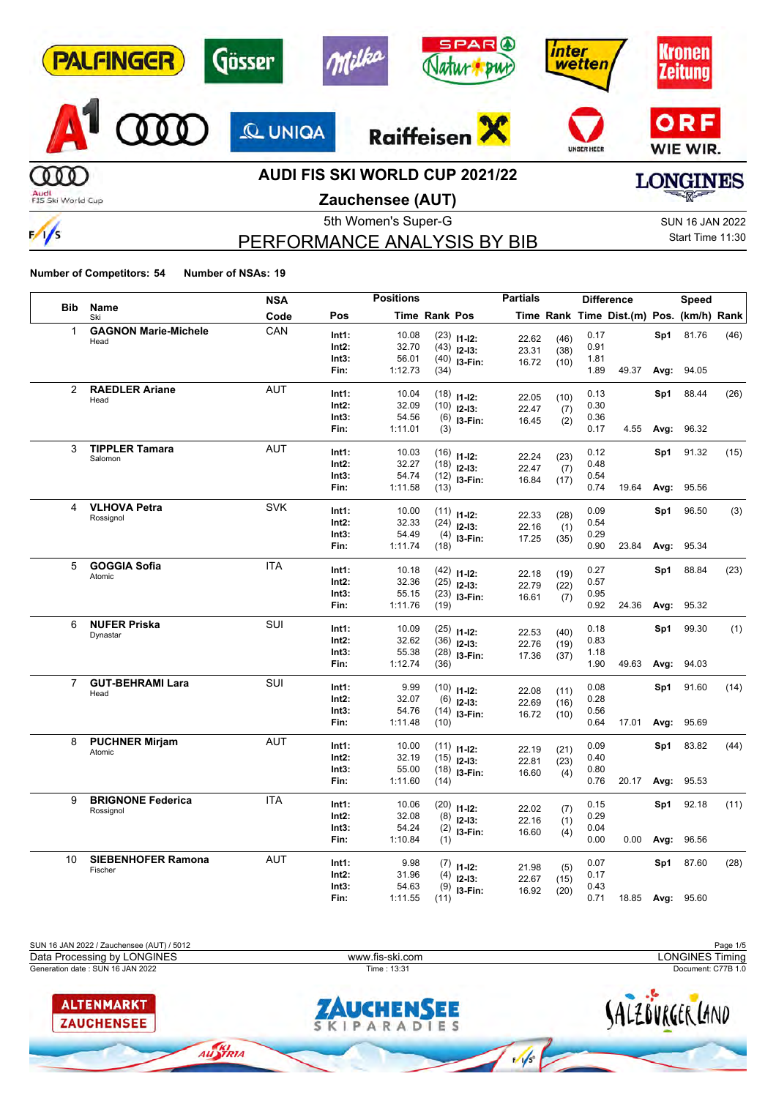| <b>PALFINGER</b>          | Gösser         | <b>SPAR</b> <sup>O</sup><br>$M_H$ /20<br><b>DWC</b>               | ınter<br><b>wetten</b> | ronen<br>leitung               |
|---------------------------|----------------|-------------------------------------------------------------------|------------------------|--------------------------------|
|                           | <b>Q UNIGA</b> | Raiffeisen                                                        | <b>UNSER HEER</b>      | ORF<br>WIE WIR.                |
| Audi<br>FIS Ski World Cup |                | <b>AUDI FIS SKI WORLD CUP 2021/22</b><br><b>Zauchensee (ALIT)</b> |                        | <b>NGINES</b><br><b>RACTES</b> |

**Zauchensee (AUT)**

# PERFORMANCE ANALYSIS BY BIB

5th Women's Super-G Super-G SUN 16 JAN 2022 Start Time 11:30

**Number of Competitors: 54 Number of NSAs: 19**

 $\frac{1}{\sqrt{2}}$ 

|                |                                       | <b>NSA</b> |                | <b>Positions</b> |                      |                                | <b>Partials</b> |              |              | <b>Difference</b>                        |      | Speed |      |
|----------------|---------------------------------------|------------|----------------|------------------|----------------------|--------------------------------|-----------------|--------------|--------------|------------------------------------------|------|-------|------|
| <b>Bib</b>     | Name<br>Ski                           | Code       | Pos            |                  | <b>Time Rank Pos</b> |                                |                 |              |              | Time Rank Time Dist.(m) Pos. (km/h) Rank |      |       |      |
| 1              | <b>GAGNON Marie-Michele</b>           | CAN        | Int1:          | 10.08            |                      | $(23)$ 11-12:                  |                 |              | 0.17         |                                          | Sp1  | 81.76 | (46) |
|                | Head                                  |            | Int2:          | 32.70            |                      | $(43)$ 12-13:                  | 22.62<br>23.31  | (46)<br>(38) | 0.91         |                                          |      |       |      |
|                |                                       |            | Int3:          | 56.01            |                      | $(40)$ 13-Fin:                 | 16.72           | (10)         | 1.81         |                                          |      |       |      |
|                |                                       |            | Fin:           | 1:12.73          | (34)                 |                                |                 |              | 1.89         | 49.37                                    | Avg: | 94.05 |      |
| 2              | <b>RAEDLER Ariane</b>                 | <b>AUT</b> | Int1:          | 10.04            |                      |                                |                 |              | 0.13         |                                          | Sp1  | 88.44 | (26) |
|                | Head                                  |            | Int2:          | 32.09            |                      | $(18)$ 11-12:                  | 22.05           | (10)         | 0.30         |                                          |      |       |      |
|                |                                       |            | Int3:          | 54.56            |                      | $(10)$ 12-13:                  | 22.47           | (7)          | 0.36         |                                          |      |       |      |
|                |                                       |            | Fin:           | 1:11.01          | (3)                  | $(6)$ 13-Fin:                  | 16.45           | (2)          | 0.17         | 4.55                                     | Avg: | 96.32 |      |
| 3              | <b>TIPPLER Tamara</b>                 | <b>AUT</b> | Int1:          | 10.03            |                      |                                |                 |              | 0.12         |                                          |      | 91.32 |      |
|                | Salomon                               |            | Int2:          | 32.27            |                      | $(16)$ 11-12:                  | 22.24           | (23)         | 0.48         |                                          | Sp1  |       | (15) |
|                |                                       |            | Int3:          | 54.74            |                      | $(18)$ 12-13:                  | 22.47           | (7)          | 0.54         |                                          |      |       |      |
|                |                                       |            | Fin:           | 1:11.58          | (13)                 | $(12)$ 13-Fin:                 | 16.84           | (17)         | 0.74         | 19.64                                    | Avg: | 95.56 |      |
|                |                                       |            |                |                  |                      |                                |                 |              |              |                                          |      |       |      |
| 4              | <b>VLHOVA Petra</b>                   | <b>SVK</b> | Int1:          | 10.00            |                      | $(11)$ 11-12:                  | 22.33           | (28)         | 0.09         |                                          | Sp1  | 96.50 | (3)  |
|                | Rossignol                             |            | Int2:          | 32.33            |                      | $(24)$ 12-13:                  | 22.16           | (1)          | 0.54         |                                          |      |       |      |
|                |                                       |            | Int3:          | 54.49            |                      | $(4)$ 13-Fin:                  | 17.25           | (35)         | 0.29         |                                          |      |       |      |
|                |                                       |            | Fin:           | 1:11.74          | (18)                 |                                |                 |              | 0.90         | 23.84                                    | Avg: | 95.34 |      |
| 5              | <b>GOGGIA Sofia</b>                   | <b>ITA</b> | Int1:          | 10.18            |                      | $(42)$ 11-12:                  |                 |              | 0.27         |                                          | Sp1  | 88.84 | (23) |
|                | Atomic                                |            | Int2:          | 32.36            |                      | $(25)$ 12-13:                  | 22.18           | (19)         | 0.57         |                                          |      |       |      |
|                |                                       |            | Int3:          | 55.15            |                      | $(23)$ 13-Fin:                 | 22.79<br>16.61  | (22)<br>(7)  | 0.95         |                                          |      |       |      |
|                |                                       |            | Fin:           | 1:11.76          | (19)                 |                                |                 |              | 0.92         | 24.36                                    | Avg: | 95.32 |      |
| 6              | <b>NUFER Priska</b>                   | <b>SUI</b> | Int1:          | 10.09            |                      |                                |                 |              | 0.18         |                                          | Sp1  | 99.30 | (1)  |
|                | Dynastar                              |            | Int2:          | 32.62            |                      | $(25)$ 11-12:<br>$(36)$ 12-13: | 22.53           | (40)         | 0.83         |                                          |      |       |      |
|                |                                       |            | Int3:          | 55.38            |                      | $(28)$ 13-Fin:                 | 22.76           | (19)         | 1.18         |                                          |      |       |      |
|                |                                       |            | Fin:           | 1:12.74          | (36)                 |                                | 17.36           | (37)         | 1.90         | 49.63                                    | Avg: | 94.03 |      |
| $\overline{7}$ | <b>GUT-BEHRAMI Lara</b>               | SUI        | Int1:          | 9.99             |                      |                                |                 |              | 0.08         |                                          | Sp1  | 91.60 | (14) |
|                | Head                                  |            | Int2:          | 32.07            |                      | $(10)$ 11-12:                  | 22.08           | (11)         | 0.28         |                                          |      |       |      |
|                |                                       |            | Int3:          | 54.76            |                      | $(6)$ 12-13:                   | 22.69           | (16)         | 0.56         |                                          |      |       |      |
|                |                                       |            | Fin:           | 1:11.48          | (10)                 | $(14)$ 13-Fin:                 | 16.72           | (10)         | 0.64         | 17.01                                    | Avg: | 95.69 |      |
| 8              | <b>PUCHNER Mirjam</b>                 | <b>AUT</b> |                |                  |                      |                                |                 |              |              |                                          |      |       |      |
|                | Atomic                                |            | Int1:<br>Int2: | 10.00<br>32.19   |                      | $(11)$ $11-12$ :               | 22.19           | (21)         | 0.09<br>0.40 |                                          | Sp1  | 83.82 | (44) |
|                |                                       |            | Int3:          | 55.00            |                      | $(15)$ 12-13:                  | 22.81           | (23)         | 0.80         |                                          |      |       |      |
|                |                                       |            | Fin:           | 1:11.60          | (14)                 | $(18)$ 13-Fin:                 | 16.60           | (4)          | 0.76         | 20.17                                    | Avg: | 95.53 |      |
|                |                                       |            |                |                  |                      |                                |                 |              |              |                                          |      |       |      |
| 9              | <b>BRIGNONE Federica</b><br>Rossignol | <b>ITA</b> | Int1:          | 10.06            |                      | $(20)$ 11-12:                  | 22.02           | (7)          | 0.15         |                                          | Sp1  | 92.18 | (11) |
|                |                                       |            | Int2:          | 32.08            |                      | $(8)$ 12-13:                   | 22.16           | (1)          | 0.29         |                                          |      |       |      |
|                |                                       |            | Int3:          | 54.24            |                      | $(2)$ 13-Fin:                  | 16.60           | (4)          | 0.04         |                                          |      |       |      |
|                |                                       |            | Fin:           | 1:10.84          | (1)                  |                                |                 |              | 0.00         | 0.00                                     | Avg: | 96.56 |      |
| 10             | <b>SIEBENHOFER Ramona</b><br>Fischer  | <b>AUT</b> | Int1:          | 9.98             |                      | $(7)$ 11-12:                   | 21.98           | (5)          | 0.07         |                                          | Sp1  | 87.60 | (28) |
|                |                                       |            | Int2:          | 31.96            | (4)                  | $12-13:$                       | 22.67           | (15)         | 0.17         |                                          |      |       |      |
|                |                                       |            | Int3:          | 54.63            | (9)                  | I3-Fin:                        | 16.92           | (20)         | 0.43         |                                          |      |       |      |
|                |                                       |            | Fin:           | 1:11.55          | (11)                 |                                |                 |              | 0.71         | 18.85 Avg:                               |      | 95.60 |      |

SUN 16 JAN 2022 / Zauchensee (AUT) / 5012 Page 1/5 Data Processing by LONGINES www.fis-ski.com LONGINES TimingGeneration date : SUN 16 JAN 2022 Time : 13:31 Document: C77B 1.0 SALZÖVRGER LAND **ALTENMARKT AUCHENSEE ZAUCHENSEE**  $\overline{\mathsf{s}}$  $\frac{1}{\sqrt{2}}$ AUSTRIA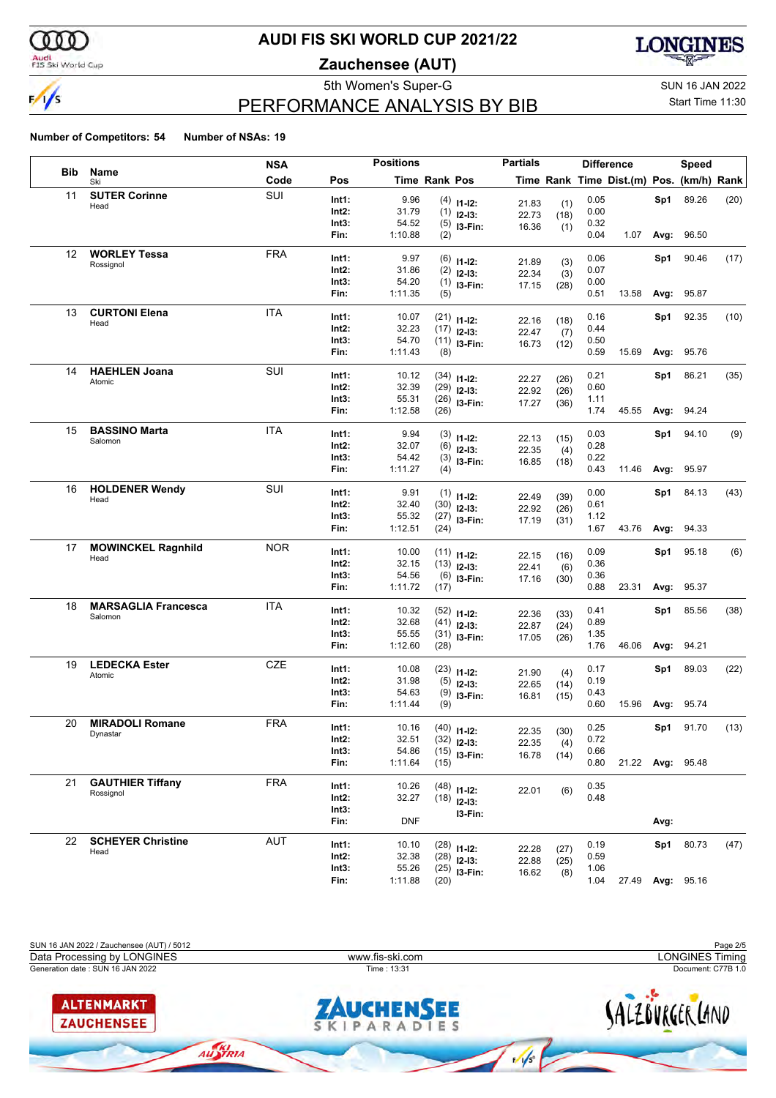

#### Audi<br>FIS Ski World Cup

## **AUDI FIS SKI WORLD CUP 2021/22**

**Zauchensee (AUT)**



# PERFORMANCE ANALYSIS BY BIB

5th Women's Super-G Super-G SUN 16 JAN 2022

### Start Time 11:30

|            |                            | <b>NSA</b> | <b>Positions</b> |            |                      |                               | <b>Partials</b> |              |      | <b>Difference</b>                        |      | <b>Speed</b>      |      |
|------------|----------------------------|------------|------------------|------------|----------------------|-------------------------------|-----------------|--------------|------|------------------------------------------|------|-------------------|------|
| <b>Bib</b> | Name<br>Ski                | Code       | Pos              |            | <b>Time Rank Pos</b> |                               |                 |              |      | Time Rank Time Dist.(m) Pos. (km/h) Rank |      |                   |      |
| 11         | <b>SUTER Corinne</b>       | SUI        | Int1:            | 9.96       |                      | $(4)$ 11-12:                  | 21.83           |              | 0.05 |                                          | Sp1  | 89.26             | (20) |
|            | Head                       |            | Int2:            | 31.79      |                      | $(1)$ 12-13:                  | 22.73           | (1)<br>(18)  | 0.00 |                                          |      |                   |      |
|            |                            |            | Int3:            | 54.52      |                      | $(5)$ 13-Fin:                 | 16.36           | (1)          | 0.32 |                                          |      |                   |      |
|            |                            |            | Fin:             | 1:10.88    | (2)                  |                               |                 |              | 0.04 | 1.07                                     |      | <b>Avg: 96.50</b> |      |
| 12         | <b>WORLEY Tessa</b>        | <b>FRA</b> | Int1:            | 9.97       |                      | $(6)$ 11-12:                  | 21.89           | (3)          | 0.06 |                                          | Sp1  | 90.46             | (17) |
|            | Rossignol                  |            | Int2:            | 31.86      |                      | $(2)$ 12-13:                  | 22.34           | (3)          | 0.07 |                                          |      |                   |      |
|            |                            |            | Int3:            | 54.20      |                      | $(1)$ 13-Fin:                 | 17.15           | (28)         | 0.00 |                                          |      |                   |      |
|            |                            |            | Fin:             | 1:11.35    | (5)                  |                               |                 |              | 0.51 | 13.58                                    | Avg: | 95.87             |      |
| 13         | <b>CURTONI Elena</b>       | <b>ITA</b> | Int1:            | 10.07      |                      | $(21)$ 11-12:                 | 22.16           | (18)         | 0.16 |                                          | Sp1  | 92.35             | (10) |
|            | Head                       |            | Int2:            | 32.23      |                      | $(17)$ 12-13:                 | 22.47           | (7)          | 0.44 |                                          |      |                   |      |
|            |                            |            | Int3:            | 54.70      |                      | $(11)$ 13-Fin:                | 16.73           | (12)         | 0.50 |                                          |      |                   |      |
|            |                            |            | Fin:             | 1:11.43    | (8)                  |                               |                 |              | 0.59 | 15.69                                    |      | Avg: 95.76        |      |
| 14         | <b>HAEHLEN Joana</b>       | SUI        | Int1:            | 10.12      |                      | $(34)$ 11-12:                 | 22.27           | (26)         | 0.21 |                                          | Sp1  | 86.21             | (35) |
|            | Atomic                     |            | Int2:            | 32.39      |                      | $(29)$ 12-13:                 | 22.92           | (26)         | 0.60 |                                          |      |                   |      |
|            |                            |            | Int3:            | 55.31      |                      | $(26)$ 13-Fin:                | 17.27           | (36)         | 1.11 |                                          |      |                   |      |
|            |                            |            | Fin:             | 1:12.58    | (26)                 |                               |                 |              | 1.74 | 45.55                                    | Avg: | 94.24             |      |
| 15         | <b>BASSINO Marta</b>       | <b>ITA</b> | Int1:            | 9.94       |                      | $(3)$ 11-12:                  |                 |              | 0.03 |                                          | Sp1  | 94.10             | (9)  |
|            | Salomon                    |            | Int2:            | 32.07      |                      | $(6)$ 12-13:                  | 22.13<br>22.35  | (15)         | 0.28 |                                          |      |                   |      |
|            |                            |            | Int3:            | 54.42      |                      | $(3)$ 13-Fin:                 | 16.85           | (4)<br>(18)  | 0.22 |                                          |      |                   |      |
|            |                            |            | Fin:             | 1:11.27    | (4)                  |                               |                 |              | 0.43 | 11.46                                    |      | Avg: 95.97        |      |
| 16         | <b>HOLDENER Wendy</b>      | SUI        | Int1:            | 9.91       |                      |                               |                 |              | 0.00 |                                          | Sp1  | 84.13             | (43) |
|            | Head                       |            | Int2:            | 32.40      |                      | $(1)$ 11-12:<br>$(30)$ 12-13: | 22.49           | (39)         | 0.61 |                                          |      |                   |      |
|            |                            |            | Int3:            | 55.32      |                      | $(27)$ 13-Fin:                | 22.92<br>17.19  | (26)<br>(31) | 1.12 |                                          |      |                   |      |
|            |                            |            | Fin:             | 1:12.51    | (24)                 |                               |                 |              | 1.67 | 43.76                                    | Avg: | 94.33             |      |
| 17         | <b>MOWINCKEL Ragnhild</b>  | <b>NOR</b> | Int1:            | 10.00      |                      | $(11)$ $11-12$ :              |                 |              | 0.09 |                                          | Sp1  | 95.18             | (6)  |
|            | Head                       |            | Int2:            | 32.15      |                      | $(13)$ 12-13:                 | 22.15           | (16)         | 0.36 |                                          |      |                   |      |
|            |                            |            | Int3:            | 54.56      |                      | $(6)$ 13-Fin:                 | 22.41<br>17.16  | (6)<br>(30)  | 0.36 |                                          |      |                   |      |
|            |                            |            | Fin:             | 1:11.72    | (17)                 |                               |                 |              | 0.88 | 23.31                                    |      | Avg: 95.37        |      |
| 18         | <b>MARSAGLIA Francesca</b> | <b>ITA</b> | Int1:            | 10.32      |                      | $(52)$ 11-12:                 |                 |              | 0.41 |                                          | Sp1  | 85.56             | (38) |
|            | Salomon                    |            | Int2:            | 32.68      |                      | $(41)$ 12-13:                 | 22.36<br>22.87  | (33)         | 0.89 |                                          |      |                   |      |
|            |                            |            | Int3:            | 55.55      |                      | $(31)$ 13-Fin:                | 17.05           | (24)<br>(26) | 1.35 |                                          |      |                   |      |
|            |                            |            | Fin:             | 1:12.60    | (28)                 |                               |                 |              | 1.76 | 46.06                                    | Avg: | 94.21             |      |
| 19         | <b>LEDECKA Ester</b>       | <b>CZE</b> | Int1:            | 10.08      |                      | $(23)$ 11-12:                 |                 |              | 0.17 |                                          | Sp1  | 89.03             | (22) |
|            | Atomic                     |            | Int2:            | 31.98      |                      | $(5)$ 12-13:                  | 21.90<br>22.65  | (4)<br>(14)  | 0.19 |                                          |      |                   |      |
|            |                            |            | Int3:            | 54.63      |                      | $(9)$ 13-Fin:                 | 16.81           | (15)         | 0.43 |                                          |      |                   |      |
|            |                            |            | Fin:             | 1:11.44    | (9)                  |                               |                 |              | 0.60 | 15.96                                    |      | <b>Avg: 95.74</b> |      |
| 20         | <b>MIRADOLI Romane</b>     | <b>FRA</b> | Int1:            | 10.16      |                      | $(40)$ 11-12:                 |                 |              | 0.25 |                                          | Sp1  | 91.70             | (13) |
|            | Dynastar                   |            | Int2:            | 32.51      |                      | $(32)$ 12-13:                 | 22.35           | (30)         | 0.72 |                                          |      |                   |      |
|            |                            |            | Int3:            | 54.86      |                      | $(15)$ 13-Fin:                | 22.35<br>16.78  | (4)<br>(14)  | 0.66 |                                          |      |                   |      |
|            |                            |            | Fin:             | 1:11.64    | (15)                 |                               |                 |              | 0.80 |                                          |      | 21.22 Avg: 95.48  |      |
| 21         | <b>GAUTHIER Tiffany</b>    | <b>FRA</b> | Int1:            | 10.26      |                      | $(48)$ 11-12:                 |                 |              | 0.35 |                                          |      |                   |      |
|            | Rossignol                  |            | Int2:            | 32.27      |                      | $(18)$ 12-13:                 | 22.01           | (6)          | 0.48 |                                          |      |                   |      |
|            |                            |            | Int3:            |            |                      | I3-Fin:                       |                 |              |      |                                          |      |                   |      |
|            |                            |            | Fin:             | <b>DNF</b> |                      |                               |                 |              |      |                                          | Avg: |                   |      |
| 22         | <b>SCHEYER Christine</b>   | <b>AUT</b> | Int1:            | 10.10      |                      | $(28)$ 11-12:                 |                 |              | 0.19 |                                          |      | Sp1 80.73         | (47) |
|            | Head                       |            | Int2:            | 32.38      |                      | $(28)$ 12-13:                 | 22.28           | (27)         | 0.59 |                                          |      |                   |      |
|            |                            |            | Int3:            | 55.26      |                      | $(25)$ 13-Fin:                | 22.88<br>16.62  | (25)<br>(8)  | 1.06 |                                          |      |                   |      |
|            |                            |            | Fin:             | 1:11.88    | (20)                 |                               |                 |              | 1.04 |                                          |      | 27.49 Avg: 95.16  |      |

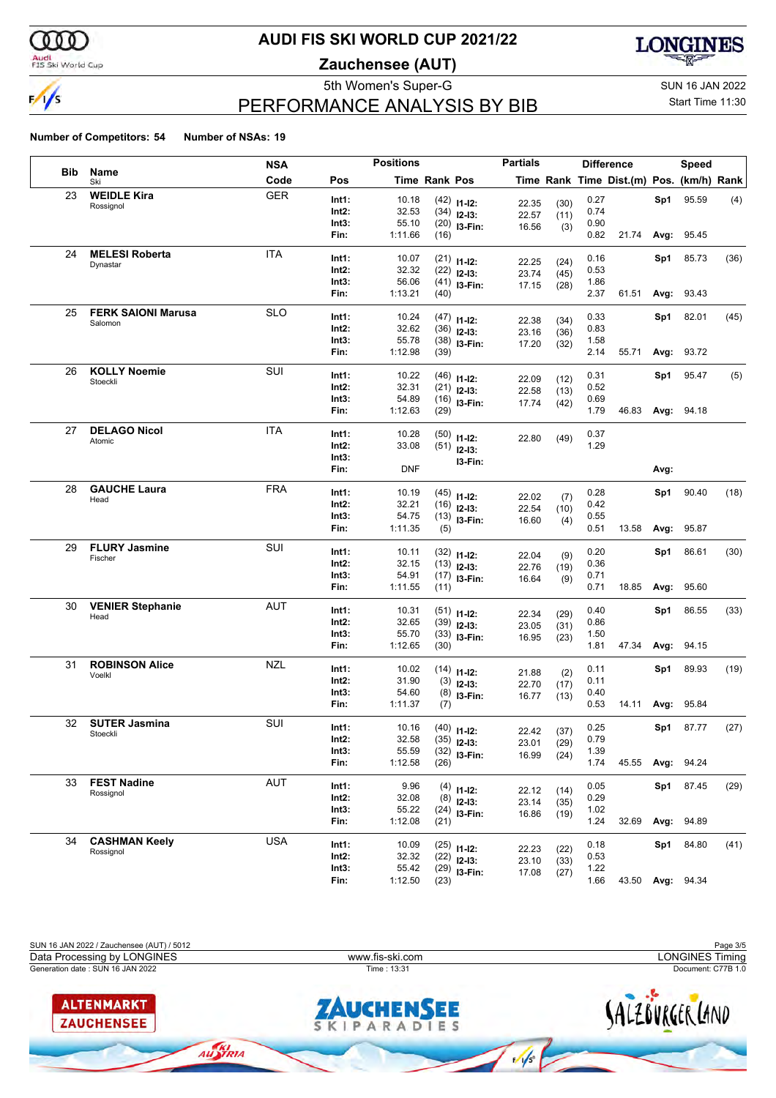

#### Audi<br>FIS Ski World Cup

## **AUDI FIS SKI WORLD CUP 2021/22**

**Zauchensee (AUT)**



# PERFORMANCE ANALYSIS BY BIB

5th Women's Super-G Super-G SUN 16 JAN 2022 Start Time 11:30

|     |                                   | <b>NSA</b> |                | <b>Positions</b> |                      |                                 | <b>Partials</b> |      |              | <b>Difference</b>                        |      | <b>Speed</b>      |      |
|-----|-----------------------------------|------------|----------------|------------------|----------------------|---------------------------------|-----------------|------|--------------|------------------------------------------|------|-------------------|------|
| Bib | Name<br>Ski                       | Code       | Pos            |                  | <b>Time Rank Pos</b> |                                 |                 |      |              | Time Rank Time Dist.(m) Pos. (km/h) Rank |      |                   |      |
| 23  | <b>WEIDLE Kira</b>                | <b>GER</b> | Int1:          | 10.18            |                      | $(42)$ 11-12:                   | 22.35           | (30) | 0.27         |                                          | Sp1  | 95.59             | (4)  |
|     | Rossignol                         |            | Int2:          | 32.53            |                      | $(34)$ 12-13:                   | 22.57           | (11) | 0.74         |                                          |      |                   |      |
|     |                                   |            | Int3:          | 55.10            |                      | $(20)$ 13-Fin:                  | 16.56           | (3)  | 0.90         |                                          |      |                   |      |
|     |                                   |            | Fin:           | 1:11.66          | (16)                 |                                 |                 |      | 0.82         | 21.74                                    | Avg: | 95.45             |      |
| 24  | <b>MELESI Roberta</b>             | <b>ITA</b> | Int1:          | 10.07            |                      | $(21)$ 11-12:                   |                 |      | 0.16         |                                          | Sp1  | 85.73             | (36) |
|     | Dynastar                          |            | Int2:          | 32.32            |                      | $(22)$ 12-13:                   | 22.25           | (24) | 0.53         |                                          |      |                   |      |
|     |                                   |            | Int3:          | 56.06            |                      | $(41)$ 13-Fin:                  | 23.74           | (45) | 1.86         |                                          |      |                   |      |
|     |                                   |            | Fin:           | 1:13.21          | (40)                 |                                 | 17.15           | (28) | 2.37         | 61.51                                    |      | Avg: 93.43        |      |
| 25  | <b>FERK SAIONI Marusa</b>         | <b>SLO</b> | Int1:          | 10.24            |                      | $(47)$ 11-12:                   |                 |      | 0.33         |                                          | Sp1  | 82.01             | (45) |
|     | Salomon                           |            | Int2:          | 32.62            |                      | $(36)$ 12-13:                   | 22.38           | (34) | 0.83         |                                          |      |                   |      |
|     |                                   |            | Int3:          | 55.78            |                      | $(38)$ 13-Fin:                  | 23.16           | (36) | 1.58         |                                          |      |                   |      |
|     |                                   |            | Fin:           | 1:12.98          | (39)                 |                                 | 17.20           | (32) | 2.14         | 55.71                                    |      | Avg: 93.72        |      |
| 26  | <b>KOLLY Noemie</b>               | SUI        | Int1:          | 10.22            |                      |                                 |                 |      | 0.31         |                                          | Sp1  | 95.47             | (5)  |
|     | Stoeckli                          |            | Int2:          | 32.31            |                      | $(46)$ 11-12:                   | 22.09           | (12) | 0.52         |                                          |      |                   |      |
|     |                                   |            | Int3:          | 54.89            |                      | $(21)$ 12-13:                   | 22.58           | (13) | 0.69         |                                          |      |                   |      |
|     |                                   |            | Fin:           | 1:12.63          | (29)                 | $(16)$ 13-Fin:                  | 17.74           | (42) | 1.79         | 46.83                                    |      | <b>Avg: 94.18</b> |      |
| 27  | <b>DELAGO Nicol</b>               | <b>ITA</b> |                |                  |                      |                                 |                 |      |              |                                          |      |                   |      |
|     | Atomic                            |            | Int1:          | 10.28            |                      | $(50)$ 11-12:                   | 22.80           | (49) | 0.37         |                                          |      |                   |      |
|     |                                   |            | Int2:<br>Int3: | 33.08            |                      | $(51)$ 12-13:                   |                 |      | 1.29         |                                          |      |                   |      |
|     |                                   |            | Fin:           | <b>DNF</b>       |                      | I3-Fin:                         |                 |      |              |                                          | Avg: |                   |      |
|     |                                   |            |                |                  |                      |                                 |                 |      |              |                                          |      |                   |      |
| 28  | <b>GAUCHE Laura</b>               | <b>FRA</b> | Int1:          | 10.19            |                      | $(45)$ 11-12:                   | 22.02           | (7)  | 0.28         |                                          | Sp1  | 90.40             | (18) |
|     | Head                              |            | Int2:          | 32.21            |                      | $(16)$ 12-13:                   | 22.54           | (10) | 0.42         |                                          |      |                   |      |
|     |                                   |            | Int3:          | 54.75            |                      | $(13)$ 13-Fin:                  | 16.60           | (4)  | 0.55         |                                          |      |                   |      |
|     |                                   |            | Fin:           | 1:11.35          | (5)                  |                                 |                 |      | 0.51         | 13.58                                    | Avg: | 95.87             |      |
| 29  | <b>FLURY Jasmine</b>              | SUI        | Int1:          | 10.11            |                      | $(32)$ 11-12:                   |                 |      | 0.20         |                                          | Sp1  | 86.61             | (30) |
|     | Fischer                           |            | Int2:          | 32.15            |                      | $(13)$ 12-13:                   | 22.04           | (9)  | 0.36         |                                          |      |                   |      |
|     |                                   |            | Int3:          | 54.91            |                      | $(17)$ 13-Fin:                  | 22.76           | (19) | 0.71         |                                          |      |                   |      |
|     |                                   |            | Fin:           | 1:11.55          | (11)                 |                                 | 16.64           | (9)  | 0.71         | 18.85                                    | Avg: | 95.60             |      |
| 30  | <b>VENIER Stephanie</b>           | <b>AUT</b> | Int1:          | 10.31            |                      |                                 |                 |      | 0.40         |                                          | Sp1  | 86.55             | (33) |
|     | Head                              |            | Int2:          | 32.65            |                      | $(51)$ 11-12:                   | 22.34           | (29) | 0.86         |                                          |      |                   |      |
|     |                                   |            | Int3:          | 55.70            |                      | $(39)$ 12-13:<br>$(33)$ 13-Fin: | 23.05           | (31) | 1.50         |                                          |      |                   |      |
|     |                                   |            | Fin:           | 1:12.65          | (30)                 |                                 | 16.95           | (23) | 1.81         | 47.34                                    | Avg: | 94.15             |      |
| 31  | <b>ROBINSON Alice</b>             | <b>NZL</b> | Int1:          |                  |                      |                                 |                 |      |              |                                          |      |                   |      |
|     | Voelkl                            |            | Int2:          | 10.02<br>31.90   |                      | $(14)$ 11-12:                   | 21.88           | (2)  | 0.11<br>0.11 |                                          | Sp1  | 89.93             | (19) |
|     |                                   |            | Int3:          | 54.60            |                      | $(3)$ 12-13:                    | 22.70           | (17) | 0.40         |                                          |      |                   |      |
|     |                                   |            | Fin:           | 1:11.37          | (7)                  | $(8)$ 13-Fin:                   | 16.77           | (13) | 0.53         | 14.11                                    | Avg: | 95.84             |      |
| 32  | <b>SUTER Jasmina</b>              | SUI        |                |                  |                      |                                 |                 |      |              |                                          |      |                   |      |
|     | Stoeckli                          |            | Int1:          | 10.16            |                      | $(40)$ 11-12:                   | 22.42           | (37) | 0.25         |                                          | Sp1  | 87.77             | (27) |
|     |                                   |            | Int2:<br>Int3: | 32.58<br>55.59   |                      | $(35)$ 12-13:                   | 23.01           | (29) | 0.79<br>1.39 |                                          |      |                   |      |
|     |                                   |            | Fin:           | 1:12.58          | (26)                 | $(32)$ 13-Fin:                  | 16.99           | (24) | 1.74         |                                          |      | 45.55 Avg: 94.24  |      |
| 33  | <b>FEST Nadine</b>                | AUT        |                |                  |                      |                                 |                 |      |              |                                          |      |                   |      |
|     | Rossignol                         |            | Int1:          | 9.96             |                      | $(4)$ 11-12:                    | 22.12           | (14) | 0.05         |                                          |      | Sp1 87.45         | (29) |
|     |                                   |            | Int2:          | 32.08            |                      | $(8)$ 12-13:                    | 23.14           | (35) | 0.29         |                                          |      |                   |      |
|     |                                   |            | Int3:<br>Fin:  | 55.22<br>1:12.08 | (21)                 | $(24)$ 13-Fin:                  | 16.86           | (19) | 1.02<br>1.24 | 32.69                                    | Avg: | 94.89             |      |
|     |                                   |            |                |                  |                      |                                 |                 |      |              |                                          |      |                   |      |
| 34  | <b>CASHMAN Keely</b><br>Rossignol | <b>USA</b> | Int1:          | 10.09            |                      | $(25)$ 11-12:                   | 22.23           | (22) | 0.18         |                                          | Sp1  | 84.80             | (41) |
|     |                                   |            | Int2:          | 32.32            |                      | $(22)$ 12-13:                   | 23.10           | (33) | 0.53         |                                          |      |                   |      |
|     |                                   |            | Int3:          | 55.42            |                      | $(29)$ 13-Fin:                  | 17.08           | (27) | 1.22         |                                          |      |                   |      |
|     |                                   |            | Fin:           | 1:12.50          | (23)                 |                                 |                 |      | 1.66         | 43.50 Avg: 94.34                         |      |                   |      |

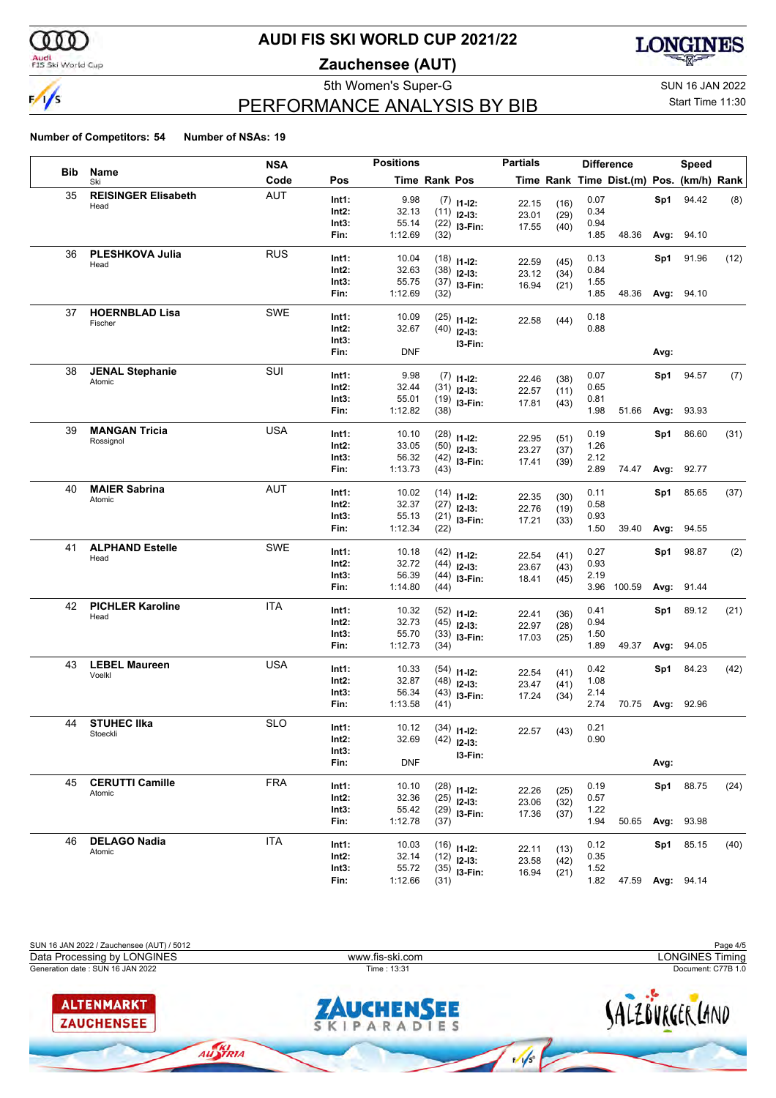

#### Audi<br>FIS Ski World Cup

## **AUDI FIS SKI WORLD CUP 2021/22**

**Zauchensee (AUT)**



# PERFORMANCE ANALYSIS BY BIB

5th Women's Super-G Super-G SUN 16 JAN 2022

#### Start Time 11:30

|            |                            | <b>NSA</b> |                   | <b>Positions</b> |                      |                                | <b>Partials</b> |              |              | <b>Difference</b>                        |      | <b>Speed</b>      |      |
|------------|----------------------------|------------|-------------------|------------------|----------------------|--------------------------------|-----------------|--------------|--------------|------------------------------------------|------|-------------------|------|
| <b>Bib</b> | Name<br>Ski                | Code       | Pos               |                  | <b>Time Rank Pos</b> |                                |                 |              |              | Time Rank Time Dist.(m) Pos. (km/h) Rank |      |                   |      |
| 35         | <b>REISINGER Elisabeth</b> | <b>AUT</b> | Int1:             | 9.98             |                      | $(7)$ 11-12:                   | 22.15           | (16)         | 0.07         |                                          | Sp1  | 94.42             | (8)  |
|            | Head                       |            | Int2:             | 32.13            |                      | $(11)$ 12-13:                  | 23.01           | (29)         | 0.34         |                                          |      |                   |      |
|            |                            |            | Int3:             | 55.14            |                      | $(22)$ 13-Fin:                 | 17.55           | (40)         | 0.94         |                                          |      |                   |      |
|            |                            |            | Fin:              | 1:12.69          | (32)                 |                                |                 |              | 1.85         | 48.36                                    | Avg: | 94.10             |      |
| 36         | PLESHKOVA Julia            | <b>RUS</b> | Int1:             | 10.04            |                      | $(18)$ 11-12:                  |                 |              | 0.13         |                                          | Sp1  | 91.96             | (12) |
|            | Head                       |            | Int2:             | 32.63            |                      | $(38)$ 12-13:                  | 22.59           | (45)         | 0.84         |                                          |      |                   |      |
|            |                            |            | Int3:             | 55.75            |                      | $(37)$ 13-Fin:                 | 23.12<br>16.94  | (34)         | 1.55         |                                          |      |                   |      |
|            |                            |            | Fin:              | 1:12.69          | (32)                 |                                |                 | (21)         | 1.85         | 48.36                                    |      | Avg: 94.10        |      |
| 37         | <b>HOERNBLAD Lisa</b>      | SWE        | Int1:             | 10.09            |                      | $(25)$ 11-12:                  |                 |              | 0.18         |                                          |      |                   |      |
|            | Fischer                    |            | Int2:             | 32.67            |                      | $(40)$ 12-13:                  | 22.58           | (44)         | 0.88         |                                          |      |                   |      |
|            |                            |            | Int3:             |                  |                      | I3-Fin:                        |                 |              |              |                                          |      |                   |      |
|            |                            |            | Fin:              | <b>DNF</b>       |                      |                                |                 |              |              |                                          | Avg: |                   |      |
| 38         | <b>JENAL Stephanie</b>     | SUI        | Int1:             | 9.98             |                      |                                |                 |              | 0.07         |                                          | Sp1  | 94.57             | (7)  |
|            | Atomic                     |            | Int2:             | 32.44            |                      | $(7)$ 11-12:<br>$(31)$ 12-13:  | 22.46           | (38)         | 0.65         |                                          |      |                   |      |
|            |                            |            | Int3:             | 55.01            |                      | $(19)$ 13-Fin:                 | 22.57           | (11)         | 0.81         |                                          |      |                   |      |
|            |                            |            | Fin:              | 1:12.82          | (38)                 |                                | 17.81           | (43)         | 1.98         | 51.66                                    | Avg: | 93.93             |      |
| 39         | <b>MANGAN Tricia</b>       | USA        |                   | 10.10            |                      |                                |                 |              | 0.19         |                                          |      |                   |      |
|            | Rossignol                  |            | Int1:<br>Int2:    | 33.05            |                      | $(28)$ 11-12:                  | 22.95           | (51)         | 1.26         |                                          | Sp1  | 86.60             | (31) |
|            |                            |            | Int3:             | 56.32            |                      | $(50)$ 12-13:                  | 23.27           | (37)         | 2.12         |                                          |      |                   |      |
|            |                            |            | Fin:              | 1:13.73          | (43)                 | $(42)$ 13-Fin:                 | 17.41           | (39)         | 2.89         | 74.47                                    | Avg: | 92.77             |      |
| 40         | <b>MAIER Sabrina</b>       | AUT        |                   |                  |                      |                                |                 |              |              |                                          |      |                   |      |
|            | Atomic                     |            | Int1:             | 10.02            |                      | $(14)$ 11-12:                  | 22.35           | (30)         | 0.11         |                                          | Sp1  | 85.65             | (37) |
|            |                            |            | Int2:             | 32.37            |                      | $(27)$ 12-13:                  | 22.76           | (19)         | 0.58         |                                          |      |                   |      |
|            |                            |            | Int3:<br>Fin:     | 55.13<br>1:12.34 | (22)                 | $(21)$ 13-Fin:                 | 17.21           | (33)         | 0.93<br>1.50 | 39.40                                    | Avg: | 94.55             |      |
|            |                            |            |                   |                  |                      |                                |                 |              |              |                                          |      |                   |      |
| 41         | <b>ALPHAND Estelle</b>     | SWE        | Int1:             | 10.18            |                      | $(42)$ 11-12:                  | 22.54           | (41)         | 0.27         |                                          | Sp1  | 98.87             | (2)  |
|            | Head                       |            | Int2:             | 32.72            |                      | $(44)$ 12-13:                  | 23.67           | (43)         | 0.93         |                                          |      |                   |      |
|            |                            |            | Int3:             | 56.39            |                      | $(44)$ 13-Fin:                 | 18.41           | (45)         | 2.19         |                                          |      |                   |      |
|            |                            |            | Fin:              | 1:14.80          | (44)                 |                                |                 |              |              | 3.96 100.59                              |      | Avg: 91.44        |      |
| 42         | <b>PICHLER Karoline</b>    | <b>ITA</b> | Int1:             | 10.32            |                      | $(52)$ 11-12:                  | 22.41           | (36)         | 0.41         |                                          | Sp1  | 89.12             | (21) |
|            | Head                       |            | Int2:             | 32.73            |                      | $(45)$ 12-13:                  | 22.97           | (28)         | 0.94         |                                          |      |                   |      |
|            |                            |            | Int3:             | 55.70            |                      | $(33)$ 13-Fin:                 | 17.03           | (25)         | 1.50         |                                          |      |                   |      |
|            |                            |            | Fin:              | 1:12.73          | (34)                 |                                |                 |              | 1.89         | 49.37                                    | Avg: | 94.05             |      |
| 43         | <b>LEBEL Maureen</b>       | USA        | Int1:             | 10.33            |                      | $(54)$ 11-12:                  |                 |              | 0.42         |                                          | Sp1  | 84.23             | (42) |
|            | Voelkl                     |            | Int2:             | 32.87            |                      | $(48)$ 12-13:                  | 22.54           | (41)         | 1.08         |                                          |      |                   |      |
|            |                            |            | Int3:             | 56.34            |                      | $(43)$ 13-Fin:                 | 23.47<br>17.24  | (41)<br>(34) | 2.14         |                                          |      |                   |      |
|            |                            |            | Fin:              | 1:13.58          | (41)                 |                                |                 |              | 2.74         |                                          |      | 70.75 Avg: 92.96  |      |
| 44         | <b>STUHEC IIka</b>         | <b>SLO</b> | Int1:             | 10.12            |                      |                                |                 |              | 0.21         |                                          |      |                   |      |
|            | Stoeckli                   |            | Int2:             | 32.69            |                      | $(34)$ 11-12:<br>$(42)$ 12-13: | 22.57           | (43)         | 0.90         |                                          |      |                   |      |
|            |                            |            | Int3:             |                  |                      |                                |                 |              |              |                                          |      |                   |      |
|            |                            |            | Fin:              | <b>DNF</b>       |                      | I3-Fin:                        |                 |              |              |                                          | Avg: |                   |      |
| 45         | <b>CERUTTI Camille</b>     | <b>FRA</b> | Int1:             | 10.10            |                      |                                |                 |              | 0.19         |                                          |      | Sp1 88.75         | (24) |
|            | Atomic                     |            | Int2:             | 32.36            |                      | $(28)$ 11-12:<br>$(25)$ 12-13: | 22.26           | (25)         | 0.57         |                                          |      |                   |      |
|            |                            |            | Int3:             | 55.42            |                      | $(29)$ 13-Fin:                 | 23.06           | (32)         | 1.22         |                                          |      |                   |      |
|            |                            |            | Fin:              | 1:12.78          | (37)                 |                                | 17.36           | (37)         | 1.94         | 50.65                                    |      | Avg: 93.98        |      |
| 46         | <b>DELAGO Nadia</b>        | <b>ITA</b> |                   |                  |                      |                                |                 |              |              |                                          |      |                   |      |
|            | Atomic                     |            | Int1:<br>$Int2$ : | 10.03<br>32.14   |                      | $(16)$ 11-12:                  | 22.11           | (13)         | 0.12         |                                          | Sp1  | 85.15             | (40) |
|            |                            |            | Int3:             | 55.72            |                      | $(12)$ 12-13:                  | 23.58           | (42)         | 0.35<br>1.52 |                                          |      |                   |      |
|            |                            |            | Fin:              | 1:12.66          | (31)                 | $(35)$ 13-Fin:                 | 16.94           | (21)         | 1.82         | 47.59                                    |      | <b>Avg: 94.14</b> |      |
|            |                            |            |                   |                  |                      |                                |                 |              |              |                                          |      |                   |      |

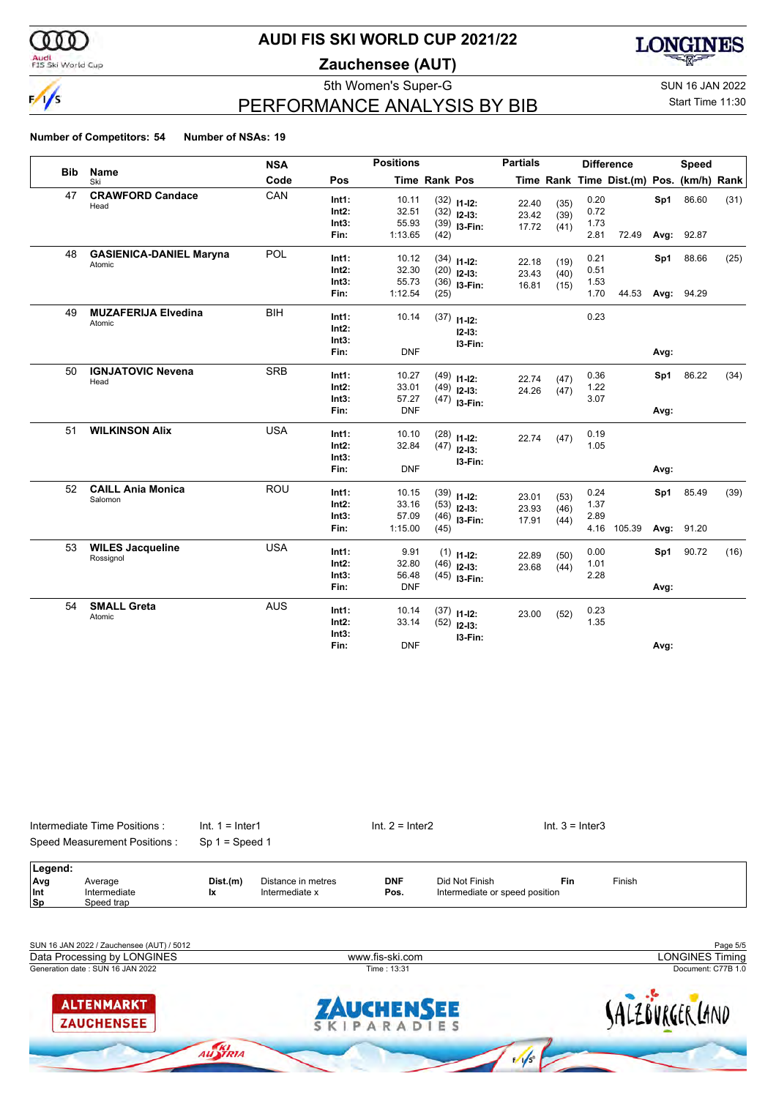

#### Audi<br>FIS Ski World Cup

## **AUDI FIS SKI WORLD CUP 2021/22**

**Zauchensee (AUT)**



# PERFORMANCE ANALYSIS BY BIB

5th Women's Super-G Super-G SUN 16 JAN 2022

## Start Time 11:30

|            |                                | <b>NSA</b> |                | <b>Positions</b> |               |                                | <b>Partials</b> |              |      | <b>Difference</b>                        |      | Speed      |      |
|------------|--------------------------------|------------|----------------|------------------|---------------|--------------------------------|-----------------|--------------|------|------------------------------------------|------|------------|------|
| <b>Bib</b> | Name<br>Ski                    | Code       | Pos            |                  | Time Rank Pos |                                |                 |              |      | Time Rank Time Dist.(m) Pos. (km/h) Rank |      |            |      |
| 47         | <b>CRAWFORD Candace</b>        | CAN        | Int1:          | 10.11            |               | $(32)$ 11-12:                  | 22.40           | (35)         | 0.20 |                                          | Sp1  | 86.60      | (31) |
|            | Head                           |            | Int2:          | 32.51            |               | $(32)$ 12-13:                  | 23.42           | (39)         | 0.72 |                                          |      |            |      |
|            |                                |            | Int3:          | 55.93            |               | $(39)$ 13-Fin:                 | 17.72           | (41)         | 1.73 |                                          |      |            |      |
|            |                                |            | Fin:           | 1:13.65          | (42)          |                                |                 |              | 2.81 | 72.49                                    | Avg: | 92.87      |      |
| 48         | <b>GASIENICA-DANIEL Maryna</b> | POL        | Int1:          | 10.12            |               | $(34)$ 11-12:                  |                 |              | 0.21 |                                          | Sp1  | 88.66      | (25) |
|            | Atomic                         |            | Int2:          | 32.30            |               | $(20)$ 12-13:                  | 22.18<br>23.43  | (19)<br>(40) | 0.51 |                                          |      |            |      |
|            |                                |            | Int3:          | 55.73            |               | $(36)$ 13-Fin:                 | 16.81           | (15)         | 1.53 |                                          |      |            |      |
|            |                                |            | Fin:           | 1:12.54          | (25)          |                                |                 |              | 1.70 | 44.53                                    |      | Avg: 94.29 |      |
| 49         | <b>MUZAFERIJA Elvedina</b>     | <b>BIH</b> | Int1:          | 10.14            |               |                                |                 |              | 0.23 |                                          |      |            |      |
|            | Atomic                         |            | Int2:          |                  |               | $(37)$ 11-12:                  |                 |              |      |                                          |      |            |      |
|            |                                |            | Int3:          |                  |               | $12 - 13:$                     |                 |              |      |                                          |      |            |      |
|            |                                |            | Fin:           | <b>DNF</b>       |               | 13-Fin:                        |                 |              |      |                                          | Avg: |            |      |
| 50         | <b>IGNJATOVIC Nevena</b>       | <b>SRB</b> |                |                  |               |                                |                 |              | 0.36 |                                          |      | 86.22      |      |
|            | Head                           |            | Int1:<br>Int2: | 10.27<br>33.01   |               | $(49)$ 11-12:                  | 22.74           | (47)         | 1.22 |                                          | Sp1  |            | (34) |
|            |                                |            | Int3:          | 57.27            |               | $(49)$ 12-13:                  | 24.26           | (47)         | 3.07 |                                          |      |            |      |
|            |                                |            | Fin:           | <b>DNF</b>       |               | $(47)$ 13-Fin:                 |                 |              |      |                                          | Avg: |            |      |
| 51         | <b>WILKINSON Alix</b>          | <b>USA</b> |                |                  |               |                                |                 |              |      |                                          |      |            |      |
|            |                                |            | Int1:          | 10.10            |               | $(28)$ 11-12:                  | 22.74           | (47)         | 0.19 |                                          |      |            |      |
|            |                                |            | Int2:          | 32.84            |               | $(47)$ 12-13:                  |                 |              | 1.05 |                                          |      |            |      |
|            |                                |            | Int3:          |                  |               | I3-Fin:                        |                 |              |      |                                          |      |            |      |
|            |                                |            | Fin:           | <b>DNF</b>       |               |                                |                 |              |      |                                          | Avg: |            |      |
| 52         | <b>CAILL Ania Monica</b>       | <b>ROU</b> | Int1:          | 10.15            |               | $(39)$ 11-12:                  | 23.01           | (53)         | 0.24 |                                          | Sp1  | 85.49      | (39) |
|            | Salomon                        |            | Int2:          | 33.16            |               | $(53)$ 12-13:                  | 23.93           | (46)         | 1.37 |                                          |      |            |      |
|            |                                |            | Int3:          | 57.09            |               | $(46)$ 13-Fin:                 | 17.91           | (44)         | 2.89 |                                          |      |            |      |
|            |                                |            | Fin:           | 1:15.00          | (45)          |                                |                 |              | 4.16 | 105.39                                   | Avg: | 91.20      |      |
| 53         | <b>WILES Jacqueline</b>        | <b>USA</b> | Int1:          | 9.91             |               | $(1)$ 11-12:                   | 22.89           |              | 0.00 |                                          | Sp1  | 90.72      | (16) |
|            | Rossignol                      |            | Int2:          | 32.80            |               | $(46)$ 12-13:                  | 23.68           | (50)<br>(44) | 1.01 |                                          |      |            |      |
|            |                                |            | Int3:          | 56.48            |               | $(45)$ 13-Fin:                 |                 |              | 2.28 |                                          |      |            |      |
|            |                                |            | Fin:           | <b>DNF</b>       |               |                                |                 |              |      |                                          | Avg: |            |      |
| 54         | <b>SMALL Greta</b>             | <b>AUS</b> | Int1:          | 10.14            |               |                                |                 |              | 0.23 |                                          |      |            |      |
|            | Atomic                         |            | Int2:          | 33.14            |               | $(37)$ 11-12:<br>$(52)$ 12-13: | 23.00           | (52)         | 1.35 |                                          |      |            |      |
|            |                                |            | Int3:          |                  |               |                                |                 |              |      |                                          |      |            |      |
|            |                                |            | Fin:           | <b>DNF</b>       |               | 13-Fin:                        |                 |              |      |                                          | Avg: |            |      |



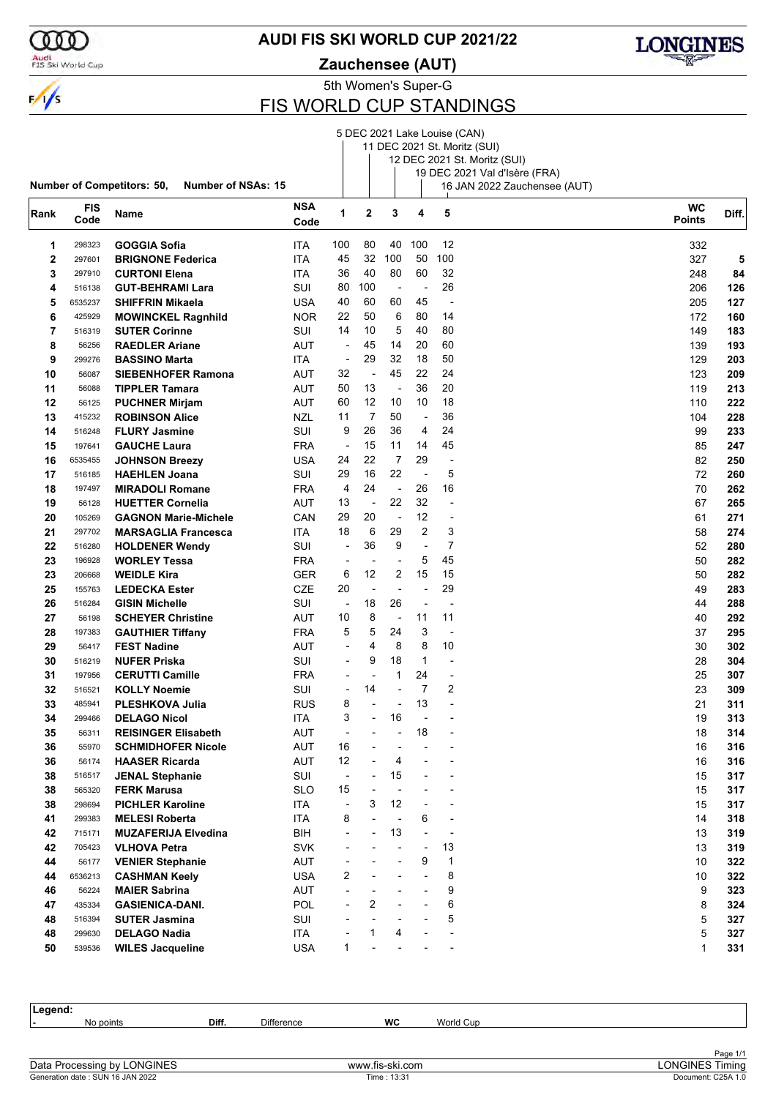

#### **AUDI FIS SKI WORLD CUP 2021/22**

5th Women's Super-G **Zauchensee (AUT)**



# FIS WORLD CUP STANDINGS

|      |             |                                                         |             |                          |                |                          |                | 5 DEC 2021 Lake Louise (CAN) |                                                               |                            |       |
|------|-------------|---------------------------------------------------------|-------------|--------------------------|----------------|--------------------------|----------------|------------------------------|---------------------------------------------------------------|----------------------------|-------|
|      |             |                                                         |             |                          |                |                          |                |                              | 11 DEC 2021 St. Moritz (SUI)                                  |                            |       |
|      |             |                                                         |             |                          |                |                          |                |                              | 12 DEC 2021 St. Moritz (SUI)                                  |                            |       |
|      |             | Number of Competitors: 50,<br><b>Number of NSAs: 15</b> |             |                          |                |                          |                |                              | 19 DEC 2021 Val d'Isère (FRA)<br>16 JAN 2022 Zauchensee (AUT) |                            |       |
|      |             |                                                         |             |                          |                |                          |                |                              |                                                               |                            |       |
| Rank | FIS<br>Code | Name                                                    | NSA<br>Code | 1                        | 2              | 3                        | 4              | 5                            |                                                               | <b>WC</b><br><b>Points</b> | Diff. |
| 1    | 298323      | <b>GOGGIA Sofia</b>                                     | ITA         | 100                      | 80             | 40                       | 100            | 12                           |                                                               | 332                        |       |
| 2    | 297601      | <b>BRIGNONE Federica</b>                                | ITA         | 45                       | 32             | 100                      | 50             | 100                          |                                                               | 327                        | 5     |
| 3    | 297910      | <b>CURTONI Elena</b>                                    | ITA         | 36                       | 40             | 80                       | 60             | 32                           |                                                               | 248                        | 84    |
| 4    | 516138      | <b>GUT-BEHRAMI Lara</b>                                 | SUI         | 80                       | 100            | $\overline{\phantom{a}}$ | ÷,             | 26                           |                                                               | 206                        | 126   |
| 5    | 6535237     | <b>SHIFFRIN Mikaela</b>                                 | <b>USA</b>  | 40                       | 60             | 60                       | 45             | Ĭ.                           |                                                               | 205                        | 127   |
| 6    | 425929      | <b>MOWINCKEL Ragnhild</b>                               | <b>NOR</b>  | 22                       | 50             | 6                        | 80             | 14                           |                                                               | 172                        | 160   |
| 7    | 516319      | <b>SUTER Corinne</b>                                    | SUI         | 14                       | 10             | 5                        | 40             | 80                           |                                                               | 149                        | 183   |
| 8    | 56256       | <b>RAEDLER Ariane</b>                                   | AUT         | $\overline{a}$           | 45             | 14                       | 20             | 60                           |                                                               | 139                        | 193   |
| 9    | 299276      | <b>BASSINO Marta</b>                                    | <b>ITA</b>  | ÷,                       | 29             | 32                       | 18             | 50                           |                                                               | 129                        | 203   |
| 10   | 56087       | <b>SIEBENHOFER Ramona</b>                               | AUT         | 32                       |                | 45                       | 22             | 24                           |                                                               | 123                        | 209   |
| 11   | 56088       | <b>TIPPLER Tamara</b>                                   | AUT         | 50                       | 13             | $\overline{\phantom{a}}$ | 36             | 20                           |                                                               | 119                        | 213   |
| 12   | 56125       | <b>PUCHNER Mirjam</b>                                   | AUT         | 60                       | 12             | 10                       | 10             | 18                           |                                                               | 110                        | 222   |
| 13   | 415232      | <b>ROBINSON Alice</b>                                   | NZL         | 11                       | $\overline{7}$ | 50                       | ÷,             | 36                           |                                                               | 104                        | 228   |
| 14   | 516248      | <b>FLURY Jasmine</b>                                    | SUI         | 9                        | 26             | 36                       | 4              | 24                           |                                                               | 99                         | 233   |
| 15   | 197641      | <b>GAUCHE Laura</b>                                     | FRA         | $\overline{\phantom{a}}$ | 15             | 11                       | 14             | 45                           |                                                               | 85                         | 247   |
| 16   | 6535455     | <b>JOHNSON Breezy</b>                                   | USA         | 24                       | 22             | $\overline{7}$           | 29             | Ĭ.                           |                                                               | 82                         | 250   |
| 17   | 516185      | <b>HAEHLEN Joana</b>                                    | SUI         | 29                       | 16             | 22                       | ÷,             | 5                            |                                                               | 72                         | 260   |
| 18   | 197497      | <b>MIRADOLI Romane</b>                                  | FRA         | 4                        | 24             | $\blacksquare$           | 26             | 16                           |                                                               | 70                         | 262   |
| 19   | 56128       | <b>HUETTER Cornelia</b>                                 | AUT         | 13                       | ÷,             | 22                       | 32             | $\overline{a}$               |                                                               | 67                         | 265   |
| 20   | 105269      | <b>GAGNON Marie-Michele</b>                             | CAN         | 29                       | 20             | $\blacksquare$           | 12             | ÷,                           |                                                               | 61                         | 271   |
| 21   | 297702      | <b>MARSAGLIA Francesca</b>                              | ITA         | 18                       | 6              | 29                       | 2              | 3                            |                                                               | 58                         | 274   |
| 22   | 516280      | <b>HOLDENER Wendy</b>                                   | SUI         | ÷,                       | 36             | 9                        | $\overline{a}$ | $\overline{7}$               |                                                               | 52                         | 280   |
| 23   | 196928      | <b>WORLEY Tessa</b>                                     | FRA         | $\overline{\phantom{a}}$ |                | $\overline{a}$           | 5              | 45                           |                                                               | 50                         | 282   |
| 23   | 206668      | <b>WEIDLE Kira</b>                                      | GER         | 6                        | 12             | 2                        | 15             | 15                           |                                                               | 50                         | 282   |
| 25   | 155763      | <b>LEDECKA Ester</b>                                    | CZE         | 20                       | $\overline{a}$ | ÷,                       | J.             | 29                           |                                                               | 49                         | 283   |
| 26   | 516284      | <b>GISIN Michelle</b>                                   | SUI         | $\overline{\phantom{a}}$ | 18             | 26                       | ÷              | ÷,                           |                                                               | 44                         | 288   |
| 27   | 56198       | <b>SCHEYER Christine</b>                                | AUT         | 10                       | 8              | $\overline{\phantom{a}}$ | 11             | 11                           |                                                               | 40                         | 292   |
| 28   | 197383      | <b>GAUTHIER Tiffany</b>                                 | FRA         | 5                        | 5              | 24                       | 3              | L,                           |                                                               | 37                         | 295   |
| 29   | 56417       | <b>FEST Nadine</b>                                      | AUT         | $\overline{\phantom{a}}$ | 4              | 8                        | 8              | 10                           |                                                               | 30                         | 302   |
| 30   | 516219      | <b>NUFER Priska</b>                                     | SUI         | $\overline{a}$           | 9              | 18                       | $\mathbf{1}$   | ÷,                           |                                                               | 28                         | 304   |
| 31   | 197956      | <b>CERUTTI Camille</b>                                  | FRA         | ÷                        |                | 1                        | 24             | ÷,                           |                                                               | 25                         | 307   |
| 32   | 516521      | <b>KOLLY Noemie</b>                                     | SUI         | ÷                        | 14             | $\blacksquare$           | $\overline{7}$ | 2                            |                                                               | 23                         | 309   |
| 33   | 485941      | <b>PLESHKOVA Julia</b>                                  | RUS         | 8                        |                |                          | 13             | $\overline{a}$               |                                                               | 21                         | 311   |
| 34   | 299466      | <b>DELAGO Nicol</b>                                     | ITA         | 3                        |                | 16                       |                |                              |                                                               | 19                         | 313   |
| 35   | 56311       | <b>REISINGER Elisabeth</b>                              | <b>AUT</b>  |                          |                |                          | 18             |                              |                                                               | 18                         | 314   |
| 36   | 55970       | <b>SCHMIDHOFER Nicole</b>                               | <b>AUT</b>  | 16                       |                |                          |                |                              |                                                               | 16                         | 316   |
| 36   | 56174       | <b>HAASER Ricarda</b>                                   | AUT         | 12                       |                | 4                        |                |                              |                                                               | 16                         | 316   |
| 38   | 516517      | <b>JENAL Stephanie</b>                                  | SUI         | $\overline{\phantom{a}}$ |                | 15                       |                |                              |                                                               | 15                         | 317   |
| 38   | 565320      | <b>FERK Marusa</b>                                      | SLO         | 15                       |                | $\overline{\phantom{a}}$ |                |                              |                                                               | 15                         | 317   |
| 38   | 298694      | <b>PICHLER Karoline</b>                                 | ITA         | ÷,                       | 3              | 12                       |                |                              |                                                               | 15                         | 317   |
| 41   | 299383      | <b>MELESI Roberta</b>                                   | <b>ITA</b>  | 8                        |                | $\blacksquare$           | 6              |                              |                                                               | 14                         | 318   |
| 42   | 715171      | <b>MUZAFERIJA Elvedina</b>                              | BIH         | ÷                        |                | 13                       | $\overline{a}$ | $\overline{a}$               |                                                               | 13                         | 319   |
| 42   | 705423      | <b>VLHOVA Petra</b>                                     | <b>SVK</b>  |                          |                |                          |                | 13                           |                                                               | 13                         | 319   |
| 44   | 56177       | <b>VENIER Stephanie</b>                                 | <b>AUT</b>  |                          |                |                          | 9              | 1                            |                                                               | 10                         | 322   |
| 44   | 6536213     | <b>CASHMAN Keely</b>                                    | USA         | 2                        |                |                          |                | 8                            |                                                               | 10                         | 322   |
| 46   | 56224       | <b>MAIER Sabrina</b>                                    | AUT         |                          |                |                          |                | 9                            |                                                               | 9                          | 323   |
| 47   | 435334      | <b>GASIENICA-DANI.</b>                                  | POL         |                          | 2              |                          |                | 6                            |                                                               | 8                          | 324   |
| 48   | 516394      | <b>SUTER Jasmina</b>                                    | SUI         |                          |                |                          |                | 5                            |                                                               | 5                          | 327   |
| 48   | 299630      | <b>DELAGO Nadia</b>                                     | ITA         |                          | 1              | 4                        |                |                              |                                                               | 5                          | 327   |
| 50   | 539536      | <b>WILES Jacqueline</b>                                 | <b>USA</b>  | $\mathbf{1}$             |                |                          |                |                              |                                                               |                            | 331   |
|      |             |                                                         |             |                          |                |                          |                |                              |                                                               |                            |       |

**Legend: -** No points **Diff.** Difference **WC** World Cup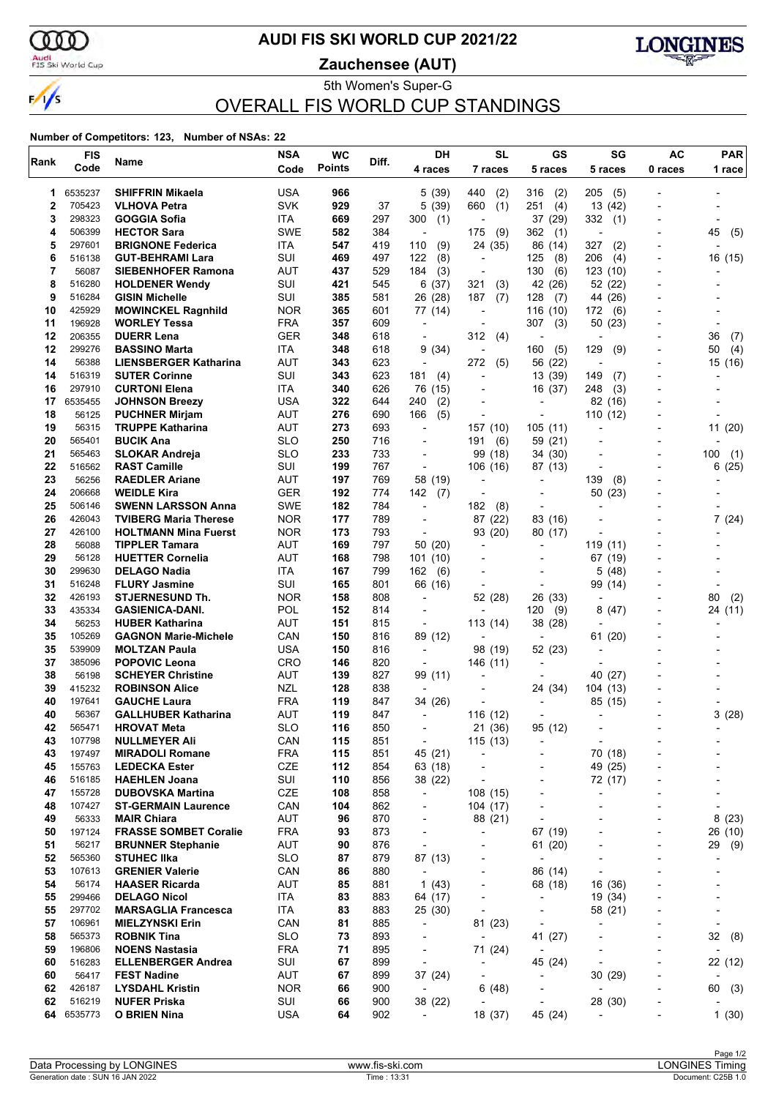

## **AUDI FIS SKI WORLD CUP 2021/22**

Audi<br>FIS Ski World Cup

**Zauchensee (AUT)**



5th Women's Super-G OVERALL FIS WORLD CUP STANDINGS

| Rank     | <b>FIS</b>       | Name                                             | <b>NSA</b>               | <b>WC</b>     | Diff.      | DH                                  | <b>SL</b>                | <b>GS</b>                                            | SG                       | <b>AC</b>                    | <b>PAR</b>               |
|----------|------------------|--------------------------------------------------|--------------------------|---------------|------------|-------------------------------------|--------------------------|------------------------------------------------------|--------------------------|------------------------------|--------------------------|
|          | Code             |                                                  | Code                     | <b>Points</b> |            | 4 races                             | 7 races                  | 5 races                                              | 5 races                  | 0 races                      | 1 race                   |
| 1        | 6535237          | <b>SHIFFRIN Mikaela</b>                          | <b>USA</b>               | 966           |            | 5(39)                               | 440<br>(2)               | 316<br>(2)                                           | 205<br>(5)               |                              |                          |
| 2        | 705423           | <b>VLHOVA Petra</b>                              | <b>SVK</b>               | 929           | 37         | (39)<br>5                           | 660<br>(1)               | 251<br>(4)                                           | 13 (42)                  |                              |                          |
| 3        | 298323           | GOGGIA Sofia                                     | ITA                      | 669           | 297        | 300<br>(1)                          |                          | 37 (29)                                              | 332<br>(1)               |                              |                          |
| 4        | 506399           | <b>HECTOR Sara</b>                               | <b>SWE</b>               | 582           | 384        |                                     | (9)<br>175               | 362<br>(1)                                           |                          |                              | 45<br>(5)                |
| 5        | 297601           | <b>BRIGNONE Federica</b>                         | ITA                      | 547           | 419        | 110<br>(9)                          | 24<br>(35)               | 86 (14)                                              | 327<br>(2)               |                              |                          |
| 6        | 516138           | <b>GUT-BEHRAMI Lara</b>                          | SUI                      | 469           | 497        | 122<br>(8)                          | $\overline{a}$           | 125<br>(8)                                           | 206<br>(4)               |                              | 16 (15)                  |
| 7<br>8   | 56087            | <b>SIEBENHOFER Ramona</b>                        | <b>AUT</b><br>SUI        | 437           | 529        | 184<br>(3)                          |                          | 130<br>(6)<br>42 (26)                                | 123 (10)                 |                              |                          |
| 9        | 516280<br>516284 | <b>HOLDENER Wendy</b><br><b>GISIN Michelle</b>   | SUI                      | 421<br>385    | 545<br>581 | 6(37)<br>26 (28)                    | 321<br>(3)<br>187<br>(7) | 128<br>(7)                                           | 52 (22)<br>44 (26)       |                              |                          |
| 10       | 425929           | <b>MOWINCKEL Ragnhild</b>                        | <b>NOR</b>               | 365           | 601        | 77 (14)                             |                          | 116 (10)                                             | 172<br>(6)               |                              |                          |
| 11       | 196928           | <b>WORLEY Tessa</b>                              | <b>FRA</b>               | 357           | 609        | $\blacksquare$                      | $\overline{\phantom{a}}$ | 307<br>(3)                                           | 50<br>(23)               |                              |                          |
| 12       | 206355           | <b>DUERR Lena</b>                                | GER                      | 348           | 618        | $\overline{\phantom{a}}$            | 312<br>(4)               | $\overline{\phantom{a}}$                             | $\overline{\phantom{a}}$ |                              | 36<br>(7)                |
| 12       | 299276           | <b>BASSINO Marta</b>                             | ITA                      | 348           | 618        | 9<br>(34)                           |                          | 160<br>(5)                                           | 129<br>(9)               |                              | (4)<br>50                |
| 14       | 56388            | <b>LIENSBERGER Katharina</b>                     | AUT                      | 343           | 623        | $\overline{\phantom{a}}$            | (5)<br>272               | 56 (22)                                              | $\overline{\phantom{a}}$ |                              | 15 (16)                  |
| 14       | 516319           | <b>SUTER Corinne</b>                             | SUI                      | 343           | 623        | 181<br>(4)                          |                          | 13 (39)                                              | 149<br>(7)               |                              |                          |
| 16       | 297910           | <b>CURTONI Elena</b>                             | ITA                      | 340           | 626        | 76 (15)                             |                          | 16 (37)                                              | (3)<br>248               |                              |                          |
| 17       | 6535455          | <b>JOHNSON Breezy</b>                            | USA                      | 322           | 644        | 240<br>(2)                          | $\overline{\phantom{a}}$ | $\overline{\phantom{0}}$                             | 82 (16)                  |                              |                          |
| 18       | 56125            | <b>PUCHNER Mirjam</b>                            | AUT                      | 276           | 690        | 166<br>(5)                          |                          | $\blacksquare$                                       | 110 (12)                 |                              |                          |
| 19<br>20 | 56315<br>565401  | <b>TRUPPE Katharina</b><br><b>BUCIK Ana</b>      | <b>AUT</b><br><b>SLO</b> | 273<br>250    | 693<br>716 | $\blacksquare$                      | 157 (10)<br>191<br>(6)   | 105(11)<br>59 (21)                                   |                          |                              | 11(20)                   |
| 21       | 565463           | <b>SLOKAR Andreja</b>                            | <b>SLO</b>               | 233           | 733        | $\overline{a}$                      | 99 (18)                  | 34 (30)                                              |                          |                              | 100<br>(1)               |
| 22       | 516562           | <b>RAST Camille</b>                              | SUI                      | 199           | 767        | $\overline{a}$                      | 106 (16)                 | 87 (13)                                              |                          |                              | (25)<br>6                |
| 23       | 56256            | <b>RAEDLER Ariane</b>                            | AUT                      | 197           | 769        | 58 (19)                             |                          |                                                      | 139<br>(8)               |                              |                          |
| 24       | 206668           | <b>WEIDLE Kira</b>                               | GER                      | 192           | 774        | 142<br>(7)                          |                          | $\overline{\phantom{0}}$                             | 50 (23)                  |                              |                          |
| 25       | 506146           | <b>SWENN LARSSON Anna</b>                        | <b>SWE</b>               | 182           | 784        |                                     | 182<br>(8)               | $\overline{\phantom{0}}$                             |                          |                              |                          |
| 26       | 426043           | <b>TVIBERG Maria Therese</b>                     | <b>NOR</b>               | 177           | 789        | $\overline{\phantom{0}}$            | 87 (22)                  | 83 (16)                                              |                          |                              | 7(24)                    |
| 27       | 426100           | <b>HOLTMANN Mina Fuerst</b>                      | <b>NOR</b>               | 173           | 793        | $\overline{\phantom{a}}$            | 93 (20)                  | 80 (17)                                              |                          |                              |                          |
| 28       | 56088            | <b>TIPPLER Tamara</b>                            | AUT                      | 169           | 797        | 50 (20)                             |                          |                                                      | 119 (11)                 |                              |                          |
| 29       | 56128            | <b>HUETTER Cornelia</b>                          | AUT                      | 168           | 798        | 101 (10)                            |                          |                                                      | 67 (19)                  |                              |                          |
| 30<br>31 | 299630<br>516248 | <b>DELAGO Nadia</b><br><b>FLURY Jasmine</b>      | ITA<br>SUI               | 167<br>165    | 799<br>801 | 162<br>(6)<br>66 (16)               | $\overline{\phantom{a}}$ | $\overline{\phantom{0}}$<br>$\overline{\phantom{a}}$ | 5<br>(48)<br>99 (14)     |                              |                          |
| 32       | 426193           | <b>STJERNESUND Th.</b>                           | <b>NOR</b>               | 158           | 808        | $\overline{\phantom{a}}$            | 52 (28)                  | 26 (33)                                              |                          |                              | 80<br>(2)                |
| 33       | 435334           | <b>GASIENICA-DANI.</b>                           | POL                      | 152           | 814        | $\overline{\phantom{a}}$            |                          | 120<br>(9)                                           | 8<br>(47)                |                              | 24 (11)                  |
| 34       | 56253            | <b>HUBER Katharina</b>                           | <b>AUT</b>               | 151           | 815        |                                     | 113 (14)                 | 38 (28)                                              |                          |                              |                          |
| 35       | 105269           | <b>GAGNON Marie-Michele</b>                      | CAN                      | 150           | 816        | 89 (12)                             | $\blacksquare$           | $\overline{a}$                                       | 61 (20)                  |                              |                          |
| 35       | 539909           | <b>MOLTZAN Paula</b>                             | <b>USA</b>               | 150           | 816        | $\overline{\phantom{a}}$            | 98 (19)                  | 52 (23)                                              | $\overline{\phantom{a}}$ |                              |                          |
| 37       | 385096           | <b>POPOVIC Leona</b>                             | <b>CRO</b>               | 146           | 820        |                                     | 146 (11)                 |                                                      |                          |                              |                          |
| 38       | 56198            | <b>SCHEYER Christine</b>                         | <b>AUT</b>               | 139           | 827        | 99 (11)                             |                          |                                                      | 40 (27)                  |                              |                          |
| 39       | 415232           | <b>ROBINSON Alice</b>                            | <b>NZL</b>               | 128           | 838        | $\overline{\phantom{a}}$            |                          | 24 (34)                                              | 104 (13)                 |                              |                          |
| 40       | 197641           | <b>GAUCHE Laura</b>                              | <b>FRA</b>               | 119           | 847        | 34 (26)                             |                          |                                                      | 85 (15)                  |                              |                          |
| 40<br>42 | 56367<br>565471  | <b>GALLHUBER Katharina</b><br><b>HROVAT Meta</b> | AUT<br><b>SLO</b>        | 119<br>116    | 847<br>850 | $\overline{\phantom{a}}$            | 116 (12)<br>21 (36)      | 95 (12)                                              |                          |                              | 3(28)                    |
| 43       | 107798           | <b>NULLMEYER Ali</b>                             | CAN                      | 115           | 851        | $\overline{\phantom{a}}$            | 115 (13)                 | -                                                    | $\overline{a}$           |                              |                          |
| 43       | 197497           | <b>MIRADOLI Romane</b>                           | <b>FRA</b>               | 115           | 851        | 45 (21)                             | ÷,                       |                                                      | 70 (18)                  |                              |                          |
| 45       | 155763           | <b>LEDECKA Ester</b>                             | CZE                      | 112           | 854        | 63 (18)                             | $\overline{a}$           | ٠                                                    | 49 (25)                  |                              |                          |
| 46       | 516185           | <b>HAEHLEN Joana</b>                             | SUI                      | 110           | 856        | 38 (22)                             |                          | ٠                                                    | 72 (17)                  |                              |                          |
| 47       | 155728           | <b>DUBOVSKA Martina</b>                          | CZE                      | 108           | 858        | $\overline{\phantom{a}}$            | 108 (15)                 | ٠                                                    | ÷                        |                              | ٠                        |
| 48       | 107427           | <b>ST-GERMAIN Laurence</b>                       | CAN                      | 104           | 862        | $\overline{\phantom{a}}$            | 104 (17)                 | ٠                                                    | ÷,                       |                              | ÷,                       |
| 49       | 56333            | <b>MAIR Chiara</b>                               | <b>AUT</b>               | 96            | 870        |                                     | 88 (21)                  |                                                      |                          |                              | 8(23)                    |
| 50       | 197124           | <b>FRASSE SOMBET Coralie</b>                     | <b>FRA</b>               | 93            | 873        | $\overline{\phantom{a}}$            | $\overline{\phantom{a}}$ | 67 (19)                                              |                          | $\overline{\phantom{0}}$     | 26 (10)                  |
| 51       | 56217            | <b>BRUNNER Stephanie</b>                         | AUT                      | 90            | 876        | $\overline{\phantom{a}}$            | $\overline{a}$           | 61 (20)                                              | $\overline{a}$           | -                            | 29 (9)                   |
| 52<br>53 | 565360<br>107613 | <b>STUHEC IIka</b><br><b>GRENIER Valerie</b>     | <b>SLO</b><br>CAN        | 87<br>86      | 879<br>880 | 87 (13)<br>$\overline{\phantom{a}}$ | ٠                        | $\overline{\phantom{a}}$<br>86 (14)                  |                          |                              |                          |
| 54       | 56174            | <b>HAASER Ricarda</b>                            | <b>AUT</b>               | 85            | 881        | 1 $(43)$                            | $\overline{\phantom{a}}$ | 68 (18)                                              | 16 (36)                  | $\overline{\phantom{0}}$     |                          |
| 55       | 299466           | <b>DELAGO Nicol</b>                              | ITA                      | 83            | 883        | 64 (17)                             | ٠                        | $\overline{\phantom{a}}$                             | 19 (34)                  |                              |                          |
| 55       | 297702           | <b>MARSAGLIA Francesca</b>                       | ITA                      | 83            | 883        | 25 (30)                             | $\overline{a}$           | $\overline{\phantom{0}}$                             | 58 (21)                  |                              | $\overline{a}$           |
| 57       | 106961           | <b>MIELZYNSKI Erin</b>                           | CAN                      | 81            | 885        | $\overline{\phantom{a}}$            | 81 (23)                  | $\overline{\phantom{a}}$                             | $\centerdot$             |                              | $\overline{\phantom{a}}$ |
| 58       | 565373           | <b>ROBNIK Tina</b>                               | <b>SLO</b>               | 73            | 893        | $\overline{\phantom{0}}$            | $\overline{\phantom{a}}$ | 41 (27)                                              |                          |                              | 32<br>(8)                |
| 59       | 196806           | <b>NOENS Nastasia</b>                            | <b>FRA</b>               | 71            | 895        | $\overline{\phantom{a}}$            | 71 (24)                  | $\overline{\phantom{a}}$                             | ÷                        |                              |                          |
| 60       | 516283           | <b>ELLENBERGER Andrea</b>                        | SUI                      | 67            | 899        | $\overline{\phantom{a}}$            | $\overline{\phantom{a}}$ | 45 (24)                                              | $\centerdot$             | $\qquad \qquad \blacksquare$ | 22 (12)                  |
| 60       | 56417            | <b>FEST Nadine</b>                               | <b>AUT</b>               | 67            | 899        | 37 (24)                             | $\overline{\phantom{a}}$ | $\overline{\phantom{a}}$                             | 30(29)                   |                              |                          |
| 62       | 426187           | <b>LYSDAHL Kristin</b>                           | <b>NOR</b>               | 66            | 900        | $\overline{\phantom{a}}$            | 6 (48)                   |                                                      | $\blacksquare$           |                              | 60 (3)                   |
| 62       | 516219           | <b>NUFER Priska</b>                              | SUI                      | 66            | 900        | 38 (22)                             | $\overline{a}$           | $\overline{\phantom{a}}$                             | 28 (30)                  | $\overline{\phantom{0}}$     |                          |
| 64       | 6535773          | <b>O BRIEN Nina</b>                              | <b>USA</b>               | 64            | 902        | $\overline{\phantom{a}}$            | 18 (37)                  | 45 (24)                                              |                          |                              | 1(30)                    |
|          |                  |                                                  |                          |               |            |                                     |                          |                                                      |                          |                              |                          |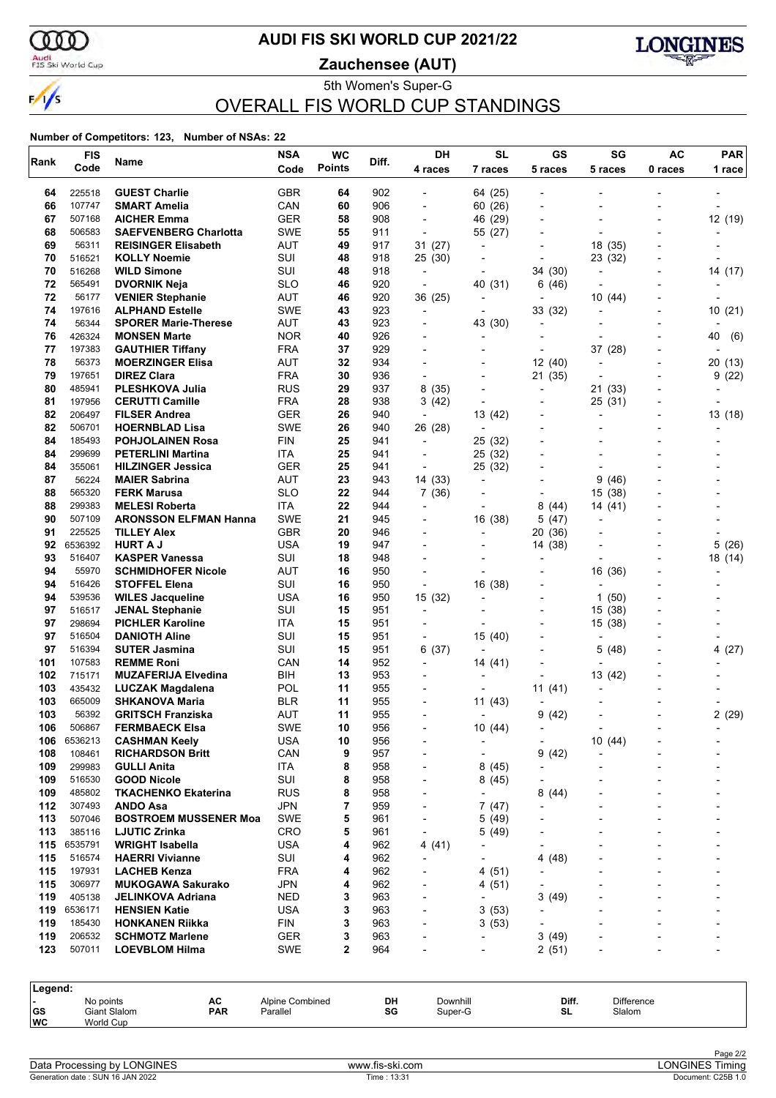

## **AUDI FIS SKI WORLD CUP 2021/22**

Audi<br>FIS Ski World Cup

**Zauchensee (AUT)**



#### 5th Women's Super-G OVERALL FIS WORLD CUP STANDINGS

| Rank                                        | <b>FIS</b>        | Name                                            | <b>NSA</b>                  | <b>WC</b>     | Diff.      | <b>DH</b>                                            | <b>SL</b>                           | GS                                         | SG                                    | <b>AC</b>      | <b>PAR</b> |
|---------------------------------------------|-------------------|-------------------------------------------------|-----------------------------|---------------|------------|------------------------------------------------------|-------------------------------------|--------------------------------------------|---------------------------------------|----------------|------------|
|                                             | Code              |                                                 | Code                        | <b>Points</b> |            | 4 races                                              | 7 races                             | 5 races                                    | 5 races                               | 0 races        | 1 race     |
| 64                                          | 225518            | <b>GUEST Charlie</b>                            | <b>GBR</b>                  | 64            | 902        |                                                      | 64 (25)                             |                                            |                                       |                |            |
| 66                                          | 107747            | <b>SMART Amelia</b>                             | CAN                         | 60            | 906        | $\overline{\phantom{0}}$                             | 60 (26)                             |                                            |                                       |                |            |
| 67                                          | 507168            | <b>AICHER Emma</b>                              | GER                         | 58            | 908        | $\overline{a}$                                       | (29)<br>46                          | $\overline{\phantom{a}}$                   |                                       |                | 12 (19)    |
| 68                                          | 506583            | <b>SAEFVENBERG Charlotta</b>                    | <b>SWE</b>                  | 55            | 911        | $\overline{a}$                                       | 55 (27)                             |                                            |                                       |                |            |
| 69                                          | 56311             | <b>REISINGER Elisabeth</b>                      | <b>AUT</b>                  | 49            | 917        | 31(27)                                               | $\overline{\phantom{a}}$            |                                            | 18 (35)                               |                |            |
| 70<br>70                                    | 516521            | <b>KOLLY Noemie</b>                             | SUI<br>SUI                  | 48            | 918        | 25 (30)                                              |                                     | ٠                                          | 23 (32)                               |                |            |
| 72                                          | 516268<br>565491  | <b>WILD Simone</b><br><b>DVORNIK Neja</b>       | <b>SLO</b>                  | 48<br>46      | 918<br>920 | $\overline{\phantom{a}}$<br>$\overline{\phantom{a}}$ | $\overline{\phantom{a}}$<br>40 (31) | 34 (30)<br>6(46)                           | $\overline{\phantom{a}}$              |                | 14 (17)    |
| 72                                          | 56177             | <b>VENIER Stephanie</b>                         | AUT                         | 46            | 920        | 36 (25)                                              |                                     | -                                          | 10(44)                                |                |            |
| 74                                          | 197616            | <b>ALPHAND Estelle</b>                          | <b>SWE</b>                  | 43            | 923        | $\overline{a}$                                       | $\overline{\phantom{a}}$            | 33 (32)                                    |                                       |                | 10(21)     |
| 74                                          | 56344             | <b>SPORER Marie-Therese</b>                     | <b>AUT</b>                  | 43            | 923        |                                                      | 43 (30)                             | $\overline{\phantom{0}}$                   |                                       |                |            |
| 76                                          | 426324            | <b>MONSEN Marte</b>                             | <b>NOR</b>                  | 40            | 926        | $\overline{\phantom{a}}$                             | $\overline{\phantom{a}}$            | $\overline{\phantom{0}}$                   |                                       |                | 40<br>(6)  |
| 77                                          | 197383            | <b>GAUTHIER Tiffany</b>                         | <b>FRA</b>                  | 37            | 929        | $\overline{\phantom{0}}$                             |                                     | ٠                                          | 37 (28)                               |                |            |
| 78                                          | 56373             | <b>MOERZINGER Elisa</b>                         | <b>AUT</b>                  | 32            | 934        |                                                      |                                     | 12(40)                                     | $\blacksquare$                        | $\overline{a}$ | 20 (13)    |
| 79                                          | 197651            | <b>DIREZ Clara</b>                              | <b>FRA</b>                  | 30            | 936        | $\overline{\phantom{a}}$                             |                                     | 21 (35)                                    | $\overline{a}$                        | Ĭ.             | 9(22)      |
| 80                                          | 485941            | <b>PLESHKOVA Julia</b>                          | <b>RUS</b>                  | 29            | 937        | 8 (35)                                               | $\overline{\phantom{a}}$            | -                                          | 21 (33)                               |                |            |
| 81                                          | 197956            | <b>CERUTTI Camille</b>                          | <b>FRA</b>                  | 28            | 938        | 3 (42)                                               | $\overline{a}$                      |                                            | 25 (31)                               |                |            |
| 82<br>82                                    | 206497<br>506701  | <b>FILSER Andrea</b><br><b>HOERNBLAD Lisa</b>   | GER<br><b>SWE</b>           | 26<br>26      | 940        | $\overline{\phantom{a}}$                             | 13 (42)                             |                                            | $\overline{a}$                        |                | 13 (18)    |
| 84                                          | 185493            | <b>POHJOLAINEN Rosa</b>                         | <b>FIN</b>                  | 25            | 940<br>941 | 26 (28)<br>$\overline{a}$                            | $\overline{a}$<br>25 (32)           | $\overline{\phantom{a}}$                   |                                       |                |            |
| 84                                          | 299699            | <b>PETERLINI Martina</b>                        | ITA                         | 25            | 941        | $\overline{\phantom{a}}$                             | 25 (32)                             | $\overline{\phantom{a}}$                   |                                       |                |            |
| 84                                          | 355061            | <b>HILZINGER Jessica</b>                        | GER                         | 25            | 941        | $\overline{a}$                                       | 25 (32)                             | $\overline{a}$                             |                                       |                |            |
| 87                                          | 56224             | <b>MAIER Sabrina</b>                            | <b>AUT</b>                  | 23            | 943        | 14 (33)                                              | $\blacksquare$                      |                                            | 9<br>(46)                             |                |            |
| 88                                          | 565320            | <b>FERK Marusa</b>                              | <b>SLO</b>                  | 22            | 944        | 7(36)                                                |                                     | ٠                                          | (38)<br>15                            |                |            |
| 88                                          | 299383            | <b>MELESI Roberta</b>                           | <b>ITA</b>                  | 22            | 944        | $\overline{\phantom{a}}$                             |                                     | 8<br>(44)                                  | 14 (41)                               |                |            |
| 90                                          | 507109            | <b>ARONSSON ELFMAN Hanna</b>                    | <b>SWE</b>                  | 21            | 945        | $\overline{\phantom{a}}$                             | 16 (38)                             | 5 (47)                                     |                                       |                |            |
| 91                                          | 225525            | <b>TILLEY Alex</b>                              | <b>GBR</b>                  | 20            | 946        | $\overline{\phantom{0}}$                             | $\overline{a}$                      | 20 (36)                                    |                                       |                |            |
| 92                                          | 6536392           | <b>HURT A J</b>                                 | USA                         | 19            | 947        | $\overline{\phantom{a}}$                             | $\overline{\phantom{0}}$            | 14 (38)                                    |                                       |                | 5(26)      |
| 93                                          | 516407            | <b>KASPER Vanessa</b>                           | SUI                         | 18            | 948        |                                                      |                                     | ٠                                          |                                       | Ĭ.             | 18 (14)    |
| 94                                          | 55970             | <b>SCHMIDHOFER Nicole</b>                       | AUT                         | 16            | 950        | $\blacksquare$                                       |                                     | $\overline{\phantom{a}}$                   | 16 (36)                               | Ĭ.             |            |
| 94<br>94                                    | 516426<br>539536  | <b>STOFFEL Elena</b><br><b>WILES Jacqueline</b> | SUI<br>USA                  | 16<br>16      | 950<br>950 | ÷,<br>15 (32)                                        | 16 (38)                             | $\overline{\phantom{0}}$<br>$\overline{a}$ | $\overline{\phantom{a}}$<br>1<br>(50) |                |            |
| 97                                          | 516517            | <b>JENAL Stephanie</b>                          | SUI                         | 15            | 951        | $\overline{\phantom{a}}$                             |                                     | $\overline{\phantom{0}}$                   | 15 (38)                               |                |            |
| 97                                          | 298694            | <b>PICHLER Karoline</b>                         | ITA                         | 15            | 951        | $\overline{\phantom{a}}$                             |                                     | $\overline{a}$                             | 15 (38)                               |                |            |
| 97                                          | 516504            | <b>DANIOTH Aline</b>                            | SUI                         | 15            | 951        |                                                      | 15 (40)                             |                                            |                                       |                |            |
| 97                                          | 516394            | <b>SUTER Jasmina</b>                            | SUI                         | 15            | 951        | 6(37)                                                | $\overline{\phantom{a}}$            |                                            | 5<br>(48)                             |                | 4(27)      |
| 101                                         | 107583            | <b>REMME Roni</b>                               | CAN                         | 14            | 952        | $\overline{\phantom{a}}$                             | 14 (41)                             | -                                          | $\overline{\phantom{a}}$              |                |            |
| 102                                         | 715171            | <b>MUZAFERIJA Elvedina</b>                      | BIH                         | 13            | 953        | $\overline{\phantom{0}}$                             | $\blacksquare$                      |                                            | 13 (42)                               |                |            |
| 103                                         | 435432            | <b>LUCZAK Magdalena</b>                         | POL                         | 11            | 955        | $\overline{\phantom{a}}$                             |                                     | 11(41)                                     | $\blacksquare$                        |                |            |
| 103                                         | 665009            | <b>SHKANOVA Maria</b>                           | <b>BLR</b>                  | 11            | 955        | $\overline{\phantom{a}}$                             | 11(43)                              |                                            |                                       |                |            |
| 103                                         | 56392             | <b>GRITSCH Franziska</b>                        | AUT                         | 11            | 955        | $\blacksquare$                                       | $\overline{\phantom{a}}$            | 9(42)                                      |                                       | $\overline{a}$ | 2(29)      |
| 106                                         | 506867            | <b>FERMBAECK Elsa</b>                           | <b>SWE</b>                  | 10            | 956        |                                                      | 10(44)                              |                                            |                                       |                |            |
| 106<br>108                                  | 6536213<br>108461 | <b>CASHMAN Keely</b><br><b>RICHARDSON Britt</b> | <b>USA</b><br>CAN           | 10<br>9       | 956<br>957 |                                                      |                                     | $\qquad \qquad \blacksquare$<br>(42)<br>9  | 10(44)                                |                |            |
| 109                                         | 299983            | <b>GULLI Anita</b>                              | ITA                         | 8             | 958        | -                                                    | 8(45)                               | -                                          |                                       |                |            |
| 109                                         | 516530            | <b>GOOD Nicole</b>                              | SUI                         | 8             | 958        | -                                                    | 8(45)                               |                                            |                                       |                |            |
| 109                                         | 485802            | <b>TKACHENKO Ekaterina</b>                      | <b>RUS</b>                  | 8             | 958        |                                                      |                                     | 8<br>(44)                                  |                                       |                |            |
| 112                                         | 307493            | ANDO Asa                                        | <b>JPN</b>                  | 7             | 959        | ٠                                                    | 7(47)                               |                                            |                                       |                |            |
| 113                                         | 507046            | <b>BOSTROEM MUSSENER Moa</b>                    | <b>SWE</b>                  | 5             | 961        | $\overline{\phantom{0}}$                             | 5(49)                               | $\overline{a}$                             |                                       |                |            |
| 113                                         | 385116            | <b>LJUTIC Zrinka</b>                            | CRO                         | 5             | 961        | $\overline{\phantom{a}}$                             | 5(49)                               |                                            |                                       |                |            |
| 115                                         | 6535791           | <b>WRIGHT Isabella</b>                          | <b>USA</b>                  | 4             | 962        | 4 (41)                                               |                                     |                                            |                                       |                |            |
| 115                                         | 516574            | <b>HAERRI Vivianne</b>                          | SUI                         | 4             | 962        | $\overline{a}$                                       |                                     | (48)<br>4                                  |                                       |                |            |
| 115                                         | 197931            | <b>LACHEB Kenza</b>                             | <b>FRA</b>                  | 4             | 962        |                                                      | 4 (51)                              |                                            |                                       |                |            |
| 115<br>119                                  | 306977            | <b>MUKOGAWA Sakurako</b>                        | <b>JPN</b>                  | 4             | 962        |                                                      | 4(51)                               |                                            |                                       |                |            |
| 119                                         | 405138<br>6536171 | JELINKOVA Adriana<br><b>HENSIEN Katie</b>       | NED<br><b>USA</b>           | 3<br>3        | 963<br>963 |                                                      | 3(53)                               | 3<br>(49)                                  |                                       |                |            |
| 119                                         | 185430            | <b>HONKANEN Riikka</b>                          | <b>FIN</b>                  | 3             | 963        | ٠                                                    | 3(53)                               | ٠                                          |                                       |                |            |
| 119                                         | 206532            | <b>SCHMOTZ Marlene</b>                          | <b>GER</b>                  | 3             | 963        |                                                      | $\blacksquare$                      | 3<br>(49)                                  |                                       |                |            |
| 123                                         | 507011            | <b>LOEVBLOM Hilma</b>                           | <b>SWE</b>                  | $\mathbf{2}$  | 964        |                                                      |                                     | 2(51)                                      |                                       |                |            |
|                                             |                   |                                                 |                             |               |            |                                                      |                                     |                                            |                                       |                |            |
| Legend:                                     |                   |                                                 |                             |               |            |                                                      |                                     |                                            |                                       |                |            |
| No points<br>$\blacksquare$<br>Giant Slalom |                   | АC<br><b>PAR</b>                                | Alpine Combined<br>Parallel |               | DH<br>SG   | Downhill<br>Super-G                                  |                                     | Diff.<br>SL.                               | Difference<br>Slalom                  |                |            |
| GS<br>WC                                    | World Cup         |                                                 |                             |               |            |                                                      |                                     |                                            |                                       |                |            |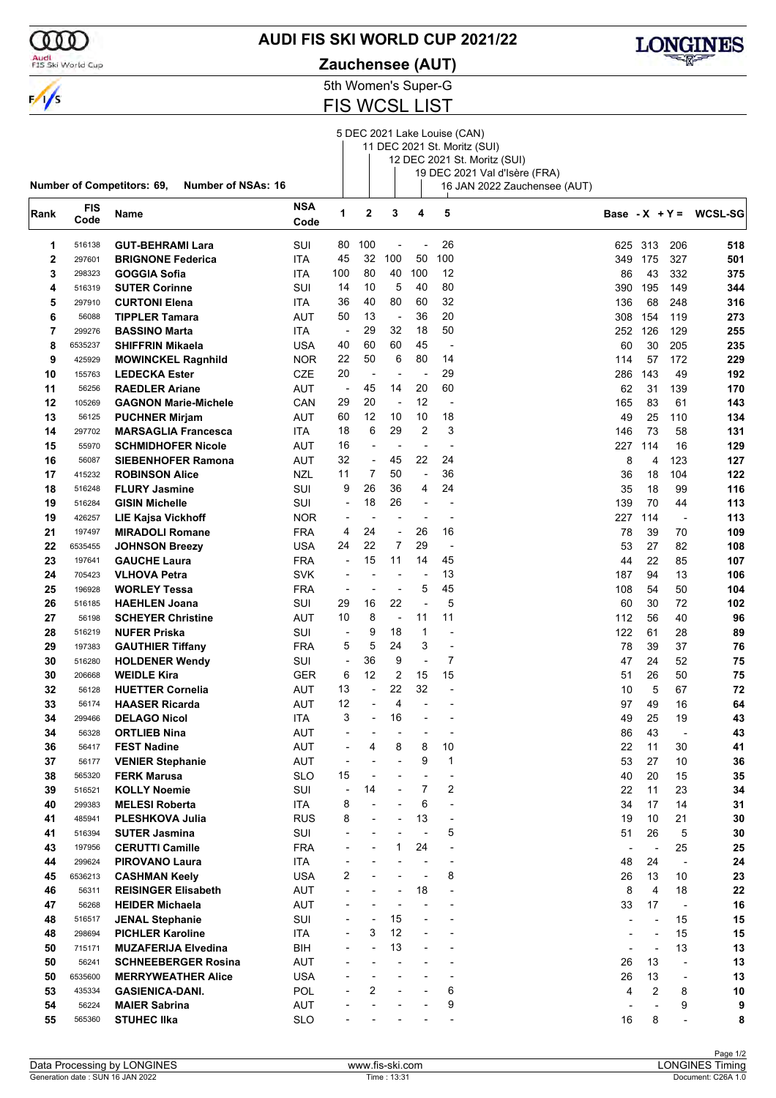

## **AUDI FIS SKI WORLD CUP 2021/22**

Audi<br>FIS Ski World Cup

## **Zauchensee (AUT)**



5th Women's Super-G

FIS WCSL LIST

|      |                    |                                                                |                    |                          |                          |                          |                          |                          | 5 DEC 2021 Lake Louise (CAN)<br>11 DEC 2021 St. Moritz (SUI)<br>12 DEC 2021 St. Moritz (SUI) |                  |                          |                          |                |
|------|--------------------|----------------------------------------------------------------|--------------------|--------------------------|--------------------------|--------------------------|--------------------------|--------------------------|----------------------------------------------------------------------------------------------|------------------|--------------------------|--------------------------|----------------|
|      |                    | <b>Number of Competitors: 69,</b><br><b>Number of NSAs: 16</b> |                    |                          |                          |                          |                          |                          | 19 DEC 2021 Val d'Isère (FRA)<br>16 JAN 2022 Zauchensee (AUT)                                |                  |                          |                          |                |
| Rank | <b>FIS</b><br>Code | Name                                                           | <b>NSA</b><br>Code | $\mathbf{1}$             | $\mathbf 2$              | 3                        | 4                        | 5                        |                                                                                              | Base - $X + Y =$ |                          |                          | <b>WCSL-SG</b> |
| 1    | 516138             | <b>GUT-BEHRAMI Lara</b>                                        | SUI                | 80                       | 100                      |                          |                          | 26                       |                                                                                              | 625              | 313                      | 206                      | 518            |
| 2    | 297601             | <b>BRIGNONE Federica</b>                                       | ITA                | 45                       | 32                       | 100                      | 50                       | 100                      |                                                                                              | 349              | 175                      | 327                      | 501            |
| 3    | 298323             | <b>GOGGIA Sofia</b>                                            | <b>ITA</b>         | 100                      | 80                       | 40                       | 100                      | 12                       |                                                                                              | 86               | 43                       | 332                      | 375            |
| 4    | 516319             | <b>SUTER Corinne</b>                                           | SUI                | 14                       | 10                       | 5                        | 40                       | 80                       |                                                                                              | 390              | 195                      | 149                      | 344            |
| 5    | 297910             | <b>CURTONI Elena</b>                                           | <b>ITA</b>         | 36                       | 40                       | 80                       | 60                       | 32                       |                                                                                              | 136              | 68                       | 248                      | 316            |
| 6    | 56088              | <b>TIPPLER Tamara</b>                                          | AUT                | 50                       | 13                       | $\overline{\phantom{a}}$ | 36                       | 20                       |                                                                                              | 308              | 154                      | 119                      | 273            |
| 7    | 299276             | <b>BASSINO Marta</b>                                           | ITA                | ÷,                       | 29                       | 32                       | 18                       | 50                       |                                                                                              | 252              | 126                      | 129                      | 255            |
| 8    | 6535237            | <b>SHIFFRIN Mikaela</b>                                        | USA                | 40                       | 60                       | 60                       | 45                       | $\blacksquare$           |                                                                                              | 60               | 30                       | 205                      | 235            |
| 9    | 425929             | <b>MOWINCKEL Ragnhild</b>                                      | <b>NOR</b>         | 22                       | 50                       | 6                        | 80                       | 14                       |                                                                                              | 114              | 57                       | 172                      | 229            |
| 10   | 155763             | <b>LEDECKA Ester</b>                                           | <b>CZE</b>         | 20                       | $\overline{\phantom{a}}$ | $\overline{a}$           | ÷,                       | 29                       |                                                                                              | 286              | 143                      | 49                       | 192            |
| 11   | 56256              | <b>RAEDLER Ariane</b>                                          | AUT                | $\overline{\phantom{a}}$ | 45                       | 14                       | 20                       | 60                       |                                                                                              | 62               | 31                       | 139                      | 170            |
| 12   | 105269             | <b>GAGNON Marie-Michele</b>                                    | CAN                | 29                       | 20                       | $\overline{\phantom{a}}$ | 12                       | $\overline{\phantom{a}}$ |                                                                                              | 165              | 83                       | 61                       | 143            |
| 13   | 56125              | <b>PUCHNER Mirjam</b>                                          | AUT                | 60                       | 12                       | 10                       | 10                       | 18                       |                                                                                              | 49               | 25                       | 110                      | 134            |
| 14   | 297702             | <b>MARSAGLIA Francesca</b>                                     | ITA.               | 18                       | 6                        | 29                       | 2                        | 3                        |                                                                                              | 146              | 73                       | 58                       | 131            |
| 15   | 55970              | <b>SCHMIDHOFER Nicole</b>                                      | AUT                | 16                       | ÷,                       | $\overline{\phantom{a}}$ | ÷,                       | ÷                        |                                                                                              | 227              | 114                      | 16                       | 129            |
| 16   | 56087              | <b>SIEBENHOFER Ramona</b>                                      | AUT                | 32                       | $\overline{\phantom{a}}$ | 45                       | 22                       | 24                       |                                                                                              | 8                | 4                        | 123                      | 127            |
| 17   | 415232             | <b>ROBINSON Alice</b>                                          | <b>NZL</b>         | 11                       | 7                        | 50                       | $\overline{a}$           | 36                       |                                                                                              | 36               | 18                       | 104                      | 122            |
| 18   | 516248             | <b>FLURY Jasmine</b>                                           | SUI                | 9                        | 26                       | 36                       | 4                        | 24                       |                                                                                              | 35               | 18                       | 99                       | 116            |
| 19   | 516284             | <b>GISIN Michelle</b>                                          | SUI                | ÷,                       | 18                       | 26                       | L,                       |                          |                                                                                              | 139              | 70                       | 44                       | 113            |
| 19   | 426257             | <b>LIE Kajsa Vickhoff</b>                                      | <b>NOR</b>         | $\overline{\phantom{a}}$ | $\overline{\phantom{a}}$ | $\overline{a}$           | $\blacksquare$           | $\overline{\phantom{a}}$ |                                                                                              | 227              | 114                      | $\overline{\phantom{a}}$ | 113            |
| 21   | 197497             | <b>MIRADOLI Romane</b>                                         | <b>FRA</b>         | 4                        | 24                       | $\overline{\phantom{a}}$ | 26                       | 16                       |                                                                                              | 78               | 39                       | 70                       | 109            |
| 22   | 6535455            | <b>JOHNSON Breezy</b>                                          | USA                | 24                       | 22                       | 7                        | 29                       | $\overline{\phantom{a}}$ |                                                                                              | 53               | 27                       | 82                       | 108            |
| 23   | 197641             | <b>GAUCHE Laura</b>                                            | <b>FRA</b>         | $\overline{\phantom{a}}$ | 15                       | 11                       | 14                       | 45                       |                                                                                              | 44               | 22                       | 85                       | 107            |
| 24   | 705423             | <b>VLHOVA Petra</b>                                            | <b>SVK</b>         | $\overline{\phantom{a}}$ | $\overline{\phantom{a}}$ | $\overline{a}$           | $\overline{\phantom{a}}$ | 13                       |                                                                                              | 187              | 94                       | 13                       | 106            |
| 25   | 196928             | <b>WORLEY Tessa</b>                                            | <b>FRA</b>         | $\overline{a}$           | $\overline{a}$           |                          | 5                        | 45                       |                                                                                              | 108              | 54                       | 50                       | 104            |
| 26   | 516185             | <b>HAEHLEN Joana</b>                                           | SUI                | 29                       | 16                       | 22                       | ÷,                       | 5                        |                                                                                              | 60               | 30                       | 72                       | 102            |
| 27   | 56198              | <b>SCHEYER Christine</b>                                       | AUT                | 10                       | 8                        | $\overline{\phantom{a}}$ | 11                       | 11                       |                                                                                              | 112              | 56                       | 40                       | 96             |
| 28   | 516219             | <b>NUFER Priska</b>                                            | SUI                | $\overline{\phantom{a}}$ | 9                        | 18                       | $\mathbf{1}$             | $\blacksquare$           |                                                                                              | 122              | 61                       | 28                       | 89             |
| 29   | 197383             | <b>GAUTHIER Tiffany</b>                                        | <b>FRA</b>         | 5                        | 5                        | 24                       | 3                        | $\overline{\phantom{a}}$ |                                                                                              | 78               | 39                       | 37                       | 76             |
| 30   | 516280             | <b>HOLDENER Wendy</b>                                          | SUI                | ÷,                       | 36                       | 9                        | ÷,                       | 7                        |                                                                                              | 47               | 24                       | 52                       | 75             |
| 30   | 206668             | <b>WEIDLE Kira</b>                                             | GER                | 6                        | 12                       | $\overline{2}$           | 15                       | 15                       |                                                                                              | 51               | 26                       | 50                       | 75             |
| 32   | 56128              | <b>HUETTER Cornelia</b>                                        | AUT                | 13                       | $\overline{\phantom{a}}$ | 22                       | 32                       | ÷                        |                                                                                              | 10               | 5                        | 67                       | 72             |
| 33   | 56174              | <b>HAASER Ricarda</b>                                          | AUT                | 12                       |                          | 4                        |                          | $\overline{\phantom{a}}$ |                                                                                              | 97               | 49                       | 16                       | 64             |
| 34   | 299466             | <b>DELAGO Nicol</b>                                            | <b>ITA</b>         | 3                        |                          | 16                       |                          |                          |                                                                                              | 49               | 25                       | 19                       | 43             |
| 34   | 56328              | <b>ORTLIEB Nina</b>                                            | <b>AUT</b>         |                          |                          |                          |                          |                          |                                                                                              | 86               | 43                       | $\blacksquare$           | 43             |
| 36   | 56417              | <b>FEST Nadine</b>                                             | AUT                |                          | 4                        | 8                        | 8                        | 10                       |                                                                                              | 22               | 11                       | 30                       | 41             |
| 37   | 56177              | <b>VENIER Stephanie</b>                                        | AUT                |                          | $\overline{\phantom{a}}$ |                          | 9                        | 1                        |                                                                                              | 53               | 27                       | 10                       | 36             |
| 38   | 565320             | <b>FERK Marusa</b>                                             | <b>SLO</b>         | 15                       | $\overline{a}$           |                          |                          | ÷                        |                                                                                              | 40               | 20                       | 15                       | 35             |
| 39   | 516521             | <b>KOLLY Noemie</b>                                            | SUI                | $\overline{a}$           | 14                       |                          | 7                        | 2                        |                                                                                              | 22               | 11                       | 23                       | 34             |
| 40   | 299383             | <b>MELESI Roberta</b>                                          | ITA                | 8                        | L,                       |                          | 6                        | $\overline{\phantom{a}}$ |                                                                                              | 34               | 17                       | 14                       | 31             |
| 41   | 485941             | PLESHKOVA Julia                                                | <b>RUS</b>         | 8                        | $\overline{\phantom{a}}$ |                          | 13                       | $\overline{\phantom{a}}$ |                                                                                              | 19               | 10                       | 21                       | 30             |
| 41   | 516394             | <b>SUTER Jasmina</b>                                           | SUI                |                          | $\overline{\phantom{a}}$ |                          | ÷,                       | 5                        |                                                                                              | 51               | 26                       | 5                        | 30             |
| 43   | 197956             | <b>CERUTTI Camille</b>                                         | <b>FRA</b>         |                          |                          | 1                        | 24                       | $\overline{a}$           |                                                                                              |                  | $\overline{\phantom{a}}$ | 25                       | 25             |
| 44   | 299624             | <b>PIROVANO Laura</b>                                          | ITA                |                          |                          |                          |                          | ÷                        |                                                                                              | 48               | 24                       | $\overline{\phantom{a}}$ | 24             |
| 45   | 6536213            | <b>CASHMAN Keely</b>                                           | <b>USA</b>         | 2                        |                          |                          |                          | 8                        |                                                                                              | 26               | 13                       | 10                       | 23             |
| 46   | 56311              | <b>REISINGER Elisabeth</b>                                     | AUT                |                          |                          |                          | 18                       | $\overline{a}$           |                                                                                              | 8                | $\overline{4}$           | 18                       | 22             |
| 47   | 56268              | <b>HEIDER Michaela</b>                                         | <b>AUT</b>         |                          |                          |                          |                          | ÷                        |                                                                                              | 33               | 17                       | $\overline{\phantom{a}}$ | 16             |
| 48   | 516517             | <b>JENAL Stephanie</b>                                         | SUI                |                          | $\overline{\phantom{a}}$ | 15                       |                          |                          |                                                                                              |                  | $\overline{a}$           | 15                       | 15             |
| 48   | 298694             | <b>PICHLER Karoline</b>                                        | ITA                |                          | 3                        | 12                       |                          |                          |                                                                                              |                  | ÷,                       | 15                       | 15             |
| 50   | 715171             | <b>MUZAFERIJA Elvedina</b>                                     | <b>BIH</b>         |                          | L,                       | 13                       |                          |                          |                                                                                              |                  | $\overline{\phantom{a}}$ | 13                       | 13             |
| 50   | 56241              | <b>SCHNEEBERGER Rosina</b>                                     | AUT                |                          |                          |                          |                          |                          |                                                                                              | 26               | 13                       | $\overline{\phantom{a}}$ | 13             |
| 50   | 6535600            | <b>MERRYWEATHER Alice</b>                                      | USA                |                          | L,                       |                          |                          | L,                       |                                                                                              | 26               | 13                       | ÷,                       | 13             |
| 53   | 435334             | <b>GASIENICA-DANI.</b>                                         | POL                |                          | 2                        |                          |                          | 6                        |                                                                                              | 4                | 2                        | 8                        | 10             |
| 54   | 56224              | <b>MAIER Sabrina</b>                                           | AUT                |                          |                          |                          |                          | 9                        |                                                                                              |                  |                          | 9                        | 9              |
| 55   | 565360             | <b>STUHEC IIka</b>                                             | <b>SLO</b>         |                          |                          |                          |                          |                          |                                                                                              | 16               | 8                        |                          | 8              |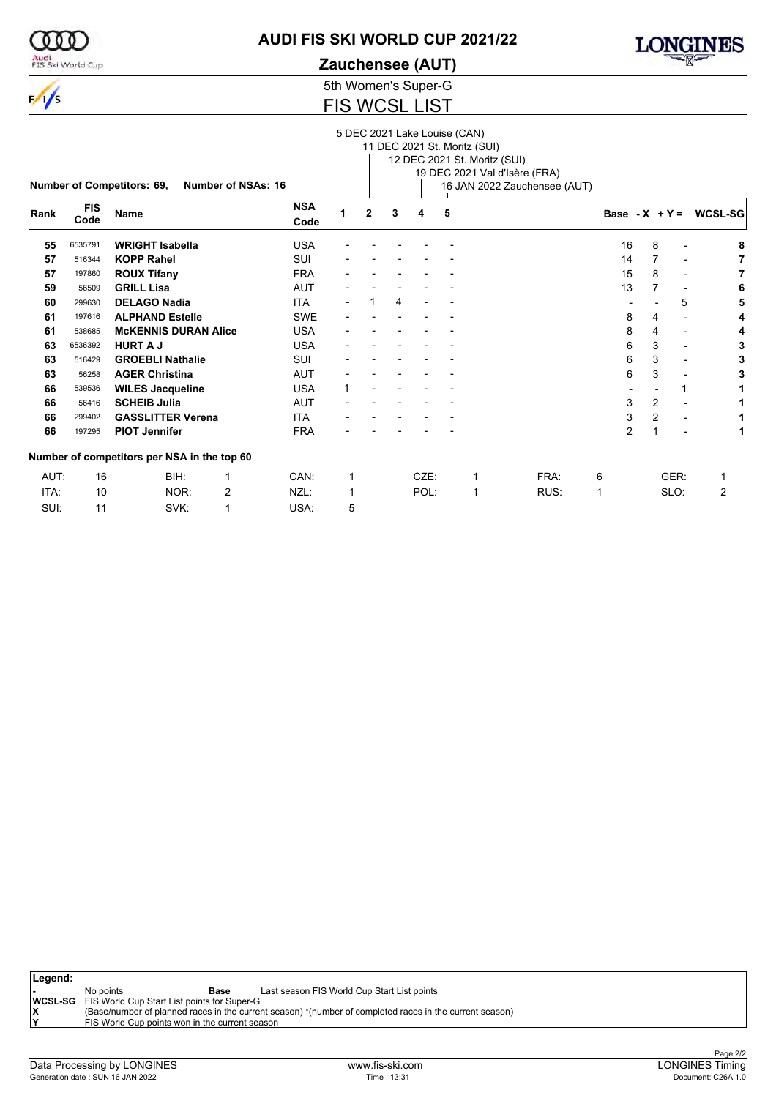

## **AUDI FIS SKI WORLD CUP 2021/22**

Audi<br>FIS Ski World Cup

**Zauchensee (AUT)**

5th Women's Super-G FIS WCSL LIST

|      |                    | <b>Number of Competitors: 69,</b>           | Number of NSAs: 16 |                    |   |              |   | 5 DEC 2021 Lake Louise (CAN) |   | 11 DEC 2021 St. Moritz (SUI)<br>12 DEC 2021 St. Moritz (SUI) | 19 DEC 2021 Val d'Isère (FRA)<br>16 JAN 2022 Zauchensee (AUT) |    |   |                          |                          |
|------|--------------------|---------------------------------------------|--------------------|--------------------|---|--------------|---|------------------------------|---|--------------------------------------------------------------|---------------------------------------------------------------|----|---|--------------------------|--------------------------|
| Rank | <b>FIS</b><br>Code | <b>Name</b>                                 |                    | <b>NSA</b><br>Code | 1 | $\mathbf{2}$ | 3 | 4                            | 5 |                                                              |                                                               |    |   |                          | Base - $X + Y = WCSL-SG$ |
| 55   | 6535791            | <b>WRIGHT Isabella</b>                      |                    | <b>USA</b>         |   |              |   |                              |   |                                                              |                                                               | 16 | 8 | $\overline{\phantom{0}}$ | 8                        |
| 57   | 516344             | <b>KOPP Rahel</b>                           |                    | SUI                |   |              |   |                              |   |                                                              |                                                               | 14 | 7 | $\overline{\phantom{a}}$ |                          |
| 57   | 197860             | <b>ROUX Tifany</b>                          |                    | <b>FRA</b>         |   |              |   |                              |   |                                                              |                                                               | 15 | 8 | $\overline{\phantom{a}}$ |                          |
| 59   | 56509              | <b>GRILL Lisa</b>                           |                    | <b>AUT</b>         |   |              |   |                              |   |                                                              |                                                               | 13 | 7 | $\overline{\phantom{a}}$ |                          |
| 60   | 299630             | <b>DELAGO Nadia</b>                         |                    | <b>ITA</b>         |   |              | 4 | $\overline{a}$               |   |                                                              |                                                               |    |   | 5                        |                          |
| 61   | 197616             | <b>ALPHAND Estelle</b>                      |                    | <b>SWE</b>         |   |              |   |                              |   |                                                              |                                                               | 8  | 4 | $\overline{\phantom{a}}$ |                          |
| 61   | 538685             | <b>MCKENNIS DURAN Alice</b>                 |                    | <b>USA</b>         |   |              |   |                              |   |                                                              |                                                               | 8  | 4 | $\overline{\phantom{0}}$ |                          |
| 63   | 6536392            | <b>HURT A J</b>                             |                    | <b>USA</b>         |   |              |   |                              |   |                                                              |                                                               | 6  | 3 | $\overline{\phantom{a}}$ |                          |
| 63   | 516429             | <b>GROEBLI Nathalie</b>                     |                    | SUI                |   |              |   |                              |   |                                                              |                                                               | 6  | 3 | $\overline{\phantom{a}}$ |                          |
| 63   | 56258              | <b>AGER Christina</b>                       |                    | <b>AUT</b>         |   |              |   |                              |   |                                                              |                                                               | 6  | 3 |                          |                          |
| 66   | 539536             | <b>WILES Jacqueline</b>                     |                    | <b>USA</b>         | 1 |              |   |                              |   |                                                              |                                                               |    |   | 1                        |                          |
| 66   | 56416              | <b>SCHEIB Julia</b>                         |                    | <b>AUT</b>         |   |              |   |                              |   |                                                              |                                                               | 3  | 2 | $\overline{\phantom{a}}$ |                          |
| 66   | 299402             | <b>GASSLITTER Verena</b>                    |                    | <b>ITA</b>         |   |              |   |                              |   |                                                              |                                                               | 3  | 2 | $\blacksquare$           |                          |
| 66   | 197295             | <b>PIOT Jennifer</b>                        |                    | <b>FRA</b>         |   |              |   |                              |   |                                                              |                                                               | 2  |   | $\overline{\phantom{a}}$ |                          |
|      |                    | Number of competitors per NSA in the top 60 |                    |                    |   |              |   |                              |   |                                                              |                                                               |    |   |                          |                          |
| AUT: | 16                 | BIH:                                        | 1                  | CAN:               | 1 |              |   | CZE:                         |   | $\mathbf 1$                                                  | FRA:                                                          | 6  |   | GER:                     | 1                        |
| ITA: | 10                 | NOR:                                        | 2                  | NZL:               | 1 |              |   | POL:                         |   | 1                                                            | RUS:                                                          | 1  |   | SLO:                     | 2                        |
| SUI: | 11                 | SVK:                                        | 1                  | USA:               | 5 |              |   |                              |   |                                                              |                                                               |    |   |                          |                          |

| ∣Legend:  |                                                            |             |                                                                                                         |  |  |  |  |  |  |  |  |  |
|-----------|------------------------------------------------------------|-------------|---------------------------------------------------------------------------------------------------------|--|--|--|--|--|--|--|--|--|
|           | No points                                                  | <b>Base</b> | Last season FIS World Cup Start List points                                                             |  |  |  |  |  |  |  |  |  |
|           | <b>WCSL-SG</b> FIS World Cup Start List points for Super-G |             |                                                                                                         |  |  |  |  |  |  |  |  |  |
| $\lambda$ |                                                            |             | (Base/number of planned races in the current season) *(number of completed races in the current season) |  |  |  |  |  |  |  |  |  |
|           | FIS World Cup points won in the current season             |             |                                                                                                         |  |  |  |  |  |  |  |  |  |
|           |                                                            |             |                                                                                                         |  |  |  |  |  |  |  |  |  |

LONGINES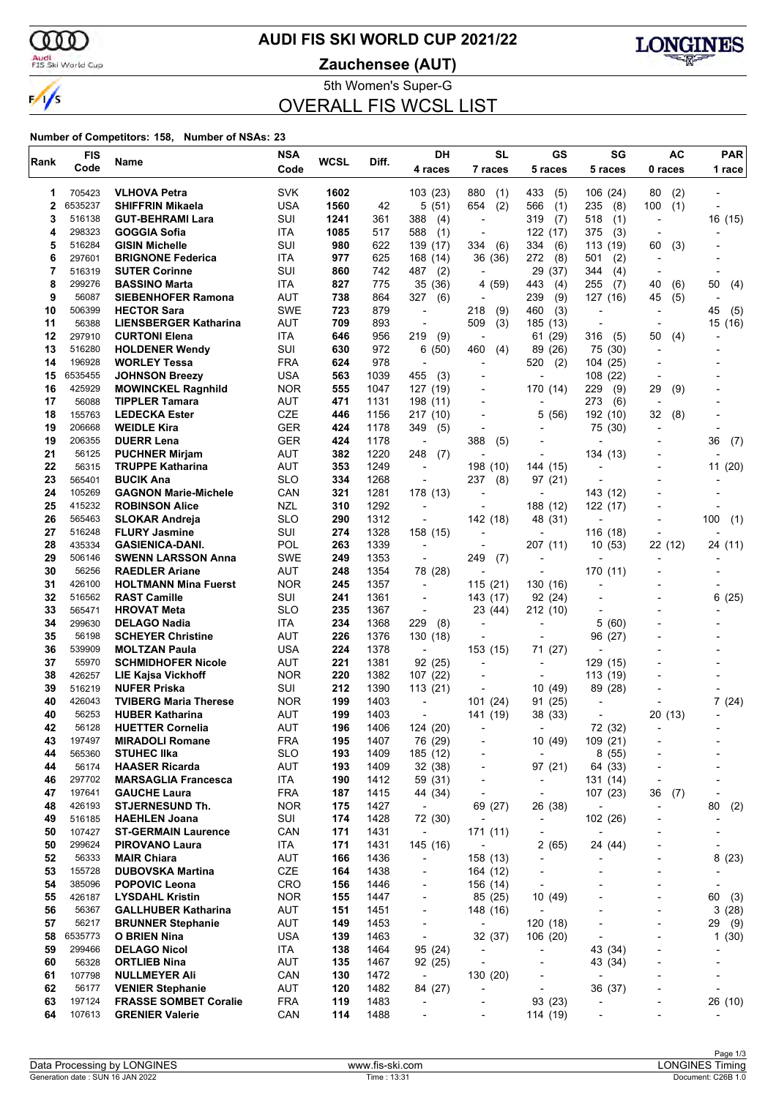

#### **AUDI FIS SKI WORLD CUP 2021/22**

Audi<br>FIS Ski World Cup

**Zauchensee (AUT)**



5th Women's Super-G OVERALL FIS WCSL LIST

| <b>FIS</b><br>Rank |                  | Name                                                   | <b>NSA</b>               | WCSL       | Diff.        | DH                                                   | <b>SL</b>                            | GS                         | SG                       | <b>AC</b>                | <b>PAR</b>                   |  |
|--------------------|------------------|--------------------------------------------------------|--------------------------|------------|--------------|------------------------------------------------------|--------------------------------------|----------------------------|--------------------------|--------------------------|------------------------------|--|
|                    | Code             |                                                        | Code                     |            |              | 4 races                                              | 7 races                              | 5 races                    | 5 races                  | 0 races                  | 1 race                       |  |
| 1                  | 705423           | <b>VLHOVA Petra</b>                                    | <b>SVK</b>               | 1602       |              | 103(23)                                              | 880<br>(1)                           | 433<br>(5)                 | 106(24)                  | (2)<br>80                |                              |  |
| 2                  | 6535237          | <b>SHIFFRIN Mikaela</b>                                | <b>USA</b>               | 1560       | 42           | 5(51)                                                | 654<br>(2)                           | 566<br>(1)                 | 235<br>(8)               | 100<br>(1)               |                              |  |
| 3                  | 516138           | <b>GUT-BEHRAMI Lara</b>                                | SUI                      | 1241       | 361          | 388<br>(4)                                           | $\overline{\phantom{a}}$             | 319<br>(7)                 | 518<br>(1)               | $\overline{\phantom{a}}$ | 16 (15)                      |  |
| 4                  | 298323           | <b>GOGGIA Sofia</b>                                    | ITA                      | 1085       | 517          | 588<br>(1)                                           | $\blacksquare$                       | 122 (17)                   | 375<br>(3)               |                          |                              |  |
| 5                  | 516284           | <b>GISIN Michelle</b>                                  | SUI                      | 980        | 622          | 139 (17)                                             | 334<br>(6)                           | 334<br>(6)                 | 113 (19)                 | 60<br>(3)                |                              |  |
| 6                  | 297601           | <b>BRIGNONE Federica</b>                               | ITA                      | 977        | 625          | 168 (14)                                             | 36 (36)                              | 272<br>(8)                 | 501<br>(2)               | $\overline{\phantom{a}}$ |                              |  |
| 7                  | 516319           | <b>SUTER Corinne</b>                                   | SUI                      | 860        | 742          | 487<br>(2)                                           |                                      | 29<br>(37)                 | 344<br>(4)               |                          |                              |  |
| 8                  | 299276           | <b>BASSINO Marta</b>                                   | ITA                      | 827        | 775          | 35(36)                                               | 4(59)                                | 443<br>(4)                 | 255<br>(7)               | 40<br>(6)                | 50<br>(4)                    |  |
| 9                  | 56087            | <b>SIEBENHOFER Ramona</b>                              | AUT                      | 738        | 864          | 327<br>(6)                                           | ÷                                    | 239<br>(9)                 | 127 (16)                 | 45<br>(5)                |                              |  |
| 10<br>11           | 506399<br>56388  | <b>HECTOR Sara</b><br><b>LIENSBERGER Katharina</b>     | <b>SWE</b><br><b>AUT</b> | 723<br>709 | 879<br>893   | $\overline{a}$<br>$\overline{\phantom{a}}$           | (9)<br>218<br>509<br>(3)             | 460<br>(3)<br>185 (13)     | L,                       |                          | (5)<br>45                    |  |
| 12                 | 297910           | <b>CURTONI Elena</b>                                   | ITA                      | 646        | 956          | 219<br>(9)                                           | $\overline{\phantom{a}}$             | 61 (29)                    | 316<br>(5)               | 50<br>(4)                | 15 (16)                      |  |
| 13                 | 516280           | <b>HOLDENER Wendy</b>                                  | SUI                      | 630        | 972          | (50)<br>6                                            | 460<br>(4)                           | 89 (26)                    | 75 (30)                  |                          |                              |  |
| 14                 | 196928           | <b>WORLEY Tessa</b>                                    | <b>FRA</b>               | 624        | 978          | $\overline{a}$                                       |                                      | 520<br>(2)                 | 104 (25)                 | $\blacksquare$           |                              |  |
| 15                 | 6535455          | <b>JOHNSON Breezy</b>                                  | <b>USA</b>               | 563        | 1039         | 455<br>(3)                                           | $\overline{a}$                       |                            | 108 (22)                 | $\overline{\phantom{a}}$ |                              |  |
| 16                 | 425929           | <b>MOWINCKEL Ragnhild</b>                              | <b>NOR</b>               | 555        | 1047         | 127 (19)                                             |                                      | 170 (14)                   | 229<br>(9)               | 29<br>(9)                |                              |  |
| 17                 | 56088            | <b>TIPPLER Tamara</b>                                  | <b>AUT</b>               | 471        | 1131         | 198 (11)                                             | $\overline{a}$                       | $\overline{a}$             | 273<br>(6)               | $\blacksquare$           |                              |  |
| 18                 | 155763           | <b>LEDECKA Ester</b>                                   | CZE                      | 446        | 1156         | 217 (10)                                             |                                      | 5<br>(56)                  | 192 (10)                 | 32<br>(8)                |                              |  |
| 19                 | 206668           | <b>WEIDLE Kira</b>                                     | <b>GER</b>               | 424        | 1178         | 349<br>(5)                                           |                                      |                            | 75 (30)                  |                          |                              |  |
| 19                 | 206355           | <b>DUERR Lena</b>                                      | <b>GER</b>               | 424        | 1178         | $\overline{\phantom{a}}$                             | 388<br>(5)                           |                            |                          |                          | 36<br>(7)                    |  |
| 21                 | 56125            | <b>PUCHNER Mirjam</b>                                  | AUT                      | 382        | 1220         | 248<br>(7)                                           |                                      | ٠                          | 134 (13)                 |                          |                              |  |
| 22                 | 56315            | <b>TRUPPE Katharina</b>                                | AUT                      | 353        | 1249         | $\overline{\phantom{a}}$                             | 198 (10)                             | 144 (15)                   |                          |                          | 11(20)                       |  |
| 23                 | 565401           | <b>BUCIK Ana</b>                                       | <b>SLO</b>               | 334        | 1268         | $\overline{\phantom{a}}$                             | 237<br>(8)                           | 97 (21)                    |                          |                          |                              |  |
| 24                 | 105269           | <b>GAGNON Marie-Michele</b>                            | CAN                      | 321        | 1281         | 178 (13)                                             | $\blacksquare$                       | ÷,                         | 143 (12)                 |                          |                              |  |
| 25<br>26           | 415232<br>565463 | <b>ROBINSON Alice</b>                                  | <b>NZL</b><br><b>SLO</b> | 310<br>290 | 1292<br>1312 | $\blacksquare$<br>$\overline{\phantom{a}}$           |                                      | 188 (12)                   | 122 (17)                 |                          |                              |  |
| 27                 | 516248           | <b>SLOKAR Andreja</b><br><b>FLURY Jasmine</b>          | SUI                      | 274        | 1328         | 158 (15)                                             | 142 (18)<br>$\overline{a}$           | 48 (31)                    | 116 (18)                 |                          | 100<br>(1)                   |  |
| 28                 | 435334           | <b>GASIENICA-DANI.</b>                                 | POL                      | 263        | 1339         |                                                      |                                      | 207 (11)                   | 10(53)                   | 22 (12)                  | 24 (11)                      |  |
| 29                 | 506146           | <b>SWENN LARSSON Anna</b>                              | <b>SWE</b>               | 249        | 1353         | $\overline{\phantom{a}}$                             | 249<br>(7)                           | $\overline{\phantom{a}}$   |                          |                          |                              |  |
| 30                 | 56256            | <b>RAEDLER Ariane</b>                                  | AUT                      | 248        | 1354         | 78 (28)                                              | $\overline{a}$                       | ÷,                         | 170 (11)                 |                          |                              |  |
| 31                 | 426100           | <b>HOLTMANN Mina Fuerst</b>                            | <b>NOR</b>               | 245        | 1357         | $\overline{\phantom{a}}$                             | 115(21)                              | 130 (16)                   |                          |                          |                              |  |
| 32                 | 516562           | <b>RAST Camille</b>                                    | SUI                      | 241        | 1361         | $\overline{\phantom{a}}$                             | 143 (17)                             | 92 (24)                    |                          |                          | 6(25)                        |  |
| 33                 | 565471           | <b>HROVAT Meta</b>                                     | <b>SLO</b>               | 235        | 1367         | $\overline{\phantom{a}}$                             | 23 (44)                              | 212 (10)                   |                          |                          |                              |  |
| 34                 | 299630           | <b>DELAGO Nadia</b>                                    | ITA                      | 234        | 1368         | 229<br>(8)                                           | $\overline{a}$                       |                            | 5 (60)                   |                          |                              |  |
| 35                 | 56198            | <b>SCHEYER Christine</b>                               | <b>AUT</b>               | 226        | 1376         | 130 (18)                                             |                                      | $\overline{\phantom{a}}$   | 96 (27)                  |                          |                              |  |
| 36                 | 539909           | <b>MOLTZAN Paula</b>                                   | <b>USA</b>               | 224        | 1378         | $\overline{\phantom{a}}$                             | 153 (15)                             | 71 (27)                    |                          |                          |                              |  |
| 37                 | 55970            | <b>SCHMIDHOFER Nicole</b>                              | AUT                      | 221        | 1381         | 92 (25)                                              |                                      | ٠                          | 129 (15)                 |                          |                              |  |
| 38                 | 426257           | <b>LIE Kajsa Vickhoff</b>                              | <b>NOR</b>               | 220        | 1382         | 107 (22)                                             |                                      | $\overline{\phantom{a}}$   | 113 (19)                 |                          |                              |  |
| 39                 | 516219<br>426043 | <b>NUFER Priska</b>                                    | SUI                      | 212        | 1390         | 113(21)                                              |                                      | 10<br>(49)                 | 89 (28)                  |                          |                              |  |
| 40<br>40           | 56253            | <b>TVIBERG Maria Therese</b><br><b>HUBER Katharina</b> | <b>NOR</b><br>AUT        | 199<br>199 | 1403<br>1403 | $\overline{a}$                                       | 101(24)                              | 91 (25)                    |                          | 20(13)                   | 7(24)                        |  |
| 42                 | 56128            | <b>HUETTER Cornelia</b>                                | AUT                      | 196        | 1406         | $\overline{\phantom{a}}$<br>124 (20)                 | 141 (19)                             | 38 (33)                    | 72 (32)                  |                          | $\qquad \qquad \blacksquare$ |  |
| 43                 | 197497           | <b>MIRADOLI Romane</b>                                 | <b>FRA</b>               | 195        | 1407         | 76 (29)                                              |                                      | 10 (49)                    | 109 (21)                 |                          |                              |  |
| 44                 | 565360           | <b>STUHEC IIka</b>                                     | <b>SLO</b>               | 193        | 1409         | 185 (12)                                             | $\overline{a}$                       | $\overline{\phantom{0}}$   | 8(55)                    |                          |                              |  |
| 44                 | 56174            | <b>HAASER Ricarda</b>                                  | AUT                      | 193        | 1409         | 32(38)                                               | $\overline{a}$                       | 97 (21)                    | 64 (33)                  |                          |                              |  |
| 46                 | 297702           | <b>MARSAGLIA Francesca</b>                             | ITA                      | 190        | 1412         | 59 (31)                                              | $\overline{a}$                       | $\overline{\phantom{a}}$   | 131 (14)                 |                          |                              |  |
| 47                 | 197641           | <b>GAUCHE Laura</b>                                    | <b>FRA</b>               | 187        | 1415         | 44 (34)                                              | $\overline{a}$                       | $\overline{\phantom{a}}$   | 107 (23)                 | 36<br>(7)                | $\overline{a}$               |  |
| 48                 | 426193           | <b>STJERNESUND Th.</b>                                 | <b>NOR</b>               | 175        | 1427         | $\overline{\phantom{a}}$                             | 69 (27)                              | 26 (38)                    |                          | $\overline{a}$           | 80<br>(2)                    |  |
| 49                 | 516185           | <b>HAEHLEN Joana</b>                                   | SUI                      | 174        | 1428         | 72 (30)                                              | $\blacksquare$                       | -                          | 102 (26)                 |                          |                              |  |
| 50                 | 107427           | <b>ST-GERMAIN Laurence</b>                             | CAN                      | 171        | 1431         | $\overline{\phantom{a}}$                             | 171(11)                              | $\overline{\phantom{0}}$   | $\overline{\phantom{a}}$ |                          |                              |  |
| 50                 | 299624           | <b>PIROVANO Laura</b>                                  | ITA                      | 171        | 1431         | 145 (16)                                             | $\overline{\phantom{a}}$             | 2(65)                      | 24 (44)                  |                          | $\overline{\phantom{0}}$     |  |
| 52                 | 56333            | <b>MAIR Chiara</b>                                     | <b>AUT</b>               | 166        | 1436         | $\overline{\phantom{a}}$                             | 158 (13)                             | ٠                          |                          |                          | 8(23)                        |  |
| 53                 | 155728           | <b>DUBOVSKA Martina</b>                                | CZE                      | 164        | 1438         | $\overline{\phantom{a}}$                             | 164 (12)                             | -                          | $\overline{\phantom{a}}$ |                          |                              |  |
| 54                 | 385096           | <b>POPOVIC Leona</b>                                   | CRO                      | 156        | 1446         | $\overline{\phantom{a}}$                             | 156 (14)                             | $\overline{\phantom{a}}$   |                          |                          | -                            |  |
| 55                 | 426187           | <b>LYSDAHL Kristin</b>                                 | <b>NOR</b>               | 155        | 1447         | $\overline{\phantom{a}}$                             | 85 (25)                              | 10 (49)                    |                          |                          | 60<br>(3)                    |  |
| 56<br>57           | 56367<br>56217   | <b>GALLHUBER Katharina</b><br><b>BRUNNER Stephanie</b> | <b>AUT</b><br>AUT        | 151<br>149 | 1451<br>1453 | $\overline{\phantom{a}}$<br>$\overline{\phantom{a}}$ | 148 (16)<br>$\overline{\phantom{a}}$ | $\overline{a}$<br>120 (18) |                          | $\overline{\phantom{a}}$ | 3(28)<br>29                  |  |
| 58                 | 6535773          | O BRIEN Nina                                           | <b>USA</b>               | 139        | 1463         | $\overline{\phantom{a}}$                             | 32 (37)                              | 106 (20)                   | $\overline{a}$           |                          | (9)<br>1(30)                 |  |
| 59                 | 299466           | <b>DELAGO Nicol</b>                                    | ITA                      | 138        | 1464         | 95 (24)                                              | $\blacksquare$                       | -                          | 43 (34)                  | $\overline{\phantom{a}}$ |                              |  |
| 60                 | 56328            | <b>ORTLIEB Nina</b>                                    | <b>AUT</b>               | 135        | 1467         | 92 (25)                                              | $\overline{\phantom{a}}$             | -                          | 43 (34)                  | $\overline{\phantom{a}}$ |                              |  |
| 61                 | 107798           | <b>NULLMEYER Ali</b>                                   | CAN                      | 130        | 1472         | $\overline{\phantom{a}}$                             | 130 (20)                             |                            | $\overline{\phantom{a}}$ |                          |                              |  |
| 62                 | 56177            | <b>VENIER Stephanie</b>                                | AUT                      | 120        | 1482         | 84 (27)                                              | $\overline{a}$                       | $\overline{a}$             | 36 (37)                  |                          | $\overline{\phantom{a}}$     |  |
| 63                 | 197124           | <b>FRASSE SOMBET Coralie</b>                           | <b>FRA</b>               | 119        | 1483         | $\overline{\phantom{a}}$                             | ٠                                    | 93 (23)                    | $\overline{a}$           |                          | 26 (10)                      |  |
| 64                 | 107613           | <b>GRENIER Valerie</b>                                 | CAN                      | 114        | 1488         |                                                      | $\overline{a}$                       | 114 (19)                   | ٠                        |                          |                              |  |
|                    |                  |                                                        |                          |            |              |                                                      |                                      |                            |                          |                          |                              |  |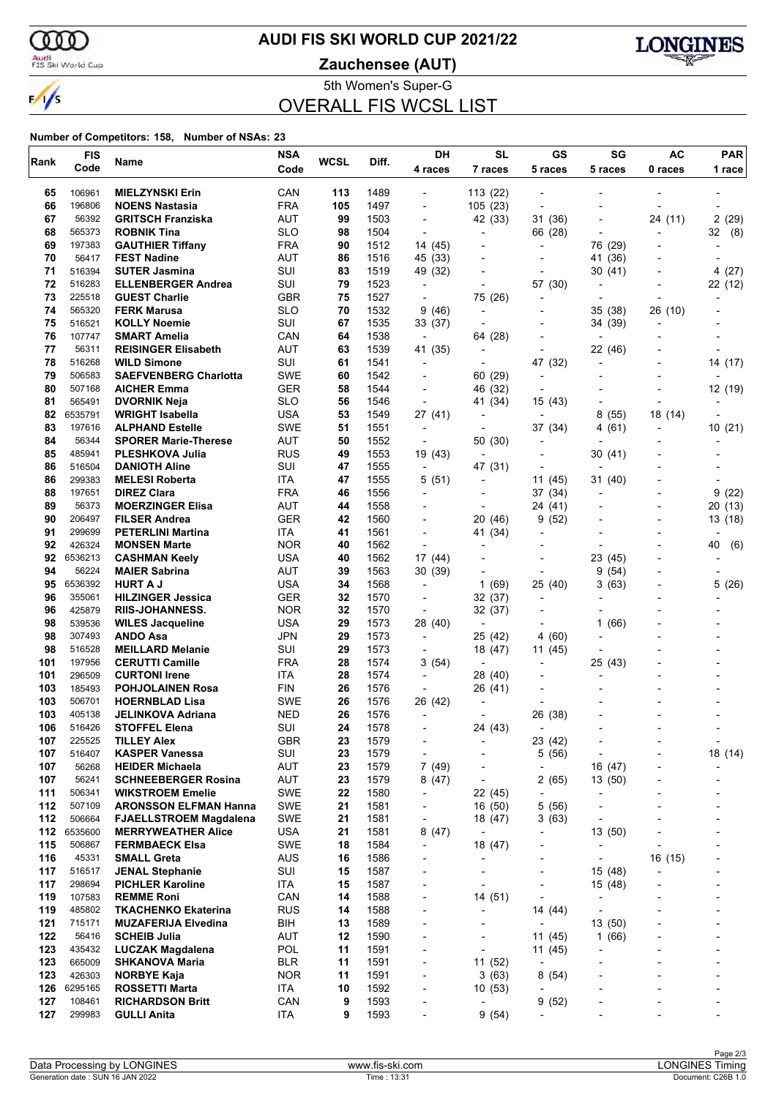

### **AUDI FIS SKI WORLD CUP 2021/22**

Audi<br>FIS Ski World Cup

**Zauchensee (AUT)**



5th Women's Super-G OVERALL FIS WCSL LIST

| Rank       | <b>FIS</b>        | Name                                             | <b>NSA</b>        | <b>WCSL</b> | Diff.        | DH                                                   | <b>SL</b>                | GS                       | SG                                  | <b>AC</b>                | <b>PAR</b>                      |  |
|------------|-------------------|--------------------------------------------------|-------------------|-------------|--------------|------------------------------------------------------|--------------------------|--------------------------|-------------------------------------|--------------------------|---------------------------------|--|
|            | Code              |                                                  | Code              |             |              | 4 races                                              | 7 races                  | 5 races                  | 5 races                             | 0 races                  | 1 race                          |  |
| 65         | 106961            | <b>MIELZYNSKI Erin</b>                           | CAN               | 113         | 1489         |                                                      | 113 (22)                 |                          |                                     |                          |                                 |  |
| 66         | 196806            | <b>NOENS Nastasia</b>                            | <b>FRA</b>        | 105         | 1497         | $\overline{\phantom{a}}$                             | 105(23)                  | $\overline{a}$           |                                     |                          |                                 |  |
| 67         | 56392             | <b>GRITSCH Franziska</b>                         | AUT               | 99          | 1503         | $\overline{\phantom{a}}$                             | 42 (33)                  | 31 (36)                  |                                     | 24 (11)                  | 2(29)                           |  |
| 68         | 565373            | <b>ROBNIK Tina</b>                               | <b>SLO</b>        | 98          | 1504         |                                                      | ٠                        | 66 (28)                  |                                     |                          | (8)<br>32                       |  |
| 69         | 197383            | <b>GAUTHIER Tiffany</b>                          | <b>FRA</b>        | 90          | 1512         | 14 (45)                                              |                          | $\overline{\phantom{a}}$ | 76 (29)                             |                          | $\overline{\phantom{0}}$        |  |
| 70         | 56417             | <b>FEST Nadine</b>                               | <b>AUT</b>        | 86          | 1516         | 45 (33)                                              |                          | $\overline{\phantom{0}}$ | 41 (36)                             |                          |                                 |  |
| 71         | 516394            | <b>SUTER Jasmina</b>                             | SUI               | 83          | 1519         | 49 (32)                                              |                          |                          | 30(41)                              |                          | 4(27)                           |  |
| 72         | 516283            | <b>ELLENBERGER Andrea</b>                        | SUI               | 79          | 1523         | $\blacksquare$                                       | $\overline{a}$           | 57 (30)                  | $\overline{\phantom{a}}$            |                          | 22 (12)                         |  |
| 73         | 225518            | <b>GUEST Charlie</b>                             | GBR               | 75          | 1527         | $\overline{\phantom{a}}$                             | 75 (26)                  | $\overline{\phantom{a}}$ | $\overline{\phantom{a}}$            |                          |                                 |  |
| 74         | 565320            | <b>FERK Marusa</b>                               | <b>SLO</b>        | 70          | 1532         | 9(46)                                                | $\overline{a}$           |                          | 35 (38)                             | 26 (10)                  |                                 |  |
| 75<br>76   | 516521<br>107747  | <b>KOLLY Noemie</b><br><b>SMART Amelia</b>       | SUI<br>CAN        | 67<br>64    | 1535<br>1538 | 33 (37)<br>$\overline{\phantom{a}}$                  | 64 (28)                  |                          | 34 (39)<br>$\overline{\phantom{a}}$ |                          |                                 |  |
| 77         | 56311             | <b>REISINGER Elisabeth</b>                       | <b>AUT</b>        | 63          | 1539         | 41 (35)                                              |                          |                          | 22 (46)                             |                          |                                 |  |
| 78         | 516268            | <b>WILD Simone</b>                               | SUI               | 61          | 1541         | $\blacksquare$                                       | $\blacksquare$           | 47 (32)                  | $\overline{a}$                      |                          | 14 (17)                         |  |
| 79         | 506583            | <b>SAEFVENBERG Charlotta</b>                     | SWE               | 60          | 1542         | $\overline{\phantom{a}}$                             | 60 (29)                  |                          | $\overline{\phantom{a}}$            |                          |                                 |  |
| 80         | 507168            | <b>AICHER Emma</b>                               | <b>GER</b>        | 58          | 1544         |                                                      | 46 (32)                  |                          |                                     |                          | 12 (19)                         |  |
| 81         | 565491            | <b>DVORNIK Neja</b>                              | <b>SLO</b>        | 56          | 1546         | $\overline{\phantom{a}}$                             | 41 (34)                  | 15 (43)                  |                                     | $\overline{\phantom{a}}$ |                                 |  |
| 82         | 6535791           | <b>WRIGHT Isabella</b>                           | <b>USA</b>        | 53          | 1549         | 27 (41)                                              | $\overline{a}$           | $\overline{\phantom{a}}$ | 8(55)                               | 18 (14)                  |                                 |  |
| 83         | 197616            | <b>ALPHAND Estelle</b>                           | <b>SWE</b>        | 51          | 1551         | $\blacksquare$                                       |                          | 37 (34)                  | 4 (61)                              |                          | 10(21)                          |  |
| 84         | 56344             | <b>SPORER Marie-Therese</b>                      | <b>AUT</b>        | 50          | 1552         | $\overline{\phantom{0}}$                             | 50 (30)                  | $\overline{\phantom{a}}$ |                                     |                          |                                 |  |
| 85         | 485941            | <b>PLESHKOVA Julia</b>                           | <b>RUS</b>        | 49          | 1553         | 19 (43)                                              |                          | $\overline{\phantom{a}}$ | 30(41)                              |                          |                                 |  |
| 86         | 516504            | <b>DANIOTH Aline</b>                             | SUI               | 47          | 1555         | $\overline{\phantom{a}}$                             | 47 (31)                  |                          |                                     |                          |                                 |  |
| 86         | 299383            | <b>MELESI Roberta</b>                            | ITA               | 47          | 1555         | 5(51)                                                | $\overline{\phantom{a}}$ | 11 (45)                  | 31 (40)                             |                          |                                 |  |
| 88         | 197651            | <b>DIREZ Clara</b>                               | <b>FRA</b>        | 46          | 1556         | $\overline{\phantom{a}}$                             | $\overline{\phantom{0}}$ | 37 (34)                  | $\overline{a}$                      |                          | 9<br>(22)                       |  |
| 89         | 56373             | <b>MOERZINGER Elisa</b>                          | <b>AUT</b>        | 44          | 1558         |                                                      |                          | 24 (41)                  |                                     |                          | 20(13)                          |  |
| 90         | 206497            | <b>FILSER Andrea</b>                             | GER               | 42          | 1560         | $\blacksquare$                                       | 20 (46)                  | 9<br>(52)                |                                     |                          | 13 (18)                         |  |
| 91<br>92   | 299699<br>426324  | <b>PETERLINI Martina</b>                         | ITA<br><b>NOR</b> | 41<br>40    | 1561         | $\overline{\phantom{a}}$                             | 41 (34)                  |                          |                                     |                          | 40                              |  |
| 92         | 6536213           | <b>MONSEN Marte</b><br><b>CASHMAN Keely</b>      | USA               | 40          | 1562<br>1562 | 17 (44)                                              |                          | $\overline{a}$           | 23 (45)                             |                          | (6)<br>$\overline{\phantom{a}}$ |  |
| 94         | 56224             | <b>MAIER Sabrina</b>                             | <b>AUT</b>        | 39          | 1563         | 30 (39)                                              |                          | $\overline{\phantom{a}}$ | 9(54)                               |                          |                                 |  |
| 95         | 6536392           | <b>HURT A J</b>                                  | <b>USA</b>        | 34          | 1568         |                                                      | 1(69)                    | 25 (40)                  | 3(63)                               |                          | 5(26)                           |  |
| 96         | 355061            | <b>HILZINGER Jessica</b>                         | <b>GER</b>        | 32          | 1570         | $\overline{\phantom{a}}$                             | 32 (37)                  | $\blacksquare$           |                                     |                          |                                 |  |
| 96         | 425879            | <b>RIIS-JOHANNESS.</b>                           | <b>NOR</b>        | 32          | 1570         | $\overline{\phantom{a}}$                             | 32 (37)                  | $\blacksquare$           |                                     |                          |                                 |  |
| 98         | 539536            | <b>WILES Jacqueline</b>                          | <b>USA</b>        | 29          | 1573         | 28 (40)                                              |                          |                          | 1(66)                               |                          |                                 |  |
| 98         | 307493            | <b>ANDO Asa</b>                                  | JPN               | 29          | 1573         | $\overline{\phantom{a}}$                             | 25 (42)                  | 4(60)                    |                                     |                          |                                 |  |
| 98         | 516528            | <b>MEILLARD Melanie</b>                          | SUI               | 29          | 1573         | $\overline{\phantom{a}}$                             | 18 (47)                  | 11 (45)                  |                                     |                          |                                 |  |
| 101        | 197956            | <b>CERUTTI Camille</b>                           | <b>FRA</b>        | 28          | 1574         | 3(54)                                                | $\overline{a}$           |                          | 25 (43)                             |                          |                                 |  |
| 101        | 296509            | <b>CURTONI Irene</b>                             | <b>ITA</b>        | 28          | 1574         | $\overline{\phantom{a}}$                             | 28 (40)                  |                          |                                     |                          |                                 |  |
| 103        | 185493            | <b>POHJOLAINEN Rosa</b>                          | <b>FIN</b>        | 26          | 1576         | $\overline{\phantom{a}}$                             | 26 (41)                  |                          |                                     |                          |                                 |  |
| 103        | 506701            | <b>HOERNBLAD Lisa</b>                            | <b>SWE</b>        | 26          | 1576         | 26 (42)                                              |                          |                          |                                     |                          |                                 |  |
| 103        | 405138            | <b>JELINKOVA Adriana</b>                         | <b>NED</b>        | 26          | 1576         | $\overline{\phantom{a}}$                             | $\blacksquare$           | 26 (38)                  |                                     |                          |                                 |  |
| 106        | 516426            | <b>STOFFEL Elena</b>                             | SUI               | 24          | 1578         |                                                      | 24 (43)                  | $\overline{\phantom{a}}$ |                                     |                          |                                 |  |
| 107        | 225525<br>516407  | <b>TILLEY Alex</b><br><b>KASPER Vanessa</b>      | <b>GBR</b><br>SUI | 23<br>23    | 1579<br>1579 | $\overline{\phantom{a}}$                             | -                        | 23 (42)                  | ÷,                                  |                          | $\overline{a}$                  |  |
| 107<br>107 | 56268             | <b>HEIDER Michaela</b>                           | AUT               | 23          | 1579         | $\overline{\phantom{a}}$<br>7(49)                    | $\blacksquare$           | 5(56)<br>$\overline{a}$  | 16 (47)                             |                          | 18 (14)                         |  |
| 107        | 56241             | <b>SCHNEEBERGER Rosina</b>                       | AUT               | 23          | 1579         | 8(47)                                                | ٠                        | 2(65)                    | 13 (50)                             |                          |                                 |  |
| 111        | 506341            | <b>WIKSTROEM Emelie</b>                          | SWE               | 22          | 1580         | $\overline{\phantom{a}}$                             | 22 (45)                  | $\overline{a}$           | $\overline{a}$                      |                          |                                 |  |
| 112        | 507109            | <b>ARONSSON ELFMAN Hanna</b>                     | SWE               | 21          | 1581         | $\overline{\phantom{a}}$                             | 16 (50)                  | 5(56)                    | $\overline{\phantom{a}}$            |                          | $\overline{\phantom{a}}$        |  |
| 112        | 506664            | <b>FJAELLSTROEM Magdalena</b>                    | SWE               | 21          | 1581         | -                                                    | 18 (47)                  | 3(63)                    |                                     |                          |                                 |  |
| 112        | 6535600           | <b>MERRYWEATHER Alice</b>                        | <b>USA</b>        | 21          | 1581         | 8(47)                                                | $\overline{\phantom{a}}$ |                          | 13 (50)                             |                          |                                 |  |
| 115        | 506867            | <b>FERMBAECK Elsa</b>                            | SWE               | 18          | 1584         | $\overline{\phantom{a}}$                             | 18 (47)                  | $\overline{\phantom{0}}$ | $\overline{\phantom{a}}$            | $\overline{\phantom{a}}$ |                                 |  |
| 116        | 45331             | <b>SMALL Greta</b>                               | <b>AUS</b>        | 16          | 1586         |                                                      | L                        |                          | ÷,                                  | 16 (15)                  |                                 |  |
| 117        | 516517            | <b>JENAL Stephanie</b>                           | SUI               | 15          | 1587         | $\overline{\phantom{0}}$                             | ٠                        |                          | 15 (48)                             |                          |                                 |  |
| 117        | 298694            | <b>PICHLER Karoline</b>                          | ITA               | 15          | 1587         | $\qquad \qquad \blacksquare$                         | $\overline{a}$           | $\overline{\phantom{0}}$ | 15 (48)                             |                          |                                 |  |
| 119        | 107583            | <b>REMME Roni</b>                                | CAN               | 14          | 1588         |                                                      | 14 (51)                  | $\overline{\phantom{0}}$ | $\overline{a}$                      |                          |                                 |  |
| 119        | 485802            | <b>TKACHENKO Ekaterina</b>                       | <b>RUS</b>        | 14          | 1588         | $\overline{\phantom{0}}$                             | ٠                        | 14 (44)                  | ٠                                   |                          |                                 |  |
| 121        | 715171            | <b>MUZAFERIJA Elvedina</b>                       | BIH               | 13          | 1589         | $\overline{\phantom{0}}$                             | $\overline{a}$           | $\overline{\phantom{a}}$ | 13 (50)                             |                          |                                 |  |
| 122        | 56416             | <b>SCHEIB Julia</b>                              | <b>AUT</b>        | 12          | 1590         |                                                      |                          | 11(45)                   | 1(66)                               |                          |                                 |  |
| 123        | 435432            | LUCZAK Magdalena                                 | POL               | 11          | 1591         | $\overline{\phantom{0}}$                             | ٠                        | 11 (45)                  | ÷,                                  |                          |                                 |  |
| 123        | 665009            | <b>SHKANOVA Maria</b>                            | BLR               | 11          | 1591         | $\overline{\phantom{a}}$                             | 11(52)                   | $\overline{a}$           | -                                   |                          |                                 |  |
| 123        | 426303            | <b>NORBYE Kaja</b>                               | <b>NOR</b>        | 11          | 1591         |                                                      | 3(63)                    | 8(54)                    |                                     |                          |                                 |  |
| 126<br>127 | 6295165<br>108461 | <b>ROSSETTI Marta</b><br><b>RICHARDSON Britt</b> | ITA<br>CAN        | 10<br>9     | 1592<br>1593 | $\overline{\phantom{0}}$<br>$\overline{\phantom{0}}$ | 10(53)<br>$\overline{a}$ | 9<br>(52)                |                                     |                          |                                 |  |
| 127        | 299983            | <b>GULLI Anita</b>                               | <b>ITA</b>        | 9           | 1593         |                                                      | 9(54)                    |                          |                                     |                          |                                 |  |
|            |                   |                                                  |                   |             |              |                                                      |                          |                          |                                     |                          |                                 |  |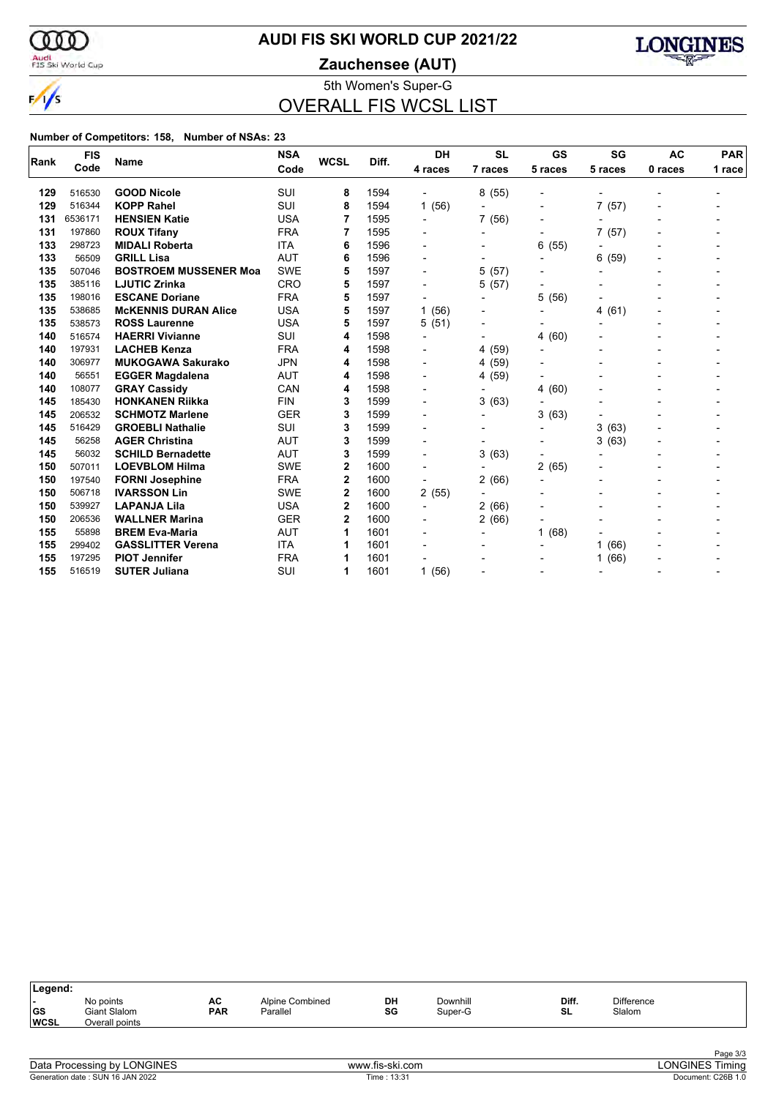

## **AUDI FIS SKI WORLD CUP 2021/22**

Audi<br>FIS Ski World Cup

**Zauchensee (AUT)**



5th Women's Super-G OVERALL FIS WCSL LIST

| Rank | <b>FIS</b> | <b>Name</b>                  | <b>NSA</b> | <b>WCSL</b>  | Diff. | <b>DH</b>                | <b>SL</b>                | GS                       | SG                       | <b>AC</b> | <b>PAR</b> |
|------|------------|------------------------------|------------|--------------|-------|--------------------------|--------------------------|--------------------------|--------------------------|-----------|------------|
|      | Code       |                              | Code       |              |       | 4 races                  | 7 races                  | 5 races                  | 5 races                  | 0 races   | 1 race     |
| 129  | 516530     | <b>GOOD Nicole</b>           | SUI        | 8            | 1594  | $\blacksquare$           | 8(55)                    | $\overline{\phantom{0}}$ |                          |           |            |
| 129  | 516344     | <b>KOPP Rahel</b>            | SUI        | 8            | 1594  | 1(56)                    |                          | $\overline{\phantom{0}}$ | 7(57)                    |           |            |
| 131  | 6536171    | <b>HENSIEN Katie</b>         | <b>USA</b> | 7            | 1595  |                          | 7(56)                    |                          |                          |           |            |
| 131  | 197860     | <b>ROUX Tifany</b>           | <b>FRA</b> | 7            | 1595  |                          |                          | $\overline{\phantom{0}}$ | 7(57)                    |           |            |
| 133  | 298723     | <b>MIDALI Roberta</b>        | <b>ITA</b> | 6            | 1596  |                          |                          | 6<br>(55)                |                          |           |            |
| 133  | 56509      | <b>GRILL Lisa</b>            | <b>AUT</b> | 6            | 1596  | $\blacksquare$           |                          |                          | 6<br>(59)                |           |            |
| 135  | 507046     | <b>BOSTROEM MUSSENER Moa</b> | <b>SWE</b> | 5            | 1597  | $\overline{\phantom{0}}$ | 5(57)                    |                          | $\overline{a}$           |           |            |
| 135  | 385116     | <b>LJUTIC Zrinka</b>         | CRO        | 5            | 1597  | $\blacksquare$           | 5 (57)                   |                          |                          |           |            |
| 135  | 198016     | <b>ESCANE Doriane</b>        | <b>FRA</b> | 5            | 1597  | $\overline{\phantom{0}}$ | $\overline{\phantom{a}}$ | 5<br>(56)                |                          |           |            |
| 135  | 538685     | <b>McKENNIS DURAN Alice</b>  | <b>USA</b> | 5            | 1597  | 1(56)                    |                          | $\overline{\phantom{0}}$ | (61)<br>4                |           |            |
| 135  | 538573     | <b>ROSS Laurenne</b>         | <b>USA</b> | 5            | 1597  | 5(51)                    | $\overline{\phantom{a}}$ |                          |                          |           |            |
| 140  | 516574     | <b>HAERRI Vivianne</b>       | SUI        | 4            | 1598  | $\overline{a}$           |                          | (60)<br>4                |                          |           |            |
| 140  | 197931     | <b>LACHEB Kenza</b>          | <b>FRA</b> | 4            | 1598  | $\blacksquare$           | 4 (59)                   | $\overline{\phantom{0}}$ |                          |           |            |
| 140  | 306977     | <b>MUKOGAWA Sakurako</b>     | <b>JPN</b> | 4            | 1598  | $\blacksquare$           | 4 (59)                   |                          |                          |           |            |
| 140  | 56551      | <b>EGGER Magdalena</b>       | <b>AUT</b> | 4            | 1598  | $\blacksquare$           | 4 (59)                   |                          |                          |           |            |
| 140  | 108077     | <b>GRAY Cassidy</b>          | CAN        | 4            | 1598  | $\overline{a}$           | $\overline{\phantom{a}}$ | (60)<br>4                |                          |           |            |
| 145  | 185430     | <b>HONKANEN Riikka</b>       | <b>FIN</b> | 3            | 1599  | $\blacksquare$           | (63)<br>3                | $\blacksquare$           |                          |           |            |
| 145  | 206532     | <b>SCHMOTZ Marlene</b>       | <b>GER</b> | 3            | 1599  | -                        | $\overline{\phantom{a}}$ | (63)<br>3                |                          |           |            |
| 145  | 516429     | <b>GROEBLI Nathalie</b>      | SUI        | 3            | 1599  |                          |                          | $\overline{\phantom{0}}$ | (63)<br>3                |           |            |
| 145  | 56258      | <b>AGER Christina</b>        | <b>AUT</b> | 3            | 1599  |                          | $\overline{\phantom{a}}$ | $\overline{\phantom{0}}$ | 3(63)                    |           |            |
| 145  | 56032      | <b>SCHILD Bernadette</b>     | <b>AUT</b> | 3            | 1599  | $\blacksquare$           | 3(63)                    |                          |                          |           |            |
| 150  | 507011     | <b>LOEVBLOM Hilma</b>        | <b>SWE</b> | 2            | 1600  | $\overline{\phantom{0}}$ |                          | 2<br>(65)                |                          |           |            |
| 150  | 197540     | <b>FORNI Josephine</b>       | <b>FRA</b> | $\mathbf{2}$ | 1600  | $\blacksquare$           | 2(66)                    |                          |                          |           |            |
| 150  | 506718     | <b>IVARSSON Lin</b>          | <b>SWE</b> | 2            | 1600  | 2(55)                    |                          | $\overline{\phantom{0}}$ |                          |           |            |
| 150  | 539927     | <b>LAPANJA Lila</b>          | <b>USA</b> | 2            | 1600  | $\overline{\phantom{a}}$ | 2(66)                    |                          |                          |           |            |
| 150  | 206536     | <b>WALLNER Marina</b>        | <b>GER</b> | 2            | 1600  |                          | 2(66)                    |                          |                          |           |            |
| 155  | 55898      | <b>BREM Eva-Maria</b>        | AUT        | 1            | 1601  |                          |                          | (68)<br>1                |                          |           |            |
| 155  | 299402     | <b>GASSLITTER Verena</b>     | <b>ITA</b> | 1            | 1601  | $\overline{\phantom{a}}$ |                          | $\blacksquare$           | (66)<br>1                |           |            |
| 155  | 197295     | <b>PIOT Jennifer</b>         | <b>FRA</b> | 1            | 1601  |                          |                          |                          | (66)<br>1                |           |            |
| 155  | 516519     | <b>SUTER Juliana</b>         | SUI        | 1            | 1601  | 1(56)                    |                          | $\overline{\phantom{0}}$ | $\overline{\phantom{0}}$ |           |            |

| Legend:                   |                                             |                  |                             |          |                     |             |                             |  |
|---------------------------|---------------------------------------------|------------------|-----------------------------|----------|---------------------|-------------|-----------------------------|--|
| . .<br> GS<br><b>WCSL</b> | No points<br>Giant Slalom<br>Overall points | AC<br><b>PAR</b> | Alpine Combined<br>Parallel | DH<br>SG | Downhill<br>Super-G | Diff.<br>SL | <b>Difference</b><br>Slalom |  |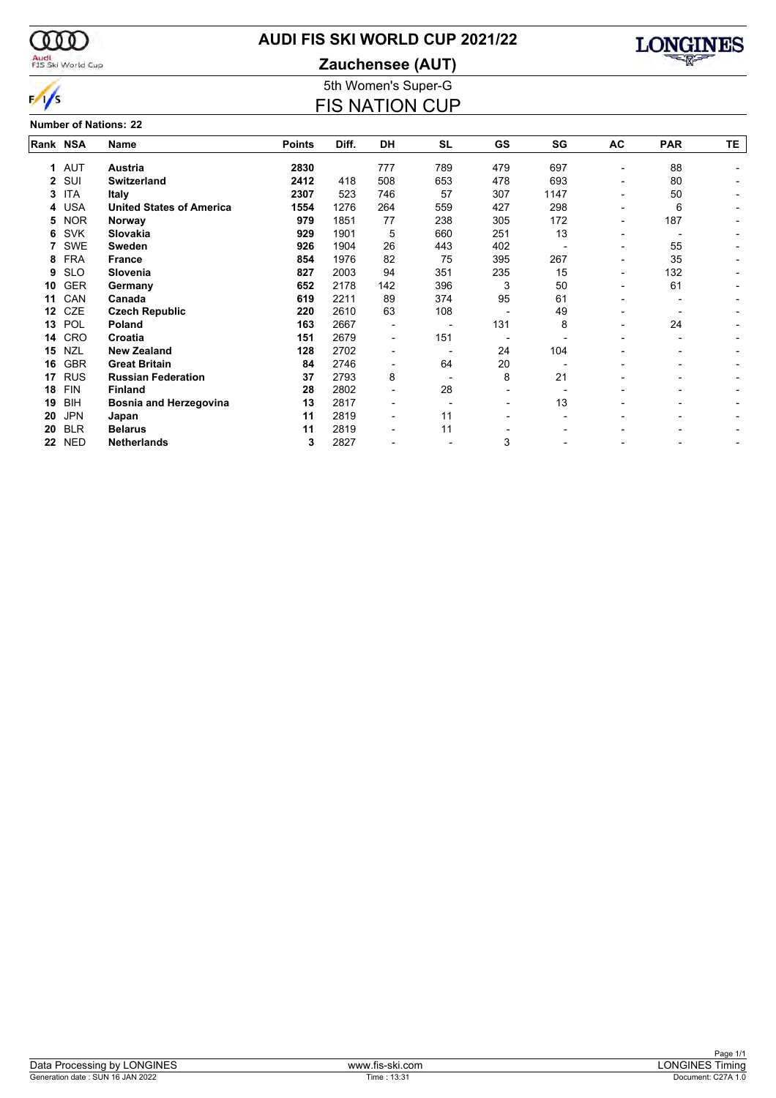

## **AUDI FIS SKI WORLD CUP 2021/22**

Audi<br>FIS Ski World Cup

 $\frac{1}{s}$ 

# **Zauchensee (AUT)**



5th Women's Super-G FIS NATION CUP

#### **Number of Nations: 22**

| Rank NSA |            | Name                            | <b>Points</b> | Diff. | <b>DH</b>                | <b>SL</b>                | GS  | SG   | AC                       | <b>PAR</b> | ΤE. |
|----------|------------|---------------------------------|---------------|-------|--------------------------|--------------------------|-----|------|--------------------------|------------|-----|
| 1        | <b>AUT</b> | <b>Austria</b>                  | 2830          |       | 777                      | 789                      | 479 | 697  |                          | 88         |     |
| 2        | SUI        | <b>Switzerland</b>              | 2412          | 418   | 508                      | 653                      | 478 | 693  | -                        | 80         |     |
| 3        | <b>ITA</b> | Italy                           | 2307          | 523   | 746                      | 57                       | 307 | 1147 | ٠                        | 50         |     |
| 4        | <b>USA</b> | <b>United States of America</b> | 1554          | 1276  | 264                      | 559                      | 427 | 298  |                          | 6          |     |
| 5        | <b>NOR</b> | Norway                          | 979           | 1851  | 77                       | 238                      | 305 | 172  | ۰                        | 187        |     |
| 6        | <b>SVK</b> | Slovakia                        | 929           | 1901  | 5                        | 660                      | 251 | 13   | $\overline{\phantom{0}}$ |            |     |
|          | <b>SWE</b> | <b>Sweden</b>                   | 926           | 1904  | 26                       | 443                      | 402 |      | -                        | 55         |     |
| 8        | <b>FRA</b> | <b>France</b>                   | 854           | 1976  | 82                       | 75                       | 395 | 267  | ۰                        | 35         |     |
| 9        | <b>SLO</b> | Slovenia                        | 827           | 2003  | 94                       | 351                      | 235 | 15   | ۰                        | 132        |     |
| 10       | <b>GER</b> | Germany                         | 652           | 2178  | 142                      | 396                      | 3   | 50   | ۰                        | 61         |     |
| 11       | CAN        | Canada                          | 619           | 2211  | 89                       | 374                      | 95  | 61   |                          |            |     |
| 12       | <b>CZE</b> | <b>Czech Republic</b>           | 220           | 2610  | 63                       | 108                      |     | 49   |                          |            |     |
| 13       | POL        | Poland                          | 163           | 2667  |                          |                          | 131 | 8    |                          | 24         |     |
| 14       | <b>CRO</b> | Croatia                         | 151           | 2679  | $\blacksquare$           | 151                      |     |      |                          |            |     |
| 15       | <b>NZL</b> | <b>New Zealand</b>              | 128           | 2702  |                          |                          | 24  | 104  |                          |            |     |
| 16       | <b>GBR</b> | <b>Great Britain</b>            | 84            | 2746  | $\overline{\phantom{0}}$ | 64                       | 20  |      |                          |            |     |
| 17       | <b>RUS</b> | <b>Russian Federation</b>       | 37            | 2793  | 8                        |                          | 8   | 21   |                          |            |     |
| 18       | <b>FIN</b> | <b>Finland</b>                  | 28            | 2802  | $\overline{\phantom{0}}$ | 28                       |     |      |                          |            |     |
| 19       | BIH        | <b>Bosnia and Herzegovina</b>   | 13            | 2817  | -                        | $\overline{\phantom{0}}$ | ٠   | 13   |                          |            |     |
| 20       | <b>JPN</b> | Japan                           | 11            | 2819  | $\overline{\phantom{0}}$ | 11                       |     |      |                          |            |     |
| 20       | <b>BLR</b> | <b>Belarus</b>                  | 11            | 2819  | -                        | 11                       |     |      |                          |            |     |
| 22       | <b>NED</b> | <b>Netherlands</b>              | 3             | 2827  |                          |                          | 3   |      |                          |            |     |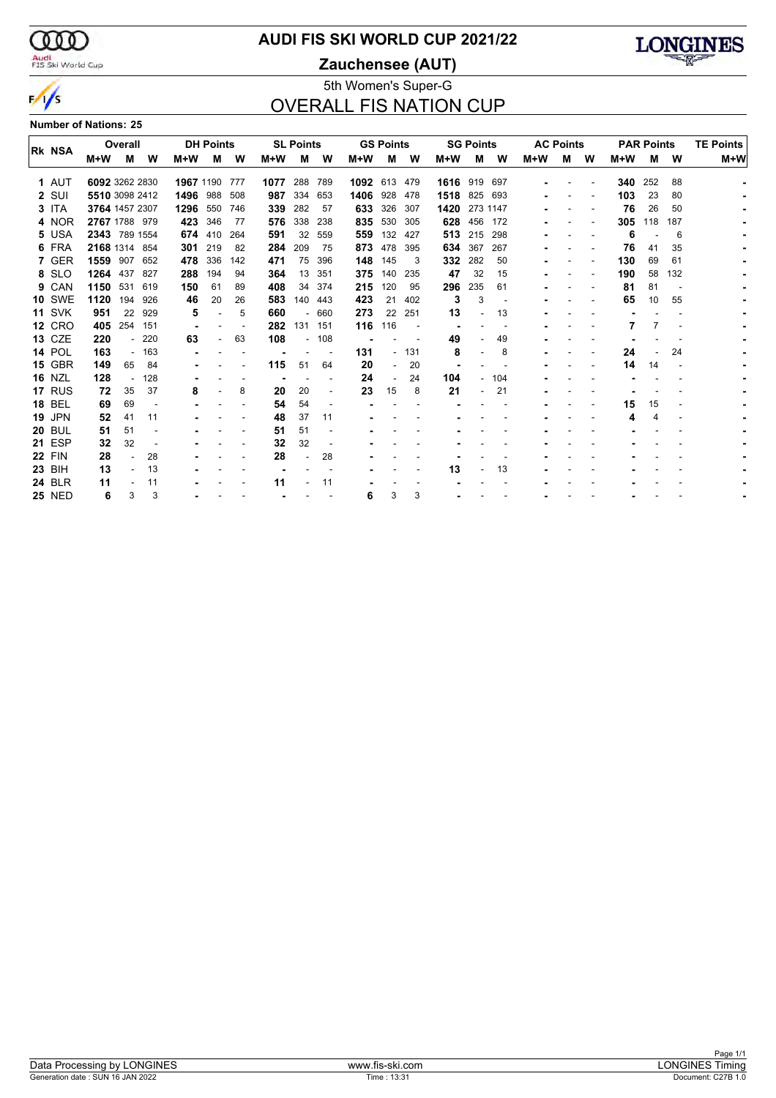$\infty$ Audi<br>FIS Ski World Cup

 $\frac{1}{s}$ 

#### **AUDI FIS SKI WORLD CUP 2021/22**

**Zauchensee (AUT)**



#### 5th Women's Super-G OVERALL FIS NATION CUP

**Number of Nations: 25**

| <b>RK NSA</b> |               |                | Overall        |        |               | <b>DH Points</b> |                          |      | <b>SL Points</b>         |         |              | <b>GS Points</b> |        |              | <b>SG Points</b>         |     |     | <b>AC Points</b> |   | <b>PAR Points</b> |     | <b>TE Points</b> |     |
|---------------|---------------|----------------|----------------|--------|---------------|------------------|--------------------------|------|--------------------------|---------|--------------|------------------|--------|--------------|--------------------------|-----|-----|------------------|---|-------------------|-----|------------------|-----|
|               |               | M+W            | м              | W      | $M+W$         | м                | W                        | M+W  | м                        | W       | M+W          | м                | W      | $M+W$        | м                        | W   | M+W | м                | W | M+W               | м   | W                | M+W |
|               | 1 AUT         | 6092 3262 2830 |                |        | 1967 1190 777 |                  |                          | 1077 |                          | 288 789 | 1092 613 479 |                  |        | 1616 919 697 |                          |     |     |                  |   | 340               | 252 | 88               |     |
|               | 2 SUI         |                | 5510 3098 2412 |        | 1496 988      |                  | 508                      | 987  | 334                      | 653     | 1406         | 928              | 478    | 1518 825     |                          | 693 |     |                  |   | 103               | 23  | 80               |     |
|               | 3 ITA         |                | 3764 1457 2307 |        | 1296          | 550              | 746                      | 339  | 282                      | 57      | 633          | 326              | 307    | 1420         | 273 1147                 |     |     |                  |   | 76                | 26  | 50               |     |
|               | 4 NOR         |                | 2767 1788 979  |        | 423           | 346              | 77                       | 576  | 338                      | 238     | 835          | 530              | 305    |              | 628 456                  | 172 |     |                  |   | 305               | 118 | 187              |     |
|               | 5 USA         |                | 2343 789 1554  |        |               | 674 410          | 264                      | 591  | 32                       | 559     | 559          | 132              | 427    |              | 513 215                  | 298 |     |                  |   | 6                 |     | 6                |     |
|               | 6 FRA         | 2168 1314 854  |                |        | 301           | 219              | -82                      | 284  | 209                      | 75      | 873          | 478              | 395    |              | 634 367                  | 267 |     |                  |   | 76                | 41  | 35               |     |
|               | 7 GER         |                | 1559 907       | 652    | 478           | 336              | 142                      | 471  | 75                       | 396     | 148          | 145              | 3      | 332          | 282                      | 50  |     |                  |   | 130               | 69  | 61               |     |
|               | 8 SLO         | 1264           | 437            | 827    | 288           | 194              | 94                       | 364  | 13                       | 351     | 375          | 140              | 235    | 47           | 32                       | 15  |     |                  |   | 190               | 58  | 132              |     |
|               | 9 CAN         | 1150           | 531 619        |        | 150           | 61               | 89                       | 408  | 34                       | 374     | 215          | 120              | 95     | 296          | 235                      | 61  |     |                  |   | 81                | 81  |                  |     |
|               | <b>10 SWE</b> | 1120           | 194            | 926    | 46            | 20               | 26                       | 583  | 140                      | 443     | 423          | 21               | 402    | 3            | 3                        |     |     |                  |   | 65                | 10  | 55               |     |
|               | <b>11 SVK</b> | 951            | 22             | 929    | 5             |                  | 5                        | 660  | $\sim$                   | 660     | 273          | 22               | 251    | 13           |                          | 13  |     |                  |   |                   |     |                  |     |
|               | <b>12 CRO</b> | 405            | 254            | 151    |               |                  | $\overline{\phantom{a}}$ | 282  |                          | 131 151 | 116          | 116              |        |              |                          |     |     |                  |   |                   |     |                  |     |
|               | 13 CZE        | 220            |                | $-220$ | 63            |                  | 63                       | 108  | $\overline{\phantom{0}}$ | 108     |              |                  |        | 49           |                          | 49  |     |                  |   |                   |     |                  |     |
|               | <b>14 POL</b> | 163            |                | 163    |               |                  |                          |      |                          |         | 131          |                  | $-131$ | 8            |                          | 8   |     |                  |   | 24                |     | 24               |     |
|               | <b>15 GBR</b> | 149            | 65             | 84     |               |                  |                          | 115  | 51                       | 64      | 20           |                  | 20     |              |                          |     |     |                  |   | 14                | 14  |                  |     |
|               | <b>16 NZL</b> | 128            |                | 128    |               |                  |                          |      |                          |         | 24           |                  | 24     | 104          | $\overline{\phantom{a}}$ | 104 |     |                  |   |                   |     |                  |     |
|               | 17 RUS        | 72             | 35             | 37     | 8             |                  | 8                        | 20   | 20                       |         | 23           | 15               | 8      | 21           | $\overline{\phantom{a}}$ | 21  |     |                  |   |                   |     |                  |     |
|               | <b>18 BEL</b> | 69             | 69             |        |               |                  |                          | 54   | 54                       |         |              |                  |        |              |                          |     |     |                  |   | 15                | 15  |                  |     |
|               | <b>19 JPN</b> | 52             | 41             | 11     |               |                  |                          | 48   | 37                       | 11      |              |                  |        |              |                          |     |     |                  |   |                   | 4   |                  |     |
|               | <b>20 BUL</b> | 51             | 51             |        |               |                  |                          | 51   | 51                       |         |              |                  |        |              |                          |     |     |                  |   |                   |     |                  |     |
|               | <b>21 ESP</b> | 32             | 32             |        |               |                  |                          | 32   | 32                       |         |              |                  |        |              |                          |     |     |                  |   |                   |     |                  |     |
|               | <b>22 FIN</b> | 28             |                | 28     |               |                  |                          | 28   |                          | 28      |              |                  |        |              |                          |     |     |                  |   |                   |     |                  |     |
|               | 23 BIH        | 13             |                | 13     |               |                  |                          |      |                          |         |              |                  |        | 13           |                          | 13  |     |                  |   |                   |     |                  |     |
|               | <b>24 BLR</b> | 11             |                | 11     |               |                  |                          | 11   |                          | 11      |              |                  |        |              |                          |     |     |                  |   |                   |     |                  |     |
|               | <b>25 NED</b> | 6              | 3              | 3      |               |                  |                          |      |                          |         | 6            | 3                | 3      |              |                          |     |     |                  |   |                   |     |                  |     |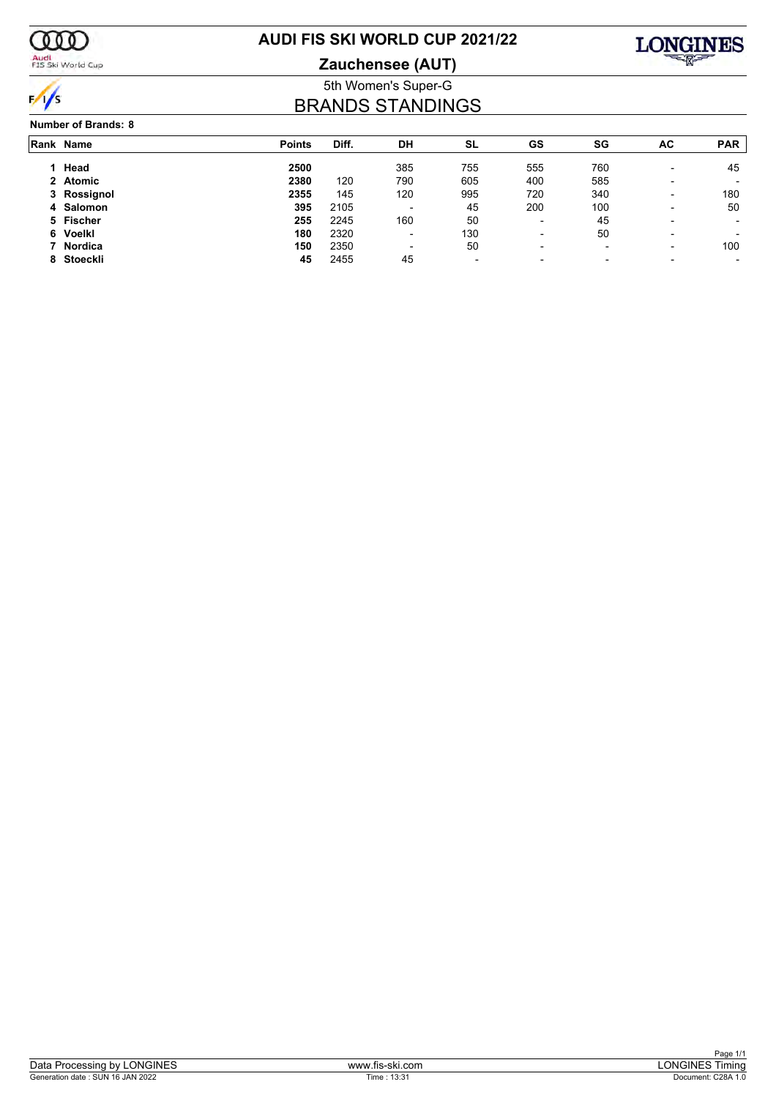

## Audi<br>FIS Ski World Cup

## **AUDI FIS SKI WORLD CUP 2021/22**

**Zauchensee (AUT)**



#### 5th Women's Super-G BRANDS STANDINGS

#### **Number of Brands: 8**

| Rank Name   | <b>Points</b> | Diff. | DH                       | SL                       | GS                       | SG                       | AC                       | <b>PAR</b> |
|-------------|---------------|-------|--------------------------|--------------------------|--------------------------|--------------------------|--------------------------|------------|
| Head        | 2500          |       | 385                      | 755                      | 555                      | 760                      | $\overline{\phantom{0}}$ | 45         |
| 2 Atomic    | 2380          | 120   | 790                      | 605                      | 400                      | 585                      | $\overline{\phantom{0}}$ |            |
| 3 Rossignol | 2355          | 145   | 120                      | 995                      | 720                      | 340                      | $\overline{\phantom{0}}$ | 180        |
| 4 Salomon   | 395           | 2105  | $\overline{\phantom{0}}$ | 45                       | 200                      | 100                      | $\overline{\phantom{0}}$ | 50         |
| 5 Fischer   | 255           | 2245  | 160                      | 50                       | $\overline{\phantom{a}}$ | 45                       | $\overline{\phantom{0}}$ |            |
| 6 Voelkl    | 180           | 2320  | $\sim$                   | 130                      | $\overline{\phantom{a}}$ | 50                       | $\overline{\phantom{0}}$ |            |
| 7 Nordica   | 150           | 2350  | $\overline{\phantom{0}}$ | 50                       | $\overline{\phantom{a}}$ | $\overline{\phantom{0}}$ | $\overline{\phantom{0}}$ | 100        |
| 8 Stoeckli  | 45            | 2455  | 45                       | $\overline{\phantom{a}}$ | $\overline{\phantom{a}}$ | $\overline{\phantom{0}}$ |                          |            |
|             |               |       |                          |                          |                          |                          |                          |            |